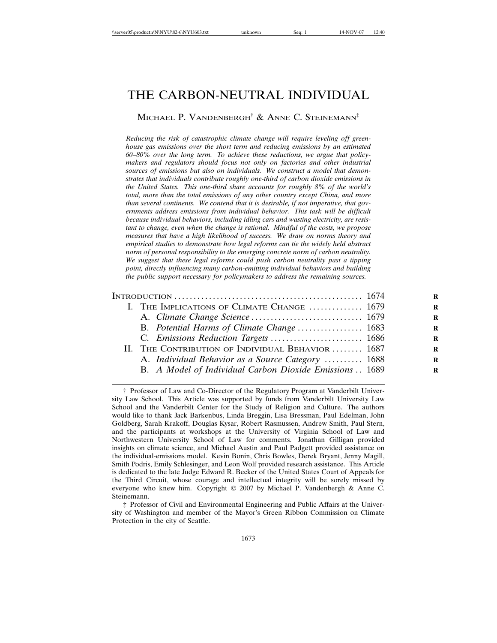# THE CARBON-NEUTRAL INDIVIDUAL

Michael P. Vandenbergh<sup>†</sup> & Anne C. Steinemann<sup>‡</sup>

*Reducing the risk of catastrophic climate change will require leveling off greenhouse gas emissions over the short term and reducing emissions by an estimated 60–80% over the long term. To achieve these reductions, we argue that policymakers and regulators should focus not only on factories and other industrial sources of emissions but also on individuals. We construct a model that demonstrates that individuals contribute roughly one-third of carbon dioxide emissions in the United States. This one-third share accounts for roughly 8% of the world's total, more than the total emissions of any other country except China, and more than several continents. We contend that it is desirable, if not imperative, that governments address emissions from individual behavior. This task will be difficult because individual behaviors, including idling cars and wasting electricity, are resistant to change, even when the change is rational. Mindful of the costs, we propose measures that have a high likelihood of success. We draw on norms theory and empirical studies to demonstrate how legal reforms can tie the widely held abstract norm of personal responsibility to the emerging concrete norm of carbon neutrality. We suggest that these legal reforms could push carbon neutrality past a tipping point, directly influencing many carbon-emitting individual behaviors and building the public support necessary for policymakers to address the remaining sources.*

| R |                                                         |
|---|---------------------------------------------------------|
| R | I. THE IMPLICATIONS OF CLIMATE CHANGE  1679             |
| R |                                                         |
| R | B. Potential Harms of Climate Change  1683              |
| R | C. Emissions Reduction Targets  1686                    |
| R | II. THE CONTRIBUTION OF INDIVIDUAL BEHAVIOR  1687       |
| R | A. Individual Behavior as a Source Category  1688       |
| R | B. A Model of Individual Carbon Dioxide Emissions  1689 |
|   |                                                         |

‡ Professor of Civil and Environmental Engineering and Public Affairs at the University of Washington and member of the Mayor's Green Ribbon Commission on Climate Protection in the city of Seattle.

<sup>†</sup> Professor of Law and Co-Director of the Regulatory Program at Vanderbilt University Law School. This Article was supported by funds from Vanderbilt University Law School and the Vanderbilt Center for the Study of Religion and Culture. The authors would like to thank Jack Barkenbus, Linda Breggin, Lisa Bressman, Paul Edelman, John Goldberg, Sarah Krakoff, Douglas Kysar, Robert Rasmussen, Andrew Smith, Paul Stern, and the participants at workshops at the University of Virginia School of Law and Northwestern University School of Law for comments. Jonathan Gilligan provided insights on climate science, and Michael Austin and Paul Padgett provided assistance on the individual-emissions model. Kevin Bonin, Chris Bowles, Derek Bryant, Jenny Magill, Smith Podris, Emily Schlesinger, and Leon Wolf provided research assistance. This Article is dedicated to the late Judge Edward R. Becker of the United States Court of Appeals for the Third Circuit, whose courage and intellectual integrity will be sorely missed by everyone who knew him. Copyright  $\odot$  2007 by Michael P. Vandenbergh & Anne C. Steinemann.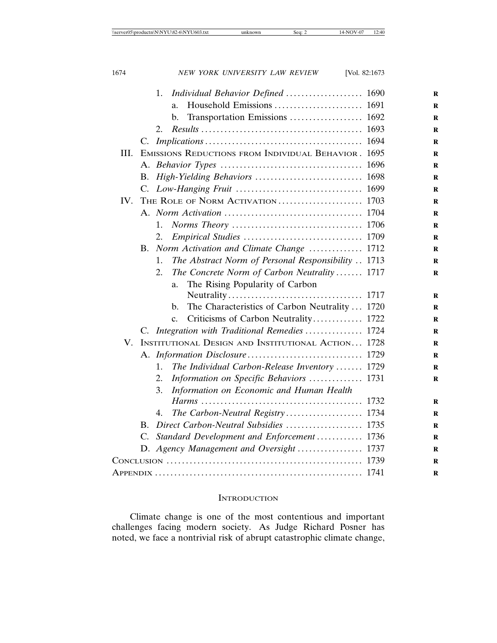| 1674 | NEW YORK UNIVERSITY LAW REVIEW<br>[Vol. $82:1673$        |          |
|------|----------------------------------------------------------|----------|
|      | 1.<br>Individual Behavior Defined  1690                  | R        |
|      | a.                                                       | R        |
|      | b.                                                       | R        |
|      | 2.                                                       | R        |
|      |                                                          | R        |
| III. | EMISSIONS REDUCTIONS FROM INDIVIDUAL BEHAVIOR. 1695      | R        |
|      |                                                          | R        |
|      | В.                                                       | $\bf{R}$ |
|      | C.                                                       | R        |
| IV.  |                                                          | R        |
|      |                                                          | R        |
|      | 1.                                                       | R        |
|      | 2.                                                       | R        |
|      | Norm Activation and Climate Change  1712<br>В.           | R        |
|      | The Abstract Norm of Personal Responsibility  1713<br>1. | R        |
|      | The Concrete Norm of Carbon Neutrality 1717<br>2.        | R        |
|      | The Rising Popularity of Carbon<br>a.                    |          |
|      | 1717                                                     | $\bf{R}$ |
|      | The Characteristics of Carbon Neutrality  1720<br>b.     | R        |
|      | Criticisms of Carbon Neutrality 1722<br>$\mathbf{c}$ .   | R        |
|      | C. Integration with Traditional Remedies<br>1724         | R        |
| V.   | INSTITUTIONAL DESIGN AND INSTITUTIONAL ACTION 1728       | R        |
|      |                                                          | $\bf{R}$ |
|      | 1.<br>The Individual Carbon-Release Inventory  1729      | R        |
|      | Information on Specific Behaviors  1731<br>2.            | R        |
|      | Information on Economic and Human Health<br>3.           |          |
|      |                                                          | R        |
|      | The Carbon-Neutral Registry 1734<br>4.                   | $\bf{R}$ |
|      | $B_{\cdot}$                                              | $\bf{R}$ |
|      | C. Standard Development and Enforcement  1736            | R        |
|      | D. Agency Management and Oversight  1737                 | R        |
|      |                                                          | R        |
|      |                                                          | R        |

## **INTRODUCTION**

Climate change is one of the most contentious and important challenges facing modern society. As Judge Richard Posner has noted, we face a nontrivial risk of abrupt catastrophic climate change,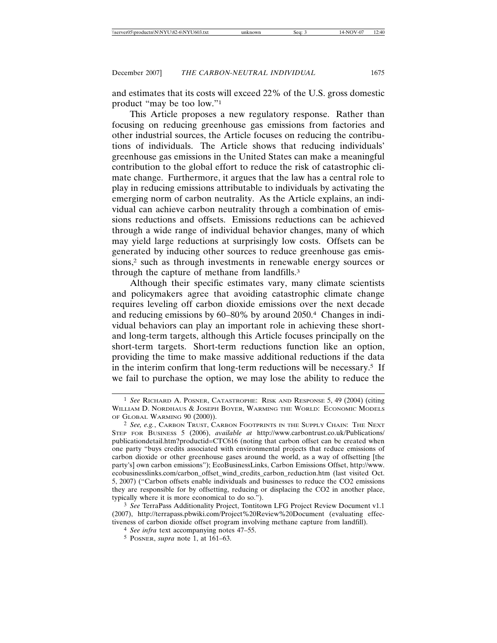and estimates that its costs will exceed 22% of the U.S. gross domestic product "may be too low."1

This Article proposes a new regulatory response. Rather than focusing on reducing greenhouse gas emissions from factories and other industrial sources, the Article focuses on reducing the contributions of individuals. The Article shows that reducing individuals' greenhouse gas emissions in the United States can make a meaningful contribution to the global effort to reduce the risk of catastrophic climate change. Furthermore, it argues that the law has a central role to play in reducing emissions attributable to individuals by activating the emerging norm of carbon neutrality. As the Article explains, an individual can achieve carbon neutrality through a combination of emissions reductions and offsets. Emissions reductions can be achieved through a wide range of individual behavior changes, many of which may yield large reductions at surprisingly low costs. Offsets can be generated by inducing other sources to reduce greenhouse gas emissions,2 such as through investments in renewable energy sources or through the capture of methane from landfills.3

Although their specific estimates vary, many climate scientists and policymakers agree that avoiding catastrophic climate change requires leveling off carbon dioxide emissions over the next decade and reducing emissions by 60–80% by around 2050.4 Changes in individual behaviors can play an important role in achieving these shortand long-term targets, although this Article focuses principally on the short-term targets. Short-term reductions function like an option, providing the time to make massive additional reductions if the data in the interim confirm that long-term reductions will be necessary.<sup>5</sup> If we fail to purchase the option, we may lose the ability to reduce the

<sup>1</sup> *See* RICHARD A. POSNER, CATASTROPHE: RISK AND RESPONSE 5, 49 (2004) (citing WILLIAM D. NORDHAUS & JOSEPH BOYER, WARMING THE WORLD: ECONOMIC MODELS OF GLOBAL WARMING 90 (2000)).

<sup>2</sup> *See, e.g.*, CARBON TRUST, CARBON FOOTPRINTS IN THE SUPPLY CHAIN: THE NEXT STEP FOR BUSINESS 5 (2006), *available at* http://www.carbontrust.co.uk/Publications/ publicationdetail.htm?productid=CTC616 (noting that carbon offset can be created when one party "buys credits associated with environmental projects that reduce emissions of carbon dioxide or other greenhouse gases around the world, as a way of offsetting [the party's] own carbon emissions"); EcoBusinessLinks, Carbon Emissions Offset, http://www. ecobusinesslinks.com/carbon\_offset\_wind\_credits\_carbon\_reduction.htm (last visited Oct. 5, 2007) ("Carbon offsets enable individuals and businesses to reduce the CO2 emissions they are responsible for by offsetting, reducing or displacing the CO2 in another place, typically where it is more economical to do so.").

<sup>3</sup> *See* TerraPass Additionality Project, Tontitown LFG Project Review Document v1.1 (2007), http://terrapass.pbwiki.com/Project%20Review%20Document (evaluating effectiveness of carbon dioxide offset program involving methane capture from landfill).

<sup>4</sup> *See infra* text accompanying notes 47–55.

<sup>5</sup> POSNER, *supra* note 1, at 161–63.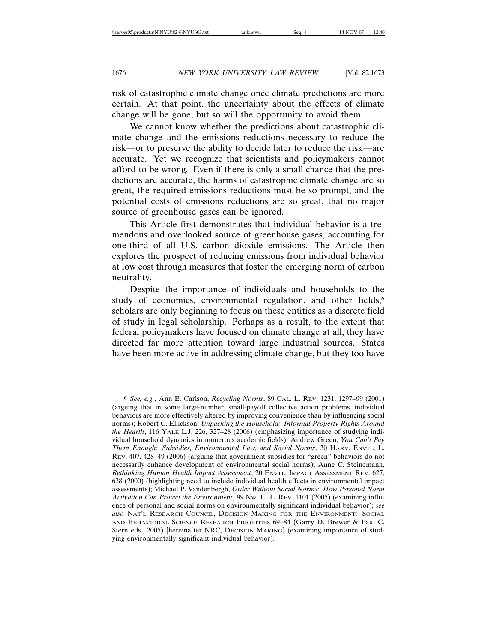risk of catastrophic climate change once climate predictions are more certain. At that point, the uncertainty about the effects of climate change will be gone, but so will the opportunity to avoid them.

We cannot know whether the predictions about catastrophic climate change and the emissions reductions necessary to reduce the risk—or to preserve the ability to decide later to reduce the risk—are accurate. Yet we recognize that scientists and policymakers cannot afford to be wrong. Even if there is only a small chance that the predictions are accurate, the harms of catastrophic climate change are so great, the required emissions reductions must be so prompt, and the potential costs of emissions reductions are so great, that no major source of greenhouse gases can be ignored.

This Article first demonstrates that individual behavior is a tremendous and overlooked source of greenhouse gases, accounting for one-third of all U.S. carbon dioxide emissions. The Article then explores the prospect of reducing emissions from individual behavior at low cost through measures that foster the emerging norm of carbon neutrality.

Despite the importance of individuals and households to the study of economics, environmental regulation, and other fields,<sup>6</sup> scholars are only beginning to focus on these entities as a discrete field of study in legal scholarship. Perhaps as a result, to the extent that federal policymakers have focused on climate change at all, they have directed far more attention toward large industrial sources. States have been more active in addressing climate change, but they too have

<sup>6</sup> *See, e.g.*, Ann E. Carlson, *Recycling Norms*, 89 CAL. L. REV. 1231, 1297–99 (2001) (arguing that in some large-number, small-payoff collective action problems, individual behaviors are more effectively altered by improving convenience than by influencing social norms); Robert C. Ellickson, *Unpacking the Household: Informal Property Rights Around the Hearth*, 116 YALE L.J. 226, 327–28 (2006) (emphasizing importance of studying individual household dynamics in numerous academic fields); Andrew Green, *You Can't Pay Them Enough: Subsidies, Environmental Law, and Social Norms*, 30 HARV. ENVTL. L. REV. 407, 428–49 (2006) (arguing that government subsidies for "green" behaviors do not necessarily enhance development of environmental social norms); Anne C. Steinemann, *Rethinking Human Health Impact Assessment*, 20 ENVTL. IMPACT ASSESSMENT REV. 627, 638 (2000) (highlighting need to include individual health effects in environmental impact assessments); Michael P. Vandenbergh, *Order Without Social Norms: How Personal Norm Activation Can Protect the Environment*, 99 NW. U. L. REV. 1101 (2005) (examining influence of personal and social norms on environmentally significant individual behavior); *see also* NAT'L RESEARCH COUNCIL, DECISION MAKING FOR THE ENVIRONMENT: SOCIAL AND BEHAVIORAL SCIENCE RESEARCH PRIORITIES 69–84 (Garry D. Brewer & Paul C. Stern eds., 2005) [hereinafter NRC, DECISION MAKING] (examining importance of studying environmentally significant individual behavior).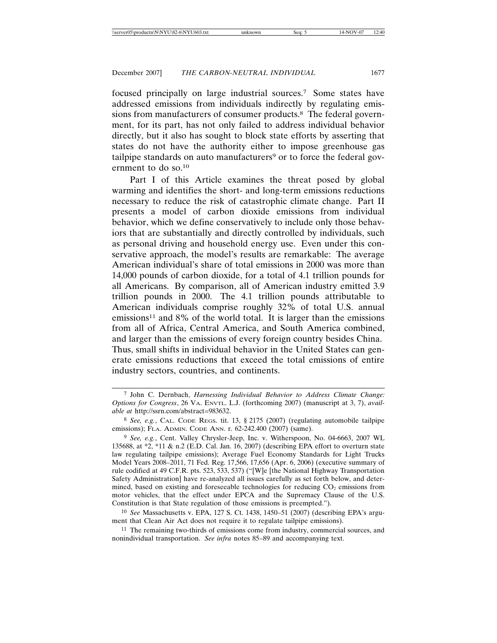focused principally on large industrial sources.7 Some states have addressed emissions from individuals indirectly by regulating emissions from manufacturers of consumer products.<sup>8</sup> The federal government, for its part, has not only failed to address individual behavior directly, but it also has sought to block state efforts by asserting that states do not have the authority either to impose greenhouse gas tailpipe standards on auto manufacturers<sup>9</sup> or to force the federal government to do so.10

Part I of this Article examines the threat posed by global warming and identifies the short- and long-term emissions reductions necessary to reduce the risk of catastrophic climate change. Part II presents a model of carbon dioxide emissions from individual behavior, which we define conservatively to include only those behaviors that are substantially and directly controlled by individuals, such as personal driving and household energy use. Even under this conservative approach, the model's results are remarkable: The average American individual's share of total emissions in 2000 was more than 14,000 pounds of carbon dioxide, for a total of 4.1 trillion pounds for all Americans. By comparison, all of American industry emitted 3.9 trillion pounds in 2000. The 4.1 trillion pounds attributable to American individuals comprise roughly 32% of total U.S. annual emissions<sup>11</sup> and 8% of the world total. It is larger than the emissions from all of Africa, Central America, and South America combined, and larger than the emissions of every foreign country besides China. Thus, small shifts in individual behavior in the United States can generate emissions reductions that exceed the total emissions of entire industry sectors, countries, and continents.

<sup>7</sup> John C. Dernbach, *Harnessing Individual Behavior to Address Climate Change: Options for Congress*, 26 VA. ENVTL. L.J. (forthcoming 2007) (manuscript at 3, 7), *available at* http://ssrn.com/abstract=983632.

<sup>8</sup> *See, e.g.*, CAL. CODE REGS. tit. 13, § 2175 (2007) (regulating automobile tailpipe emissions); FLA. ADMIN. CODE ANN. r. 62-242.400 (2007) (same).

<sup>9</sup> *See, e.g.*, Cent. Valley Chrysler-Jeep, Inc. v. Witherspoon, No. 04-6663, 2007 WL 135688, at \*2, \*11 & n.2 (E.D. Cal. Jan. 16, 2007) (describing EPA effort to overturn state law regulating tailpipe emissions); Average Fuel Economy Standards for Light Trucks Model Years 2008–2011, 71 Fed. Reg. 17,566, 17,656 (Apr. 6, 2006) (executive summary of rule codified at 49 C.F.R. pts. 523, 533, 537) ("[W]e [the National Highway Transportation Safety Administration] have re-analyzed all issues carefully as set forth below, and determined, based on existing and foreseeable technologies for reducing  $CO<sub>2</sub>$  emissions from motor vehicles, that the effect under EPCA and the Supremacy Clause of the U.S. Constitution is that State regulation of those emissions is preempted.").

<sup>10</sup> *See* Massachusetts v. EPA, 127 S. Ct. 1438, 1450–51 (2007) (describing EPA's argument that Clean Air Act does not require it to regulate tailpipe emissions).

<sup>11</sup> The remaining two-thirds of emissions come from industry, commercial sources, and nonindividual transportation. *See infra* notes 85–89 and accompanying text.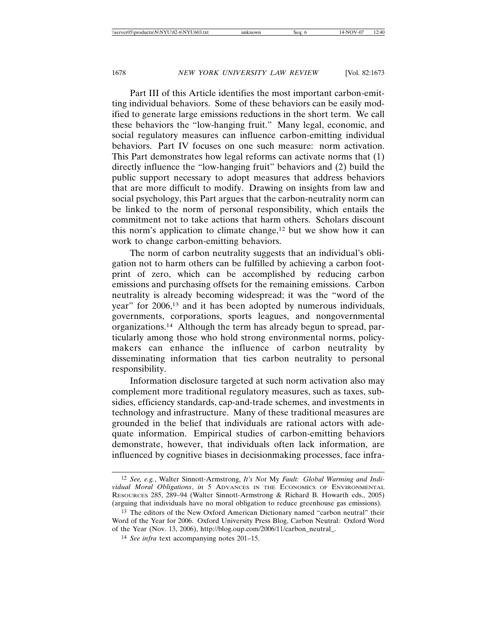Part III of this Article identifies the most important carbon-emitting individual behaviors. Some of these behaviors can be easily modified to generate large emissions reductions in the short term. We call these behaviors the "low-hanging fruit." Many legal, economic, and social regulatory measures can influence carbon-emitting individual behaviors. Part IV focuses on one such measure: norm activation. This Part demonstrates how legal reforms can activate norms that (1) directly influence the "low-hanging fruit" behaviors and (2) build the public support necessary to adopt measures that address behaviors that are more difficult to modify. Drawing on insights from law and social psychology, this Part argues that the carbon-neutrality norm can be linked to the norm of personal responsibility, which entails the commitment not to take actions that harm others. Scholars discount this norm's application to climate change,<sup>12</sup> but we show how it can work to change carbon-emitting behaviors.

The norm of carbon neutrality suggests that an individual's obligation not to harm others can be fulfilled by achieving a carbon footprint of zero, which can be accomplished by reducing carbon emissions and purchasing offsets for the remaining emissions. Carbon neutrality is already becoming widespread; it was the "word of the year" for 2006,13 and it has been adopted by numerous individuals, governments, corporations, sports leagues, and nongovernmental organizations.14 Although the term has already begun to spread, particularly among those who hold strong environmental norms, policymakers can enhance the influence of carbon neutrality by disseminating information that ties carbon neutrality to personal responsibility.

Information disclosure targeted at such norm activation also may complement more traditional regulatory measures, such as taxes, subsidies, efficiency standards, cap-and-trade schemes, and investments in technology and infrastructure. Many of these traditional measures are grounded in the belief that individuals are rational actors with adequate information. Empirical studies of carbon-emitting behaviors demonstrate, however, that individuals often lack information, are influenced by cognitive biases in decisionmaking processes, face infra-

<sup>12</sup> *See, e.g.*, Walter Sinnott-Armstrong, *It's Not* My *Fault: Global Warming and Individual Moral Obligations*, *in* 5 ADVANCES IN THE ECONOMICS OF ENVIRONMENTAL RESOURCES 285, 289–94 (Walter Sinnott-Armstrong & Richard B. Howarth eds., 2005) (arguing that individuals have no moral obligation to reduce greenhouse gas emissions).

<sup>13</sup> The editors of the New Oxford American Dictionary named "carbon neutral" their Word of the Year for 2006. Oxford University Press Blog, Carbon Neutral: Oxford Word of the Year (Nov. 13, 2006), http://blog.oup.com/2006/11/carbon\_neutral\_.

<sup>14</sup> *See infra* text accompanying notes 201–15.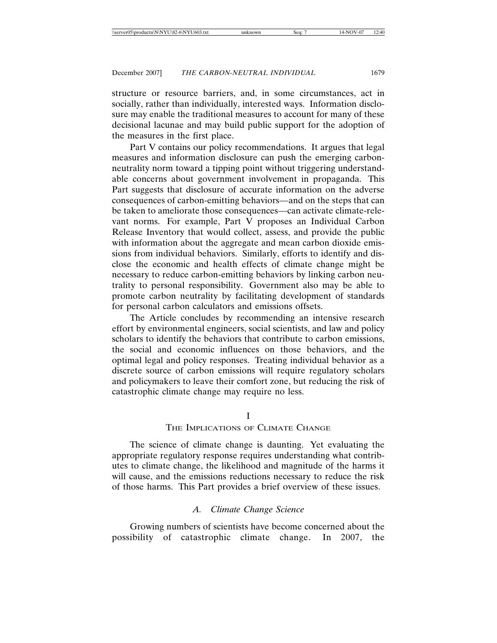structure or resource barriers, and, in some circumstances, act in socially, rather than individually, interested ways. Information disclosure may enable the traditional measures to account for many of these decisional lacunae and may build public support for the adoption of the measures in the first place.

Part V contains our policy recommendations. It argues that legal measures and information disclosure can push the emerging carbonneutrality norm toward a tipping point without triggering understandable concerns about government involvement in propaganda. This Part suggests that disclosure of accurate information on the adverse consequences of carbon-emitting behaviors—and on the steps that can be taken to ameliorate those consequences—can activate climate-relevant norms. For example, Part V proposes an Individual Carbon Release Inventory that would collect, assess, and provide the public with information about the aggregate and mean carbon dioxide emissions from individual behaviors. Similarly, efforts to identify and disclose the economic and health effects of climate change might be necessary to reduce carbon-emitting behaviors by linking carbon neutrality to personal responsibility. Government also may be able to promote carbon neutrality by facilitating development of standards for personal carbon calculators and emissions offsets.

The Article concludes by recommending an intensive research effort by environmental engineers, social scientists, and law and policy scholars to identify the behaviors that contribute to carbon emissions, the social and economic influences on those behaviors, and the optimal legal and policy responses. Treating individual behavior as a discrete source of carbon emissions will require regulatory scholars and policymakers to leave their comfort zone, but reducing the risk of catastrophic climate change may require no less.

## I

## THE IMPLICATIONS OF CLIMATE CHANGE

The science of climate change is daunting. Yet evaluating the appropriate regulatory response requires understanding what contributes to climate change, the likelihood and magnitude of the harms it will cause, and the emissions reductions necessary to reduce the risk of those harms. This Part provides a brief overview of these issues.

#### *A. Climate Change Science*

Growing numbers of scientists have become concerned about the possibility of catastrophic climate change. In 2007, the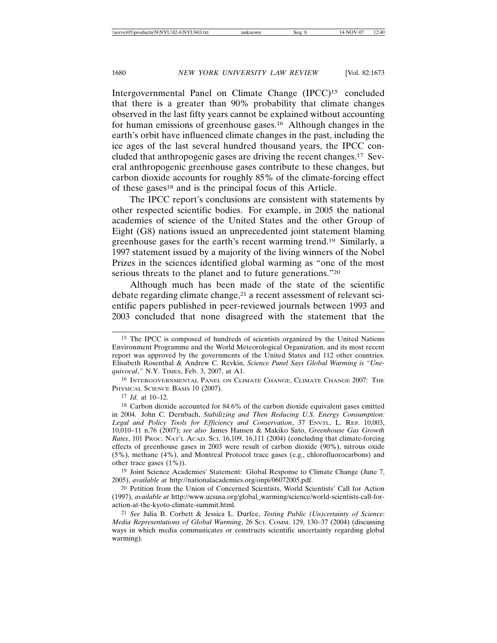Intergovernmental Panel on Climate Change (IPCC)15 concluded that there is a greater than 90% probability that climate changes observed in the last fifty years cannot be explained without accounting for human emissions of greenhouse gases.16 Although changes in the earth's orbit have influenced climate changes in the past, including the ice ages of the last several hundred thousand years, the IPCC concluded that anthropogenic gases are driving the recent changes.17 Several anthropogenic greenhouse gases contribute to these changes, but carbon dioxide accounts for roughly 85% of the climate-forcing effect of these gases18 and is the principal focus of this Article.

The IPCC report's conclusions are consistent with statements by other respected scientific bodies. For example, in 2005 the national academies of science of the United States and the other Group of Eight (G8) nations issued an unprecedented joint statement blaming greenhouse gases for the earth's recent warming trend.19 Similarly, a 1997 statement issued by a majority of the living winners of the Nobel Prizes in the sciences identified global warming as "one of the most serious threats to the planet and to future generations."20

Although much has been made of the state of the scientific debate regarding climate change,<sup>21</sup> a recent assessment of relevant scientific papers published in peer-reviewed journals between 1993 and 2003 concluded that none disagreed with the statement that the

19 Joint Science Academies' Statement: Global Response to Climate Change (June 7, 2005), *available at* http://nationalacademies.org/onpi/06072005.pdf.

20 Petition from the Union of Concerned Scientists, World Scientists' Call for Action (1997), *available at* http://www.ucsusa.org/global\_warming/science/world-scientists-call-foraction-at-the-kyoto-climate-summit.html.

21 *See* Julia B. Corbett & Jessica L. Durfee, *Testing Public (Un)certainty of Science: Media Representations of Global Warming*, 26 SCI. COMM. 129, 130–37 (2004) (discussing ways in which media communicates or constructs scientific uncertainty regarding global warming).

<sup>15</sup> The IPCC is composed of hundreds of scientists organized by the United Nations Environment Programme and the World Meteorological Organization, and its most recent report was approved by the governments of the United States and 112 other countries. Elisabeth Rosenthal & Andrew C. Revkin, *Science Panel Says Global Warming is "Unequivocal*,*"* N.Y. TIMES, Feb. 3, 2007, at A1.

<sup>16</sup> INTERGOVERNMENTAL PANEL ON CLIMATE CHANGE, CLIMATE CHANGE 2007: THE PHYSICAL SCIENCE BASIS 10 (2007).

<sup>17</sup> *Id.* at 10–12.

<sup>18</sup> Carbon dioxide accounted for 84.6% of the carbon dioxide equivalent gases emitted in 2004. John C. Dernbach, *Stabilizing and Then Reducing U.S. Energy Consumption: Legal and Policy Tools for Efficiency and Conservation*, 37 ENVTL. L. REP. 10,003, 10,010–11 n.76 (2007); *see also* James Hansen & Makiko Sato, *Greenhouse Gas Growth Rates*, 101 PROC. NAT'L ACAD. SCI. 16,109, 16,111 (2004) (concluding that climate-forcing effects of greenhouse gases in 2003 were result of carbon dioxide (90%), nitrous oxide (5%), methane (4%), and Montreal Protocol trace gases (e.g., chlorofluorocarbons) and other trace gases (1%)).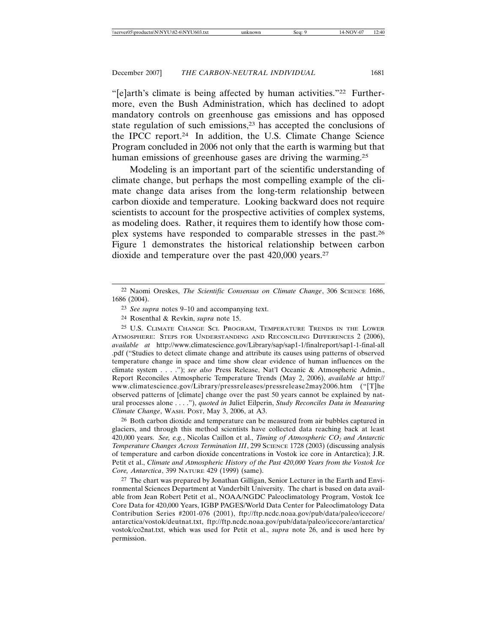"[e]arth's climate is being affected by human activities."22 Furthermore, even the Bush Administration, which has declined to adopt mandatory controls on greenhouse gas emissions and has opposed state regulation of such emissions,23 has accepted the conclusions of the IPCC report.24 In addition, the U.S. Climate Change Science Program concluded in 2006 not only that the earth is warming but that human emissions of greenhouse gases are driving the warming.<sup>25</sup>

Modeling is an important part of the scientific understanding of climate change, but perhaps the most compelling example of the climate change data arises from the long-term relationship between carbon dioxide and temperature. Looking backward does not require scientists to account for the prospective activities of complex systems, as modeling does. Rather, it requires them to identify how those complex systems have responded to comparable stresses in the past.26 Figure 1 demonstrates the historical relationship between carbon dioxide and temperature over the past 420,000 years.27

25 U.S. CLIMATE CHANGE SCI. PROGRAM, TEMPERATURE TRENDS IN THE LOWER ATMOSPHERE: STEPS FOR UNDERSTANDING AND RECONCILING DIFFERENCES 2 (2006), *available at* http://www.climatescience.gov/Library/sap/sap1-1/finalreport/sap1-1-final-all .pdf ("Studies to detect climate change and attribute its causes using patterns of observed temperature change in space and time show clear evidence of human influences on the climate system . . . ."); *see also* Press Release, Nat'l Oceanic & Atmospheric Admin., Report Reconciles Atmospheric Temperature Trends (May 2, 2006), *available at* http:// www.climatescience.gov/Library/pressreleases/pressrelease2may2006.htm ("[T]he observed patterns of [climate] change over the past 50 years cannot be explained by natural processes alone . . . ."), *quoted in* Juliet Eilperin, *Study Reconciles Data in Measuring Climate Change*, WASH. POST, May 3, 2006, at A3.

26 Both carbon dioxide and temperature can be measured from air bubbles captured in glaciers, and through this method scientists have collected data reaching back at least 420,000 years. *See, e.g.*, Nicolas Caillon et al., *Timing of Atmospheric CO<sub>2</sub> and Antarctic Temperature Changes Across Termination III*, 299 SCIENCE 1728 (2003) (discussing analysis of temperature and carbon dioxide concentrations in Vostok ice core in Antarctica); J.R. Petit et al., *Climate and Atmospheric History of the Past 420,000 Years from the Vostok Ice Core, Antarctica*, 399 NATURE 429 (1999) (same).

27 The chart was prepared by Jonathan Gilligan, Senior Lecturer in the Earth and Environmental Sciences Department at Vanderbilt University. The chart is based on data available from Jean Robert Petit et al., NOAA/NGDC Paleoclimatology Program, Vostok Ice Core Data for 420,000 Years, IGBP PAGES/World Data Center for Paleoclimatology Data Contribution Series #2001-076 (2001), ftp://ftp.ncdc.noaa.gov/pub/data/paleo/icecore/ antarctica/vostok/deutnat.txt, ftp://ftp.ncdc.noaa.gov/pub/data/paleo/icecore/antarctica/ vostok/co2nat.txt, which was used for Petit et al., *supra* note 26, and is used here by permission.

<sup>&</sup>lt;sup>22</sup> Naomi Oreskes, *The Scientific Consensus on Climate Change*, 306 SCIENCE 1686, 1686 (2004).

<sup>23</sup> *See supra* notes 9–10 and accompanying text.

<sup>24</sup> Rosenthal & Revkin, *supra* note 15.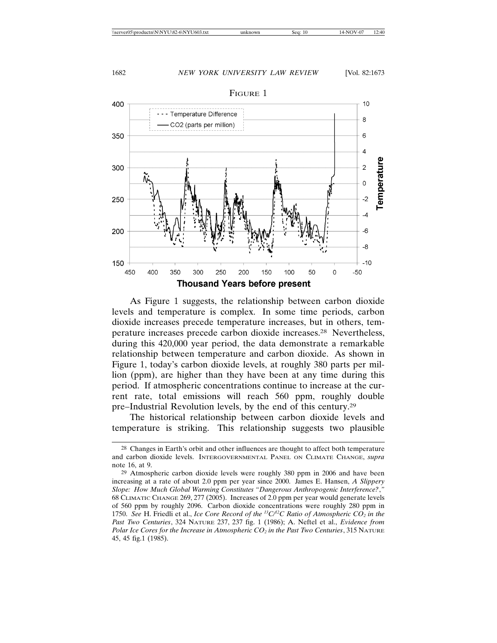

**Thousand Years before present** 

As Figure 1 suggests, the relationship between carbon dioxide levels and temperature is complex. In some time periods, carbon dioxide increases precede temperature increases, but in others, temperature increases precede carbon dioxide increases.28 Nevertheless, during this 420,000 year period, the data demonstrate a remarkable relationship between temperature and carbon dioxide. As shown in Figure 1, today's carbon dioxide levels, at roughly 380 parts per million (ppm), are higher than they have been at any time during this period. If atmospheric concentrations continue to increase at the current rate, total emissions will reach 560 ppm, roughly double pre–Industrial Revolution levels, by the end of this century.29

The historical relationship between carbon dioxide levels and temperature is striking. This relationship suggests two plausible

<sup>28</sup> Changes in Earth's orbit and other influences are thought to affect both temperature and carbon dioxide levels. INTERGOVERNMENTAL PANEL ON CLIMATE CHANGE, *supra* note 16, at 9.

<sup>29</sup> Atmospheric carbon dioxide levels were roughly 380 ppm in 2006 and have been increasing at a rate of about 2.0 ppm per year since 2000. James E. Hansen, *A Slippery Slope: How Much Global Warming Constitutes "Dangerous Anthropogenic Interference?*,*"* 68 CLIMATIC CHANGE 269, 277 (2005). Increases of 2.0 ppm per year would generate levels of 560 ppm by roughly 2096. Carbon dioxide concentrations were roughly 280 ppm in 1750. *See* H. Friedli et al., *Ice Core Record of the 13C/12C Ratio of Atmospheric CO2 in the Past Two Centuries*, 324 NATURE 237, 237 fig. 1 (1986); A. Neftel et al., *Evidence from Polar Ice Cores for the Increase in Atmospheric*  $CO_2$  *in the Past Two Centuries*, 315 NATURE 45, 45 fig.1 (1985).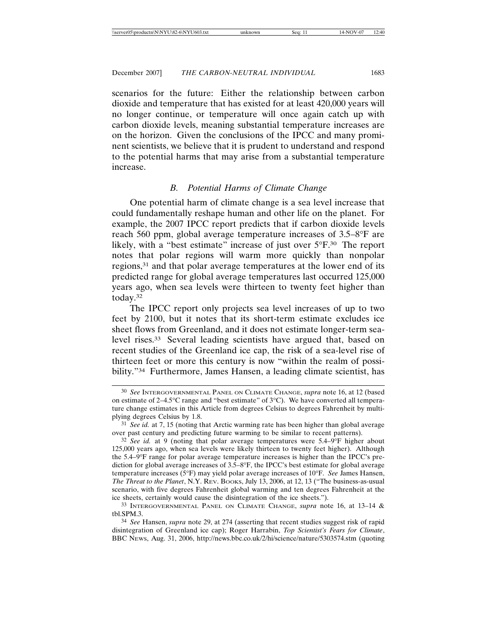scenarios for the future: Either the relationship between carbon dioxide and temperature that has existed for at least 420,000 years will no longer continue, or temperature will once again catch up with carbon dioxide levels, meaning substantial temperature increases are on the horizon. Given the conclusions of the IPCC and many prominent scientists, we believe that it is prudent to understand and respond to the potential harms that may arise from a substantial temperature increase.

## *B. Potential Harms of Climate Change*

One potential harm of climate change is a sea level increase that could fundamentally reshape human and other life on the planet. For example, the 2007 IPCC report predicts that if carbon dioxide levels reach 560 ppm, global average temperature increases of 3.5–8°F are likely, with a "best estimate" increase of just over 5°F.30 The report notes that polar regions will warm more quickly than nonpolar regions,31 and that polar average temperatures at the lower end of its predicted range for global average temperatures last occurred 125,000 years ago, when sea levels were thirteen to twenty feet higher than today.32

The IPCC report only projects sea level increases of up to two feet by 2100, but it notes that its short-term estimate excludes ice sheet flows from Greenland, and it does not estimate longer-term sealevel rises.33 Several leading scientists have argued that, based on recent studies of the Greenland ice cap, the risk of a sea-level rise of thirteen feet or more this century is now "within the realm of possibility."34 Furthermore, James Hansen, a leading climate scientist, has

<sup>30</sup> *See* INTERGOVERNMENTAL PANEL ON CLIMATE CHANGE, *supra* note 16, at 12 (based on estimate of 2–4.5°C range and "best estimate" of 3°C). We have converted all temperature change estimates in this Article from degrees Celsius to degrees Fahrenheit by multiplying degrees Celsius by 1.8.

<sup>31</sup> *See id.* at 7, 15 (noting that Arctic warming rate has been higher than global average over past century and predicting future warming to be similar to recent patterns).

<sup>32</sup> *See id.* at 9 (noting that polar average temperatures were 5.4–9°F higher about 125,000 years ago, when sea levels were likely thirteen to twenty feet higher). Although the 5.4–9°F range for polar average temperature increases is higher than the IPCC's prediction for global average increases of 3.5–8°F, the IPCC's best estimate for global average temperature increases (5°F) may yield polar average increases of 10°F. *See* James Hansen, *The Threat to the Planet*, N.Y. REV. BOOKS, July 13, 2006, at 12, 13 ("The business-as-usual scenario, with five degrees Fahrenheit global warming and ten degrees Fahrenheit at the ice sheets, certainly would cause the disintegration of the ice sheets.").

<sup>33</sup> INTERGOVERNMENTAL PANEL ON CLIMATE CHANGE, *supra* note 16, at 13–14 & tbl.SPM.3.

<sup>34</sup> *See* Hansen, *supra* note 29, at 274 (asserting that recent studies suggest risk of rapid disintegration of Greenland ice cap); Roger Harrabin, *Top Scientist's Fears for Climate*, BBC NEWS, Aug. 31, 2006, http://news.bbc.co.uk/2/hi/science/nature/5303574.stm (quoting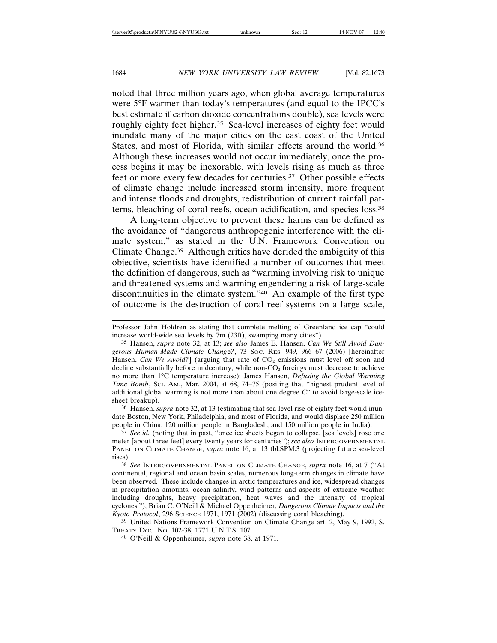noted that three million years ago, when global average temperatures were 5°F warmer than today's temperatures (and equal to the IPCC's best estimate if carbon dioxide concentrations double), sea levels were roughly eighty feet higher.<sup>35</sup> Sea-level increases of eighty feet would inundate many of the major cities on the east coast of the United States, and most of Florida, with similar effects around the world.36 Although these increases would not occur immediately, once the process begins it may be inexorable, with levels rising as much as three feet or more every few decades for centuries.37 Other possible effects of climate change include increased storm intensity, more frequent and intense floods and droughts, redistribution of current rainfall patterns, bleaching of coral reefs, ocean acidification, and species loss.38

A long-term objective to prevent these harms can be defined as the avoidance of "dangerous anthropogenic interference with the climate system," as stated in the U.N. Framework Convention on Climate Change.39 Although critics have derided the ambiguity of this objective, scientists have identified a number of outcomes that meet the definition of dangerous, such as "warming involving risk to unique and threatened systems and warming engendering a risk of large-scale discontinuities in the climate system."40 An example of the first type of outcome is the destruction of coral reef systems on a large scale,

36 Hansen, *supra* note 32, at 13 (estimating that sea-level rise of eighty feet would inundate Boston, New York, Philadelphia, and most of Florida, and would displace 250 million people in China, 120 million people in Bangladesh, and 150 million people in India).

<sup>37</sup> See id. (noting that in past, "once ice sheets began to collapse, [sea levels] rose one meter [about three feet] every twenty years for centuries"); *see also* INTERGOVERNMENTAL PANEL ON CLIMATE CHANGE, *supra* note 16, at 13 tbl.SPM.3 (projecting future sea-level rises).

38 *See* INTERGOVERNMENTAL PANEL ON CLIMATE CHANGE, *supra* note 16, at 7 ("At continental, regional and ocean basin scales, numerous long-term changes in climate have been observed. These include changes in arctic temperatures and ice, widespread changes in precipitation amounts, ocean salinity, wind patterns and aspects of extreme weather including droughts, heavy precipitation, heat waves and the intensity of tropical cyclones."); Brian C. O'Neill & Michael Oppenheimer, *Dangerous Climate Impacts and the Kyoto Protocol*, 296 SCIENCE 1971, 1971 (2002) (discussing coral bleaching).

39 United Nations Framework Convention on Climate Change art. 2, May 9, 1992, S. TREATY DOC. NO. 102-38, 1771 U.N.T.S. 107.

40 O'Neill & Oppenheimer, *supra* note 38, at 1971.

Professor John Holdren as stating that complete melting of Greenland ice cap "could increase world-wide sea levels by 7m (23ft), swamping many cities").

<sup>35</sup> Hansen, *supra* note 32, at 13; *see also* James E. Hansen, *Can We Still Avoid Dangerous Human-Made Climate Chang*e*?*, 73 SOC. RES. 949, 966–67 (2006) [hereinafter Hansen, *Can We Avoid?*] (arguing that rate of CO<sub>2</sub> emissions must level off soon and decline substantially before midcentury, while non- $CO<sub>2</sub>$  forcings must decrease to achieve no more than 1°C temperature increase); James Hansen, *Defusing the Global Warming Time Bomb*, SCI. AM., Mar. 2004, at 68, 74–75 (positing that "highest prudent level of additional global warming is not more than about one degree C" to avoid large-scale icesheet breakup).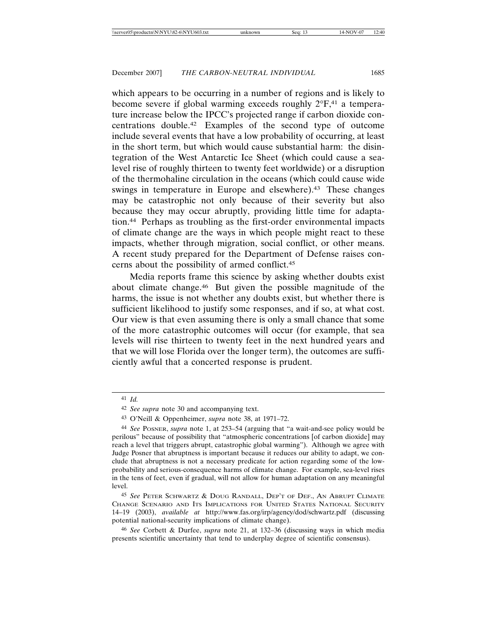which appears to be occurring in a number of regions and is likely to become severe if global warming exceeds roughly  $2^{\circ}F^{41}$  a temperature increase below the IPCC's projected range if carbon dioxide concentrations double.42 Examples of the second type of outcome include several events that have a low probability of occurring, at least in the short term, but which would cause substantial harm: the disintegration of the West Antarctic Ice Sheet (which could cause a sealevel rise of roughly thirteen to twenty feet worldwide) or a disruption of the thermohaline circulation in the oceans (which could cause wide swings in temperature in Europe and elsewhere).<sup>43</sup> These changes may be catastrophic not only because of their severity but also because they may occur abruptly, providing little time for adaptation.44 Perhaps as troubling as the first-order environmental impacts of climate change are the ways in which people might react to these impacts, whether through migration, social conflict, or other means. A recent study prepared for the Department of Defense raises concerns about the possibility of armed conflict.45

Media reports frame this science by asking whether doubts exist about climate change.46 But given the possible magnitude of the harms, the issue is not whether any doubts exist, but whether there is sufficient likelihood to justify some responses, and if so, at what cost. Our view is that even assuming there is only a small chance that some of the more catastrophic outcomes will occur (for example, that sea levels will rise thirteen to twenty feet in the next hundred years and that we will lose Florida over the longer term), the outcomes are sufficiently awful that a concerted response is prudent.

<sup>41</sup> *Id.*

<sup>42</sup> *See supra* note 30 and accompanying text.

<sup>43</sup> O'Neill & Oppenheimer, *supra* note 38, at 1971–72.

<sup>44</sup> *See* POSNER, *supra* note 1, at 253–54 (arguing that "a wait-and-see policy would be perilous" because of possibility that "atmospheric concentrations [of carbon dioxide] may reach a level that triggers abrupt, catastrophic global warming"). Although we agree with Judge Posner that abruptness is important because it reduces our ability to adapt, we conclude that abruptness is not a necessary predicate for action regarding some of the lowprobability and serious-consequence harms of climate change. For example, sea-level rises in the tens of feet, even if gradual, will not allow for human adaptation on any meaningful level.

<sup>45</sup> *See* PETER SCHWARTZ & DOUG RANDALL, DEP'T OF DEF., AN ABRUPT CLIMATE CHANGE SCENARIO AND ITS IMPLICATIONS FOR UNITED STATES NATIONAL SECURITY 14–19 (2003), *available at* http://www.fas.org/irp/agency/dod/schwartz.pdf (discussing potential national-security implications of climate change).

<sup>46</sup> *See* Corbett & Durfee, *supra* note 21, at 132–36 (discussing ways in which media presents scientific uncertainty that tend to underplay degree of scientific consensus).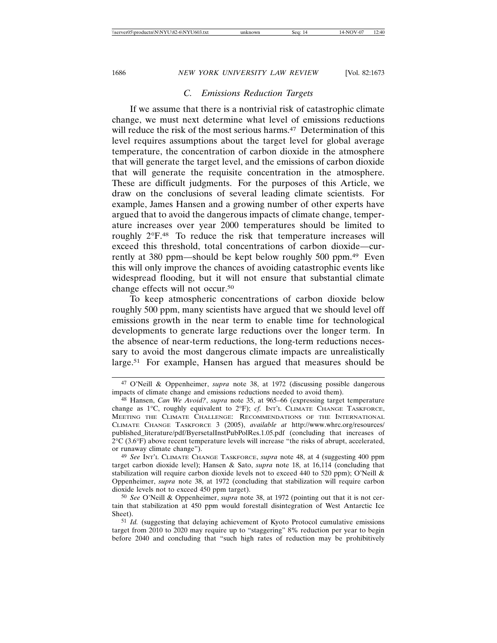## *C. Emissions Reduction Targets*

If we assume that there is a nontrivial risk of catastrophic climate change, we must next determine what level of emissions reductions will reduce the risk of the most serious harms.<sup>47</sup> Determination of this level requires assumptions about the target level for global average temperature, the concentration of carbon dioxide in the atmosphere that will generate the target level, and the emissions of carbon dioxide that will generate the requisite concentration in the atmosphere. These are difficult judgments. For the purposes of this Article, we draw on the conclusions of several leading climate scientists. For example, James Hansen and a growing number of other experts have argued that to avoid the dangerous impacts of climate change, temperature increases over year 2000 temperatures should be limited to roughly 2°F.48 To reduce the risk that temperature increases will exceed this threshold, total concentrations of carbon dioxide—currently at 380 ppm—should be kept below roughly 500 ppm.49 Even this will only improve the chances of avoiding catastrophic events like widespread flooding, but it will not ensure that substantial climate change effects will not occur.50

To keep atmospheric concentrations of carbon dioxide below roughly 500 ppm, many scientists have argued that we should level off emissions growth in the near term to enable time for technological developments to generate large reductions over the longer term. In the absence of near-term reductions, the long-term reductions necessary to avoid the most dangerous climate impacts are unrealistically large.51 For example, Hansen has argued that measures should be

<sup>47</sup> O'Neill & Oppenheimer, *supra* note 38, at 1972 (discussing possible dangerous impacts of climate change and emissions reductions needed to avoid them).

<sup>48</sup> Hansen, *Can We Avoid?*, *supra* note 35, at 965–66 (expressing target temperature change as 1°C, roughly equivalent to 2°F); *cf.* INT'L CLIMATE CHANGE TASKFORCE, MEETING THE CLIMATE CHALLENGE: RECOMMENDATIONS OF THE INTERNATIONAL CLIMATE CHANGE TASKFORCE 3 (2005), *available at* http://www.whrc.org/resources/ published\_literature/pdf/ByersetalInstPubPolRes.1.05.pdf (concluding that increases of 2°C (3.6°F) above recent temperature levels will increase "the risks of abrupt, accelerated, or runaway climate change").

<sup>49</sup> *See* INT'L CLIMATE CHANGE TASKFORCE, *supra* note 48, at 4 (suggesting 400 ppm target carbon dioxide level); Hansen & Sato, *supra* note 18, at 16,114 (concluding that stabilization will require carbon dioxide levels not to exceed 440 to 520 ppm); O'Neill & Oppenheimer, *supra* note 38, at 1972 (concluding that stabilization will require carbon dioxide levels not to exceed 450 ppm target).

<sup>50</sup> *See* O'Neill & Oppenheimer, *supra* note 38, at 1972 (pointing out that it is not certain that stabilization at 450 ppm would forestall disintegration of West Antarctic Ice Sheet).

<sup>51</sup> *Id.* (suggesting that delaying achievement of Kyoto Protocol cumulative emissions target from 2010 to 2020 may require up to "staggering" 8% reduction per year to begin before 2040 and concluding that "such high rates of reduction may be prohibitively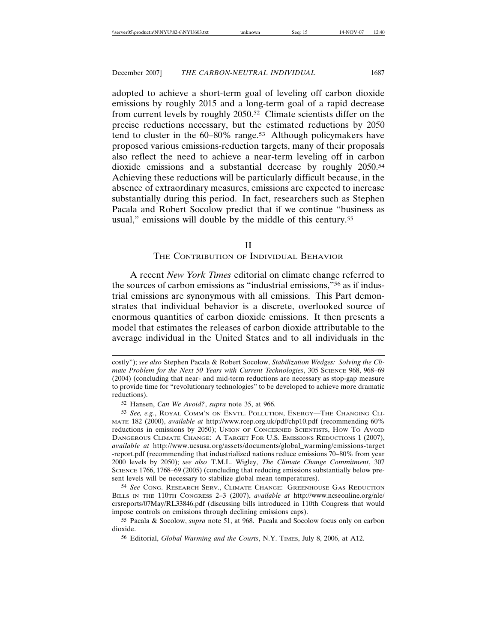adopted to achieve a short-term goal of leveling off carbon dioxide emissions by roughly 2015 and a long-term goal of a rapid decrease from current levels by roughly 2050.52 Climate scientists differ on the precise reductions necessary, but the estimated reductions by 2050 tend to cluster in the 60–80% range.53 Although policymakers have proposed various emissions-reduction targets, many of their proposals also reflect the need to achieve a near-term leveling off in carbon dioxide emissions and a substantial decrease by roughly 2050.54 Achieving these reductions will be particularly difficult because, in the absence of extraordinary measures, emissions are expected to increase substantially during this period. In fact, researchers such as Stephen Pacala and Robert Socolow predict that if we continue "business as usual," emissions will double by the middle of this century.<sup>55</sup>

### II

#### THE CONTRIBUTION OF INDIVIDUAL BEHAVIOR

A recent *New York Times* editorial on climate change referred to the sources of carbon emissions as "industrial emissions,"56 as if industrial emissions are synonymous with all emissions. This Part demonstrates that individual behavior is a discrete, overlooked source of enormous quantities of carbon dioxide emissions. It then presents a model that estimates the releases of carbon dioxide attributable to the average individual in the United States and to all individuals in the

costly"); *see also* Stephen Pacala & Robert Socolow, *Stabilization Wedges: Solving the Climate Problem for the Next 50 Years with Current Technologies*, 305 SCIENCE 968, 968–69 (2004) (concluding that near- and mid-term reductions are necessary as stop-gap measure to provide time for "revolutionary technologies" to be developed to achieve more dramatic reductions).

<sup>52</sup> Hansen, *Can We Avoid?*, *supra* note 35, at 966.

<sup>53</sup> *See, e.g.*, ROYAL COMM'N ON ENVTL. POLLUTION, ENERGY—THE CHANGING CLI-MATE 182 (2000), *available at* http://www.rcep.org.uk/pdf/chp10.pdf (recommending 60% reductions in emissions by 2050); UNION OF CONCERNED SCIENTISTS, HOW TO AVOID DANGEROUS CLIMATE CHANGE: A TARGET FOR U.S. EMISSIONS REDUCTIONS 1 (2007), *available at* http://www.ucsusa.org/assets/documents/global\_warming/emissions-target -report.pdf (recommending that industrialized nations reduce emissions 70–80% from year 2000 levels by 2050); *see also* T.M.L. Wigley, *The Climate Change Commitment*, 307 SCIENCE 1766, 1768–69 (2005) (concluding that reducing emissions substantially below present levels will be necessary to stabilize global mean temperatures).

<sup>54</sup> *See* CONG. RESEARCH SERV., CLIMATE CHANGE: GREENHOUSE GAS REDUCTION BILLS IN THE 110TH CONGRESS 2–3 (2007), *available at* http://www.ncseonline.org/nle/ crsreports/07May/RL33846.pdf (discussing bills introduced in 110th Congress that would impose controls on emissions through declining emissions caps).

<sup>55</sup> Pacala & Socolow, *supra* note 51, at 968. Pacala and Socolow focus only on carbon dioxide.

<sup>56</sup> Editorial, *Global Warming and the Courts*, N.Y. TIMES, July 8, 2006, at A12.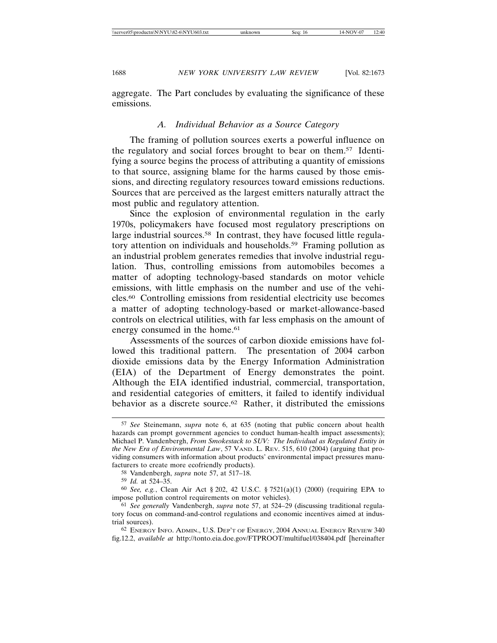aggregate. The Part concludes by evaluating the significance of these emissions.

### *A. Individual Behavior as a Source Category*

The framing of pollution sources exerts a powerful influence on the regulatory and social forces brought to bear on them.57 Identifying a source begins the process of attributing a quantity of emissions to that source, assigning blame for the harms caused by those emissions, and directing regulatory resources toward emissions reductions. Sources that are perceived as the largest emitters naturally attract the most public and regulatory attention.

Since the explosion of environmental regulation in the early 1970s, policymakers have focused most regulatory prescriptions on large industrial sources.<sup>58</sup> In contrast, they have focused little regulatory attention on individuals and households.<sup>59</sup> Framing pollution as an industrial problem generates remedies that involve industrial regulation. Thus, controlling emissions from automobiles becomes a matter of adopting technology-based standards on motor vehicle emissions, with little emphasis on the number and use of the vehicles.60 Controlling emissions from residential electricity use becomes a matter of adopting technology-based or market-allowance-based controls on electrical utilities, with far less emphasis on the amount of energy consumed in the home.<sup>61</sup>

Assessments of the sources of carbon dioxide emissions have followed this traditional pattern. The presentation of 2004 carbon dioxide emissions data by the Energy Information Administration (EIA) of the Department of Energy demonstrates the point. Although the EIA identified industrial, commercial, transportation, and residential categories of emitters, it failed to identify individual behavior as a discrete source.<sup>62</sup> Rather, it distributed the emissions

<sup>57</sup> *See* Steinemann, *supra* note 6, at 635 (noting that public concern about health hazards can prompt government agencies to conduct human-health impact assessments); Michael P. Vandenbergh, *From Smokestack to SUV: The Individual as Regulated Entity in the New Era of Environmental Law*, 57 VAND. L. REV. 515, 610 (2004) (arguing that providing consumers with information about products' environmental impact pressures manufacturers to create more ecofriendly products).

<sup>58</sup> Vandenbergh, *supra* note 57, at 517–18.

<sup>59</sup> *Id.* at 524–35.

<sup>60</sup> *See, e.g.*, Clean Air Act § 202, 42 U.S.C. § 7521(a)(1) (2000) (requiring EPA to impose pollution control requirements on motor vehicles).

<sup>61</sup> *See generally* Vandenbergh, *supra* note 57, at 524–29 (discussing traditional regulatory focus on command-and-control regulations and economic incentives aimed at industrial sources).

<sup>62</sup> ENERGY INFO. ADMIN., U.S. DEP'T OF ENERGY, 2004 ANNUAL ENERGY REVIEW 340 fig.12.2, *available at* http://tonto.eia.doe.gov/FTPROOT/multifuel/038404.pdf [hereinafter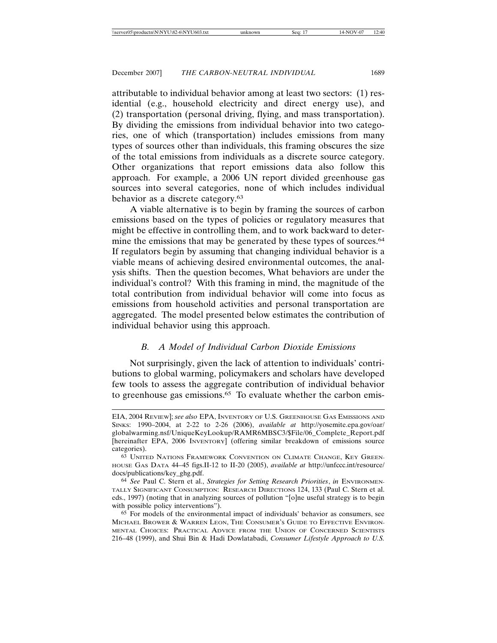attributable to individual behavior among at least two sectors: (1) residential (e.g., household electricity and direct energy use), and (2) transportation (personal driving, flying, and mass transportation). By dividing the emissions from individual behavior into two categories, one of which (transportation) includes emissions from many types of sources other than individuals, this framing obscures the size of the total emissions from individuals as a discrete source category. Other organizations that report emissions data also follow this approach. For example, a 2006 UN report divided greenhouse gas sources into several categories, none of which includes individual behavior as a discrete category.63

A viable alternative is to begin by framing the sources of carbon emissions based on the types of policies or regulatory measures that might be effective in controlling them, and to work backward to determine the emissions that may be generated by these types of sources.<sup>64</sup> If regulators begin by assuming that changing individual behavior is a viable means of achieving desired environmental outcomes, the analysis shifts. Then the question becomes, What behaviors are under the individual's control? With this framing in mind, the magnitude of the total contribution from individual behavior will come into focus as emissions from household activities and personal transportation are aggregated. The model presented below estimates the contribution of individual behavior using this approach.

## *B. A Model of Individual Carbon Dioxide Emissions*

Not surprisingly, given the lack of attention to individuals' contributions to global warming, policymakers and scholars have developed few tools to assess the aggregate contribution of individual behavior to greenhouse gas emissions.65 To evaluate whether the carbon emis-

EIA, 2004 REVIEW]; *see also* EPA, INVENTORY OF U.S. GREENHOUSE GAS EMISSIONS AND SINKS: 1990–2004, at 2-22 to 2-26 (2006), *available at* http://yosemite.epa.gov/oar/ globalwarming.nsf/UniqueKeyLookup/RAMR6MBSC3/\$File/06\_Complete\_Report.pdf [hereinafter EPA, 2006 INVENTORY] (offering similar breakdown of emissions source categories).

<sup>63</sup> UNITED NATIONS FRAMEWORK CONVENTION ON CLIMATE CHANGE, KEY GREEN-HOUSE GAS DATA 44–45 figs.II-12 to II-20 (2005), *available at* http://unfccc.int/resource/ docs/publications/key\_ghg.pdf.

<sup>64</sup> *See* Paul C. Stern et al., *Strategies for Setting Research Priorities*, *in* ENVIRONMEN-TALLY SIGNIFICANT CONSUMPTION: RESEARCH DIRECTIONS 124, 133 (Paul C. Stern et al. eds., 1997) (noting that in analyzing sources of pollution "[o]ne useful strategy is to begin with possible policy interventions").

<sup>65</sup> For models of the environmental impact of individuals' behavior as consumers, see MICHAEL BROWER & WARREN LEON, THE CONSUMER'S GUIDE TO EFFECTIVE ENVIRON-MENTAL CHOICES: PRACTICAL ADVICE FROM THE UNION OF CONCERNED SCIENTISTS 216–48 (1999), and Shui Bin & Hadi Dowlatabadi, *Consumer Lifestyle Approach to U.S.*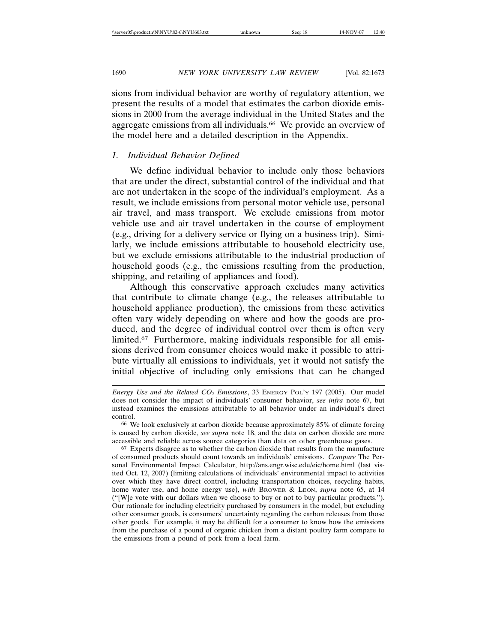sions from individual behavior are worthy of regulatory attention, we present the results of a model that estimates the carbon dioxide emissions in 2000 from the average individual in the United States and the aggregate emissions from all individuals.<sup>66</sup> We provide an overview of the model here and a detailed description in the Appendix.

## *1. Individual Behavior Defined*

We define individual behavior to include only those behaviors that are under the direct, substantial control of the individual and that are not undertaken in the scope of the individual's employment. As a result, we include emissions from personal motor vehicle use, personal air travel, and mass transport. We exclude emissions from motor vehicle use and air travel undertaken in the course of employment (e.g., driving for a delivery service or flying on a business trip). Similarly, we include emissions attributable to household electricity use, but we exclude emissions attributable to the industrial production of household goods (e.g., the emissions resulting from the production, shipping, and retailing of appliances and food).

Although this conservative approach excludes many activities that contribute to climate change (e.g., the releases attributable to household appliance production), the emissions from these activities often vary widely depending on where and how the goods are produced, and the degree of individual control over them is often very limited.67 Furthermore, making individuals responsible for all emissions derived from consumer choices would make it possible to attribute virtually all emissions to individuals, yet it would not satisfy the initial objective of including only emissions that can be changed

*Energy Use and the Related CO2 Emissions*, 33 ENERGY POL'Y 197 (2005). Our model does not consider the impact of individuals' consumer behavior, *see infra* note 67, but instead examines the emissions attributable to all behavior under an individual's direct control.

<sup>66</sup> We look exclusively at carbon dioxide because approximately 85% of climate forcing is caused by carbon dioxide, *see supra* note 18, and the data on carbon dioxide are more accessible and reliable across source categories than data on other greenhouse gases.

<sup>67</sup> Experts disagree as to whether the carbon dioxide that results from the manufacture of consumed products should count towards an individuals' emissions. *Compare* The Personal Environmental Impact Calculator, http://ans.engr.wisc.edu/eic/home.html (last visited Oct. 12, 2007) (limiting calculations of individuals' environmental impact to activities over which they have direct control, including transportation choices, recycling habits, home water use, and home energy use), *with* BROWER & LEON, *supra* note 65, at 14 ("[W]e vote with our dollars when we choose to buy or not to buy particular products."). Our rationale for including electricity purchased by consumers in the model, but excluding other consumer goods, is consumers' uncertainty regarding the carbon releases from those other goods. For example, it may be difficult for a consumer to know how the emissions from the purchase of a pound of organic chicken from a distant poultry farm compare to the emissions from a pound of pork from a local farm.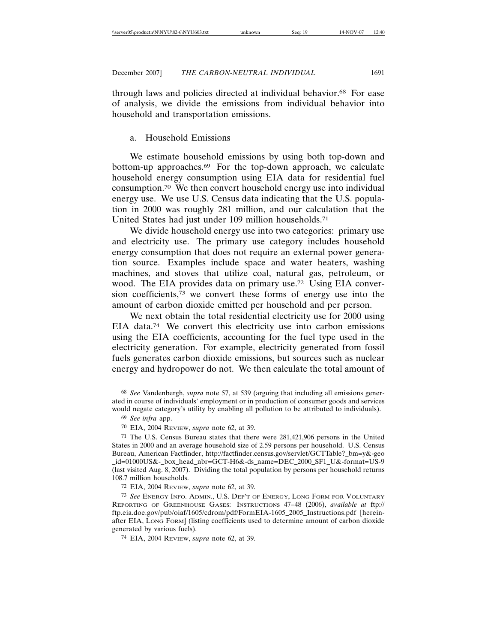through laws and policies directed at individual behavior.68 For ease of analysis, we divide the emissions from individual behavior into household and transportation emissions.

## a. Household Emissions

We estimate household emissions by using both top-down and bottom-up approaches.69 For the top-down approach, we calculate household energy consumption using EIA data for residential fuel consumption.70 We then convert household energy use into individual energy use. We use U.S. Census data indicating that the U.S. population in 2000 was roughly 281 million, and our calculation that the United States had just under 109 million households.71

We divide household energy use into two categories: primary use and electricity use. The primary use category includes household energy consumption that does not require an external power generation source. Examples include space and water heaters, washing machines, and stoves that utilize coal, natural gas, petroleum, or wood. The EIA provides data on primary use.<sup>72</sup> Using EIA conversion coefficients,73 we convert these forms of energy use into the amount of carbon dioxide emitted per household and per person.

We next obtain the total residential electricity use for 2000 using EIA data.74 We convert this electricity use into carbon emissions using the EIA coefficients, accounting for the fuel type used in the electricity generation. For example, electricity generated from fossil fuels generates carbon dioxide emissions, but sources such as nuclear energy and hydropower do not. We then calculate the total amount of

<sup>68</sup> *See* Vandenbergh, *supra* note 57, at 539 (arguing that including all emissions generated in course of individuals' employment or in production of consumer goods and services would negate category's utility by enabling all pollution to be attributed to individuals).

<sup>69</sup> *See infra* app.

<sup>70</sup> EIA, 2004 REVIEW, *supra* note 62, at 39.

<sup>71</sup> The U.S. Census Bureau states that there were 281,421,906 persons in the United States in 2000 and an average household size of 2.59 persons per household. U.S. Census Bureau, American Factfinder, http://factfinder.census.gov/servlet/GCTTable?\_bm=y&-geo \_id=01000US&-\_box\_head\_nbr=GCT-H6&-ds\_name=DEC\_2000\_SF1\_U&-format=US-9 (last visited Aug. 8, 2007). Dividing the total population by persons per household returns 108.7 million households.

<sup>72</sup> EIA, 2004 REVIEW, *supra* note 62, at 39.

<sup>73</sup> *See* ENERGY INFO. ADMIN., U.S. DEP'T OF ENERGY, LONG FORM FOR VOLUNTARY REPORTING OF GREENHOUSE GASES: INSTRUCTIONS 47–48 (2006), *available at* ftp:// ftp.eia.doe.gov/pub/oiaf/1605/cdrom/pdf/FormEIA-1605\_2005\_Instructions.pdf [hereinafter EIA, LONG FORM] (listing coefficients used to determine amount of carbon dioxide generated by various fuels).

<sup>74</sup> EIA, 2004 REVIEW, *supra* note 62, at 39.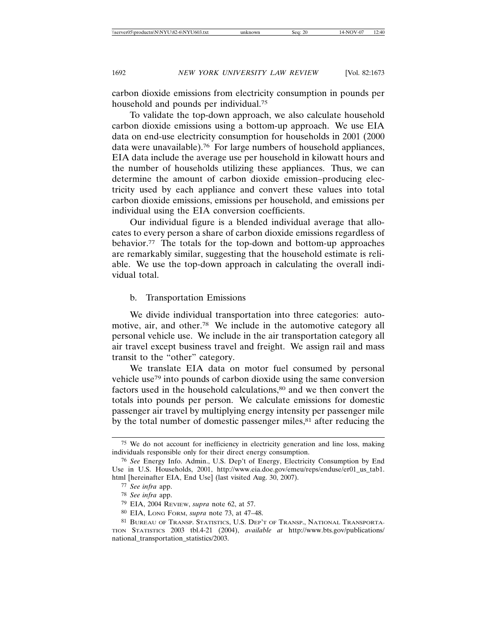carbon dioxide emissions from electricity consumption in pounds per household and pounds per individual.75

To validate the top-down approach, we also calculate household carbon dioxide emissions using a bottom-up approach. We use EIA data on end-use electricity consumption for households in 2001 (2000 data were unavailable).76 For large numbers of household appliances, EIA data include the average use per household in kilowatt hours and the number of households utilizing these appliances. Thus, we can determine the amount of carbon dioxide emission–producing electricity used by each appliance and convert these values into total carbon dioxide emissions, emissions per household, and emissions per individual using the EIA conversion coefficients.

Our individual figure is a blended individual average that allocates to every person a share of carbon dioxide emissions regardless of behavior.77 The totals for the top-down and bottom-up approaches are remarkably similar, suggesting that the household estimate is reliable. We use the top-down approach in calculating the overall individual total.

### b. Transportation Emissions

We divide individual transportation into three categories: automotive, air, and other.78 We include in the automotive category all personal vehicle use. We include in the air transportation category all air travel except business travel and freight. We assign rail and mass transit to the "other" category.

We translate EIA data on motor fuel consumed by personal vehicle use79 into pounds of carbon dioxide using the same conversion factors used in the household calculations,<sup>80</sup> and we then convert the totals into pounds per person. We calculate emissions for domestic passenger air travel by multiplying energy intensity per passenger mile by the total number of domestic passenger miles,<sup>81</sup> after reducing the

<sup>75</sup> We do not account for inefficiency in electricity generation and line loss, making individuals responsible only for their direct energy consumption.

<sup>76</sup> *See* Energy Info. Admin., U.S. Dep't of Energy, Electricity Consumption by End Use in U.S. Households, 2001, http://www.eia.doe.gov/emeu/reps/enduse/er01\_us\_tab1. html [hereinafter EIA, End Use] (last visited Aug. 30, 2007).

<sup>77</sup> *See infra* app.

<sup>78</sup> *See infra* app.

<sup>79</sup> EIA, 2004 REVIEW, *supra* note 62, at 57.

<sup>80</sup> EIA, LONG FORM, *supra* note 73, at 47–48.

<sup>81</sup> BUREAU OF TRANSP. STATISTICS, U.S. DEP'T OF TRANSP., NATIONAL TRANSPORTA-TION STATISTICS 2003 tbl.4-21 (2004), *available at* http://www.bts.gov/publications/ national\_transportation\_statistics/2003.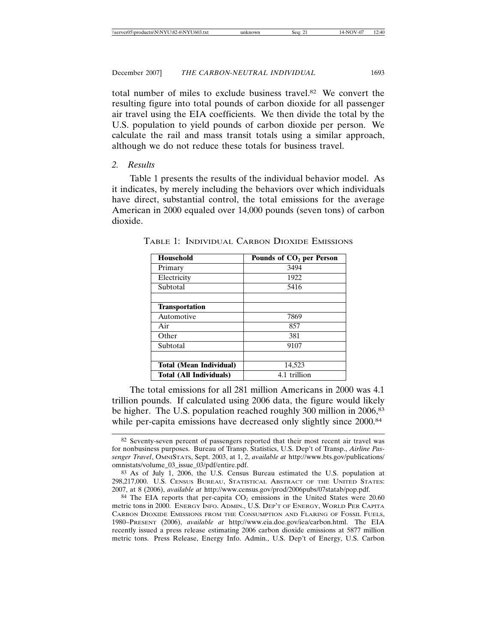total number of miles to exclude business travel.82 We convert the resulting figure into total pounds of carbon dioxide for all passenger air travel using the EIA coefficients. We then divide the total by the U.S. population to yield pounds of carbon dioxide per person. We calculate the rail and mass transit totals using a similar approach, although we do not reduce these totals for business travel.

#### *2. Results*

Table 1 presents the results of the individual behavior model. As it indicates, by merely including the behaviors over which individuals have direct, substantial control, the total emissions for the average American in 2000 equaled over 14,000 pounds (seven tons) of carbon dioxide.

| Household                                      | Pounds of CO <sub>2</sub> per Person |
|------------------------------------------------|--------------------------------------|
| Primary                                        | 3494                                 |
| Electricity                                    | 1922                                 |
| Subtotal                                       | 5416                                 |
|                                                |                                      |
| <b>Transportation</b>                          |                                      |
| Automotive                                     | 7869                                 |
| Air                                            | 857                                  |
| Other                                          | 381                                  |
| Subtotal                                       | 9107                                 |
|                                                |                                      |
| <b>Total (Mean Individual)</b>                 | 14,523                               |
| <b>Total (All Individuals)</b><br>4.1 trillion |                                      |

TABLE 1: INDIVIDUAL CARBON DIOXIDE EMISSIONS

The total emissions for all 281 million Americans in 2000 was 4.1 trillion pounds. If calculated using 2006 data, the figure would likely be higher. The U.S. population reached roughly 300 million in 2006,<sup>83</sup> while per-capita emissions have decreased only slightly since 2000.<sup>84</sup>

<sup>82</sup> Seventy-seven percent of passengers reported that their most recent air travel was for nonbusiness purposes. Bureau of Transp. Statistics, U.S. Dep't of Transp., *Airline Passenger Travel*, OMNISTATS, Sept. 2003, at 1, 2, *available at* http://www.bts.gov/publications/ omnistats/volume\_03\_issue\_03/pdf/entire.pdf.

<sup>83</sup> As of July 1, 2006, the U.S. Census Bureau estimated the U.S. population at 298,217,000. U.S. CENSUS BUREAU, STATISTICAL ABSTRACT OF THE UNITED STATES: 2007, at 8 (2006), *available at* http://www.census.gov/prod/2006pubs/07statab/pop.pdf.

<sup>&</sup>lt;sup>84</sup> The EIA reports that per-capita  $CO<sub>2</sub>$  emissions in the United States were 20.60 metric tons in 2000. ENERGY INFO. ADMIN., U.S. DEP'T OF ENERGY, WORLD PER CAPITA CARBON DIOXIDE EMISSIONS FROM THE CONSUMPTION AND FLARING OF FOSSIL FUELS, 1980–PRESENT (2006), *available at* http://www.eia.doe.gov/iea/carbon.html. The EIA recently issued a press release estimating 2006 carbon dioxide emissions at 5877 million metric tons. Press Release, Energy Info. Admin., U.S. Dep't of Energy, U.S. Carbon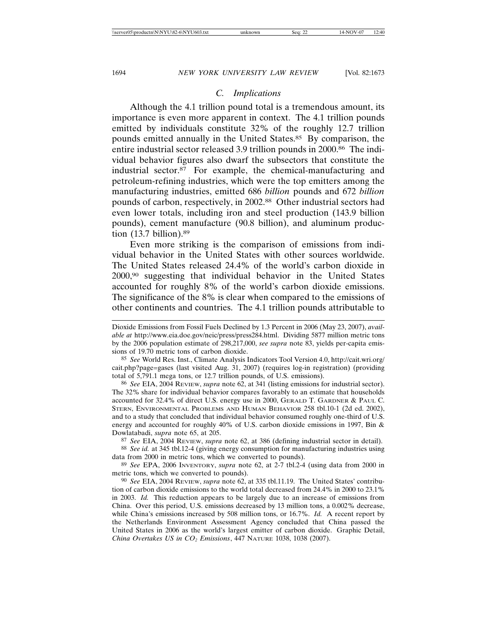## *C. Implications*

Although the 4.1 trillion pound total is a tremendous amount, its importance is even more apparent in context. The 4.1 trillion pounds emitted by individuals constitute 32% of the roughly 12.7 trillion pounds emitted annually in the United States.85 By comparison, the entire industrial sector released 3.9 trillion pounds in 2000.<sup>86</sup> The individual behavior figures also dwarf the subsectors that constitute the industrial sector.87 For example, the chemical-manufacturing and petroleum-refining industries, which were the top emitters among the manufacturing industries, emitted 686 *billion* pounds and 672 *billion* pounds of carbon, respectively, in 2002.88 Other industrial sectors had even lower totals, including iron and steel production (143.9 billion pounds), cement manufacture (90.8 billion), and aluminum production (13.7 billion).89

Even more striking is the comparison of emissions from individual behavior in the United States with other sources worldwide. The United States released 24.4% of the world's carbon dioxide in 2000,90 suggesting that individual behavior in the United States accounted for roughly 8% of the world's carbon dioxide emissions. The significance of the 8% is clear when compared to the emissions of other continents and countries. The 4.1 trillion pounds attributable to

85 *See* World Res. Inst., Climate Analysis Indicators Tool Version 4.0, http://cait.wri.org/ cait.php?page=gases (last visited Aug. 31, 2007) (requires log-in registration) (providing total of 5,791.1 mega tons, or 12.7 trillion pounds, of U.S. emissions).

86 *See* EIA, 2004 REVIEW, *supra* note 62, at 341 (listing emissions for industrial sector). The 32% share for individual behavior compares favorably to an estimate that households accounted for 32.4% of direct U.S. energy use in 2000, GERALD T. GARDNER & PAUL C. STERN, ENVIRONMENTAL PROBLEMS AND HUMAN BEHAVIOR 258 tbl.10-1 (2d ed. 2002), and to a study that concluded that individual behavior consumed roughly one-third of U.S. energy and accounted for roughly 40% of U.S. carbon dioxide emissions in 1997, Bin & Dowlatabadi, *supra* note 65, at 205.

87 *See* EIA, 2004 REVIEW, *supra* note 62, at 386 (defining industrial sector in detail).

88 *See id.* at 345 tbl.12-4 (giving energy consumption for manufacturing industries using data from 2000 in metric tons, which we converted to pounds).

89 *See* EPA, 2006 INVENTORY, *supra* note 62, at 2-7 tbl.2-4 (using data from 2000 in metric tons, which we converted to pounds).

90 *See* EIA, 2004 REVIEW, *supra* note 62, at 335 tbl.11.19. The United States' contribution of carbon dioxide emissions to the world total decreased from 24.4% in 2000 to 23.1% in 2003. *Id.* This reduction appears to be largely due to an increase of emissions from China. Over this period, U.S. emissions decreased by 13 million tons, a 0.002% decrease, while China's emissions increased by 508 million tons, or 16.7%. *Id.* A recent report by the Netherlands Environment Assessment Agency concluded that China passed the United States in 2006 as the world's largest emitter of carbon dioxide. Graphic Detail, *China Overtakes US in CO2 Emissions*, 447 NATURE 1038, 1038 (2007).

Dioxide Emissions from Fossil Fuels Declined by 1.3 Percent in 2006 (May 23, 2007), *available at* http://www.eia.doe.gov/neic/press/press284.html. Dividing 5877 million metric tons by the 2006 population estimate of 298,217,000, *see supra* note 83, yields per-capita emissions of 19.70 metric tons of carbon dioxide.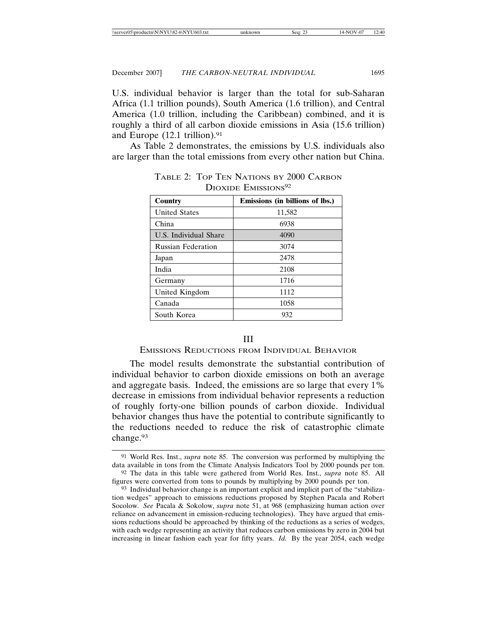| \\server05\productn\N\NYU\82-6\NYU603.txt | unknown | 14-NOV-07<br>12:40<br>Sea: 23 |
|-------------------------------------------|---------|-------------------------------|
|-------------------------------------------|---------|-------------------------------|

U.S. individual behavior is larger than the total for sub-Saharan Africa (1.1 trillion pounds), South America (1.6 trillion), and Central America (1.0 trillion, including the Caribbean) combined, and it is roughly a third of all carbon dioxide emissions in Asia (15.6 trillion) and Europe (12.1 trillion).91

As Table 2 demonstrates, the emissions by U.S. individuals also are larger than the total emissions from every other nation but China.

| Country                   | Emissions (in billions of lbs.) |  |
|---------------------------|---------------------------------|--|
| <b>United States</b>      | 11,582                          |  |
| China                     | 6938                            |  |
| U.S. Individual Share     | 4090                            |  |
| <b>Russian Federation</b> | 3074                            |  |
| Japan                     | 2478                            |  |
| India                     | 2108                            |  |
| Germany                   | 1716                            |  |
| United Kingdom            | 1112                            |  |
| Canada                    | 1058                            |  |
| South Korea               | 932                             |  |

TABLE 2: TOP TEN NATIONS BY 2000 CARBON DIOXIDE EMISSIONS<sup>92</sup>

## III

## EMISSIONS REDUCTIONS FROM INDIVIDUAL BEHAVIOR

The model results demonstrate the substantial contribution of individual behavior to carbon dioxide emissions on both an average and aggregate basis. Indeed, the emissions are so large that every 1% decrease in emissions from individual behavior represents a reduction of roughly forty-one billion pounds of carbon dioxide. Individual behavior changes thus have the potential to contribute significantly to the reductions needed to reduce the risk of catastrophic climate change.93

<sup>91</sup> World Res. Inst., *supra* note 85. The conversion was performed by multiplying the data available in tons from the Climate Analysis Indicators Tool by 2000 pounds per ton. 92 The data in this table were gathered from World Res. Inst., *supra* note 85. All

figures were converted from tons to pounds by multiplying by 2000 pounds per ton.

<sup>93</sup> Individual behavior change is an important explicit and implicit part of the "stabilization wedges" approach to emissions reductions proposed by Stephen Pacala and Robert Socolow. *See* Pacala & Sokolow, *supra* note 51, at 968 (emphasizing human action over reliance on advancement in emission-reducing technologies). They have argued that emissions reductions should be approached by thinking of the reductions as a series of wedges, with each wedge representing an activity that reduces carbon emissions by zero in 2004 but increasing in linear fashion each year for fifty years. *Id.* By the year 2054, each wedge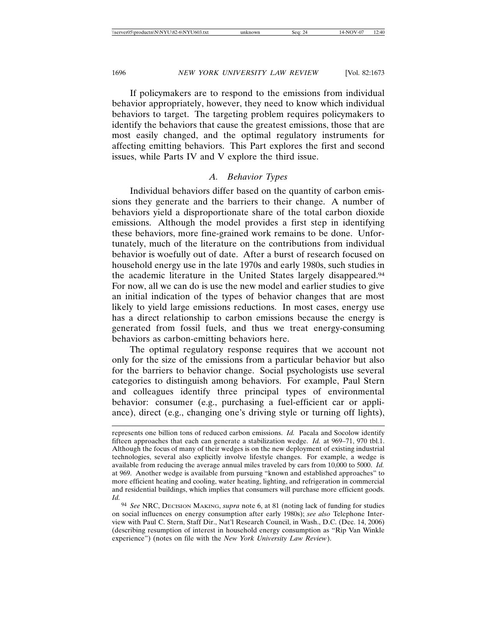If policymakers are to respond to the emissions from individual behavior appropriately, however, they need to know which individual behaviors to target. The targeting problem requires policymakers to identify the behaviors that cause the greatest emissions, those that are most easily changed, and the optimal regulatory instruments for affecting emitting behaviors. This Part explores the first and second issues, while Parts IV and V explore the third issue.

## *A. Behavior Types*

Individual behaviors differ based on the quantity of carbon emissions they generate and the barriers to their change. A number of behaviors yield a disproportionate share of the total carbon dioxide emissions. Although the model provides a first step in identifying these behaviors, more fine-grained work remains to be done. Unfortunately, much of the literature on the contributions from individual behavior is woefully out of date. After a burst of research focused on household energy use in the late 1970s and early 1980s, such studies in the academic literature in the United States largely disappeared.94 For now, all we can do is use the new model and earlier studies to give an initial indication of the types of behavior changes that are most likely to yield large emissions reductions. In most cases, energy use has a direct relationship to carbon emissions because the energy is generated from fossil fuels, and thus we treat energy-consuming behaviors as carbon-emitting behaviors here.

The optimal regulatory response requires that we account not only for the size of the emissions from a particular behavior but also for the barriers to behavior change. Social psychologists use several categories to distinguish among behaviors. For example, Paul Stern and colleagues identify three principal types of environmental behavior: consumer (e.g., purchasing a fuel-efficient car or appliance), direct (e.g., changing one's driving style or turning off lights),

represents one billion tons of reduced carbon emissions. *Id.* Pacala and Socolow identify fifteen approaches that each can generate a stabilization wedge. *Id.* at 969–71, 970 tbl.1. Although the focus of many of their wedges is on the new deployment of existing industrial technologies, several also explicitly involve lifestyle changes. For example, a wedge is available from reducing the average annual miles traveled by cars from 10,000 to 5000. *Id.* at 969. Another wedge is available from pursuing "known and established approaches" to more efficient heating and cooling, water heating, lighting, and refrigeration in commercial and residential buildings, which implies that consumers will purchase more efficient goods. *Id.*

<sup>94</sup> *See* NRC, DECISION MAKING, *supra* note 6, at 81 (noting lack of funding for studies on social influences on energy consumption after early 1980s); *see also* Telephone Interview with Paul C. Stern, Staff Dir., Nat'l Research Council, in Wash., D.C. (Dec. 14, 2006) (describing resumption of interest in household energy consumption as "Rip Van Winkle experience") (notes on file with the *New York University Law Review*).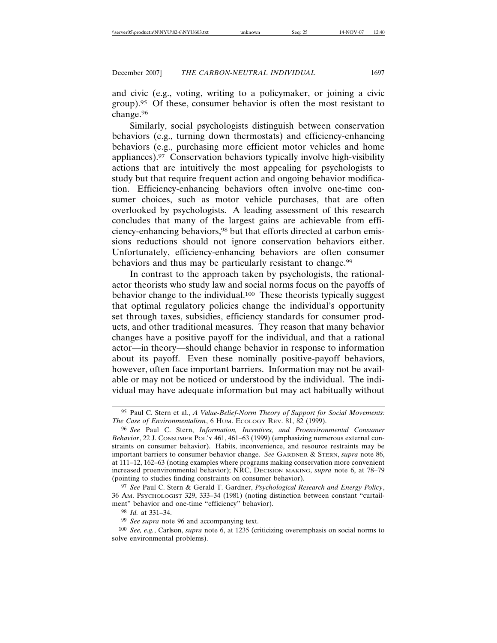and civic (e.g., voting, writing to a policymaker, or joining a civic group).95 Of these, consumer behavior is often the most resistant to change.96

Similarly, social psychologists distinguish between conservation behaviors (e.g., turning down thermostats) and efficiency-enhancing behaviors (e.g., purchasing more efficient motor vehicles and home appliances).97 Conservation behaviors typically involve high-visibility actions that are intuitively the most appealing for psychologists to study but that require frequent action and ongoing behavior modification. Efficiency-enhancing behaviors often involve one-time consumer choices, such as motor vehicle purchases, that are often overlooked by psychologists. A leading assessment of this research concludes that many of the largest gains are achievable from efficiency-enhancing behaviors,<sup>98</sup> but that efforts directed at carbon emissions reductions should not ignore conservation behaviors either. Unfortunately, efficiency-enhancing behaviors are often consumer behaviors and thus may be particularly resistant to change.<sup>99</sup>

In contrast to the approach taken by psychologists, the rationalactor theorists who study law and social norms focus on the payoffs of behavior change to the individual.100 These theorists typically suggest that optimal regulatory policies change the individual's opportunity set through taxes, subsidies, efficiency standards for consumer products, and other traditional measures. They reason that many behavior changes have a positive payoff for the individual, and that a rational actor—in theory—should change behavior in response to information about its payoff. Even these nominally positive-payoff behaviors, however, often face important barriers. Information may not be available or may not be noticed or understood by the individual. The individual may have adequate information but may act habitually without

97 *See* Paul C. Stern & Gerald T. Gardner, *Psychological Research and Energy Policy*, 36 AM. PSYCHOLOGIST 329, 333–34 (1981) (noting distinction between constant "curtailment" behavior and one-time "efficiency" behavior).

98 *Id.* at 331–34.

<sup>95</sup> Paul C. Stern et al., *A Value-Belief-Norm Theory of Support for Social Movements: The Case of Environmentalism*, 6 HUM. ECOLOGY REV. 81, 82 (1999).

<sup>96</sup> *See* Paul C. Stern, *Information, Incentives, and Proenvironmental Consumer Behavior*, 22 J. CONSUMER POL'Y 461, 461–63 (1999) (emphasizing numerous external constraints on consumer behavior). Habits, inconvenience, and resource restraints may be important barriers to consumer behavior change. *See* GARDNER & STERN, *supra* note 86, at 111–12, 162–63 (noting examples where programs making conservation more convenient increased proenvironmental behavior); NRC, DECISION MAKING, *supra* note 6, at 78–79 (pointing to studies finding constraints on consumer behavior).

<sup>99</sup> *See supra* note 96 and accompanying text.

<sup>100</sup> *See, e.g.*, Carlson, *supra* note 6, at 1235 (criticizing overemphasis on social norms to solve environmental problems).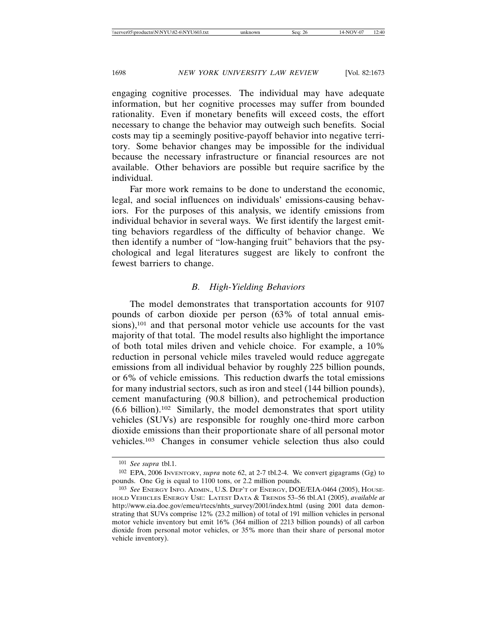engaging cognitive processes. The individual may have adequate information, but her cognitive processes may suffer from bounded rationality. Even if monetary benefits will exceed costs, the effort necessary to change the behavior may outweigh such benefits. Social costs may tip a seemingly positive-payoff behavior into negative territory. Some behavior changes may be impossible for the individual because the necessary infrastructure or financial resources are not available. Other behaviors are possible but require sacrifice by the individual.

Far more work remains to be done to understand the economic, legal, and social influences on individuals' emissions-causing behaviors. For the purposes of this analysis, we identify emissions from individual behavior in several ways. We first identify the largest emitting behaviors regardless of the difficulty of behavior change. We then identify a number of "low-hanging fruit" behaviors that the psychological and legal literatures suggest are likely to confront the fewest barriers to change.

### *B. High-Yielding Behaviors*

The model demonstrates that transportation accounts for 9107 pounds of carbon dioxide per person (63% of total annual emissions),<sup>101</sup> and that personal motor vehicle use accounts for the vast majority of that total. The model results also highlight the importance of both total miles driven and vehicle choice. For example, a 10% reduction in personal vehicle miles traveled would reduce aggregate emissions from all individual behavior by roughly 225 billion pounds, or 6% of vehicle emissions. This reduction dwarfs the total emissions for many industrial sectors, such as iron and steel (144 billion pounds), cement manufacturing (90.8 billion), and petrochemical production  $(6.6 \text{ billion})$ .<sup>102</sup> Similarly, the model demonstrates that sport utility vehicles (SUVs) are responsible for roughly one-third more carbon dioxide emissions than their proportionate share of all personal motor vehicles.103 Changes in consumer vehicle selection thus also could

<sup>101</sup> *See supra* tbl.1.

<sup>102</sup> EPA, 2006 INVENTORY, *supra* note 62, at 2-7 tbl.2-4. We convert gigagrams (Gg) to pounds. One Gg is equal to 1100 tons, or 2.2 million pounds.

<sup>103</sup> *See* ENERGY INFO. ADMIN., U.S. DEP'T OF ENERGY, DOE/EIA-0464 (2005), HOUSE-HOLD VEHICLES ENERGY USE: LATEST DATA & TRENDS 53–56 tbl.A1 (2005), *available at* http://www.eia.doe.gov/emeu/rtecs/nhts\_survey/2001/index.html (using 2001 data demonstrating that SUVs comprise 12% (23.2 million) of total of 191 million vehicles in personal motor vehicle inventory but emit 16% (364 million of 2213 billion pounds) of all carbon dioxide from personal motor vehicles, or 35% more than their share of personal motor vehicle inventory).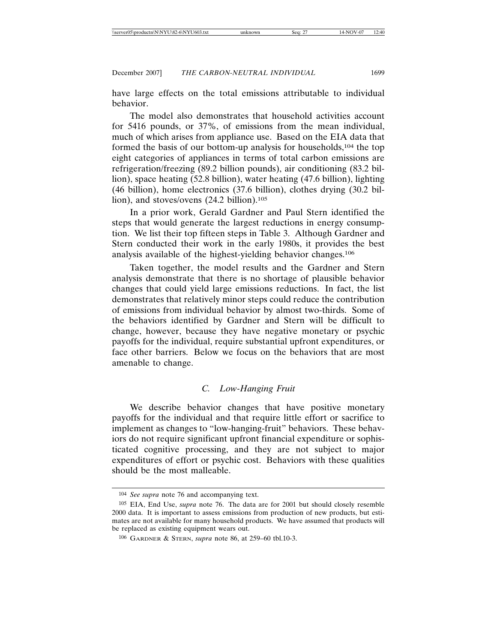have large effects on the total emissions attributable to individual behavior.

The model also demonstrates that household activities account for 5416 pounds, or 37%, of emissions from the mean individual, much of which arises from appliance use. Based on the EIA data that formed the basis of our bottom-up analysis for households,104 the top eight categories of appliances in terms of total carbon emissions are refrigeration/freezing (89.2 billion pounds), air conditioning (83.2 billion), space heating (52.8 billion), water heating (47.6 billion), lighting (46 billion), home electronics (37.6 billion), clothes drying (30.2 billion), and stoves/ovens (24.2 billion).105

In a prior work, Gerald Gardner and Paul Stern identified the steps that would generate the largest reductions in energy consumption. We list their top fifteen steps in Table 3. Although Gardner and Stern conducted their work in the early 1980s, it provides the best analysis available of the highest-yielding behavior changes.106

Taken together, the model results and the Gardner and Stern analysis demonstrate that there is no shortage of plausible behavior changes that could yield large emissions reductions. In fact, the list demonstrates that relatively minor steps could reduce the contribution of emissions from individual behavior by almost two-thirds. Some of the behaviors identified by Gardner and Stern will be difficult to change, however, because they have negative monetary or psychic payoffs for the individual, require substantial upfront expenditures, or face other barriers. Below we focus on the behaviors that are most amenable to change.

## *C. Low-Hanging Fruit*

We describe behavior changes that have positive monetary payoffs for the individual and that require little effort or sacrifice to implement as changes to "low-hanging-fruit" behaviors. These behaviors do not require significant upfront financial expenditure or sophisticated cognitive processing, and they are not subject to major expenditures of effort or psychic cost. Behaviors with these qualities should be the most malleable.

<sup>104</sup> *See supra* note 76 and accompanying text.

<sup>105</sup> EIA, End Use, *supra* note 76. The data are for 2001 but should closely resemble 2000 data. It is important to assess emissions from production of new products, but estimates are not available for many household products. We have assumed that products will be replaced as existing equipment wears out.

<sup>106</sup> GARDNER & STERN, *supra* note 86, at 259–60 tbl.10-3.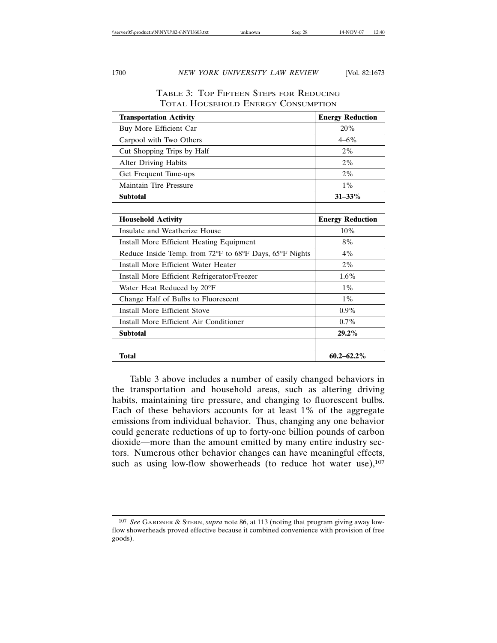| <b>Transportation Activity</b>                          | <b>Energy Reduction</b> |
|---------------------------------------------------------|-------------------------|
| Buy More Efficient Car                                  | 20%                     |
| Carpool with Two Others                                 | $4 - 6\%$               |
| Cut Shopping Trips by Half                              | 2%                      |
| <b>Alter Driving Habits</b>                             | 2%                      |
| Get Frequent Tune-ups                                   | 2%                      |
| Maintain Tire Pressure                                  | $1\%$                   |
| <b>Subtotal</b>                                         | $31 - 33\%$             |
|                                                         |                         |
| <b>Household Activity</b>                               | <b>Energy Reduction</b> |
| Insulate and Weatherize House                           | 10%                     |
| Install More Efficient Heating Equipment                | 8%                      |
| Reduce Inside Temp. from 72°F to 68°F Days, 65°F Nights | 4%                      |
| Install More Efficient Water Heater                     | 2%                      |
| Install More Efficient Refrigerator/Freezer             | 1.6%                    |
| Water Heat Reduced by 20°F                              | $1\%$                   |
| Change Half of Bulbs to Fluorescent                     | $1\%$                   |
| <b>Install More Efficient Stove</b>                     | $0.9\%$                 |
| Install More Efficient Air Conditioner                  | $0.7\%$                 |
| <b>Subtotal</b>                                         | $29.2\%$                |
|                                                         |                         |
| <b>Total</b>                                            | $60.2 - 62.2\%$         |

## TABLE 3: TOP FIFTEEN STEPS FOR REDUCING TOTAL HOUSEHOLD ENERGY CONSUMPTION

Table 3 above includes a number of easily changed behaviors in the transportation and household areas, such as altering driving habits, maintaining tire pressure, and changing to fluorescent bulbs. Each of these behaviors accounts for at least 1% of the aggregate emissions from individual behavior. Thus, changing any one behavior could generate reductions of up to forty-one billion pounds of carbon dioxide—more than the amount emitted by many entire industry sectors. Numerous other behavior changes can have meaningful effects, such as using low-flow showerheads (to reduce hot water use), $107$ 

<sup>107</sup> *See* GARDNER & STERN, *supra* note 86, at 113 (noting that program giving away lowflow showerheads proved effective because it combined convenience with provision of free goods).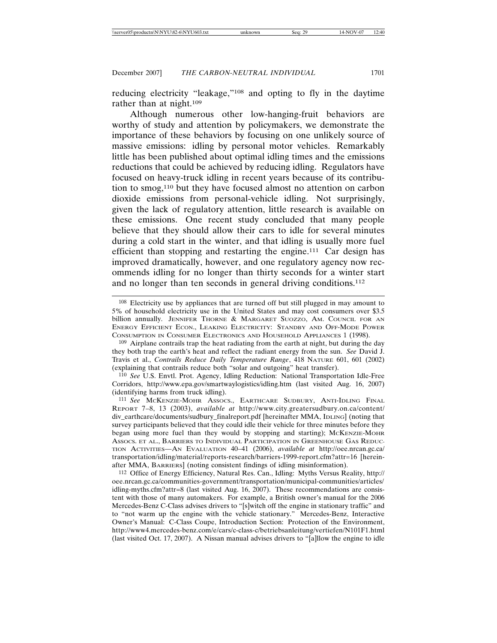reducing electricity "leakage,"108 and opting to fly in the daytime rather than at night.<sup>109</sup>

Although numerous other low-hanging-fruit behaviors are worthy of study and attention by policymakers, we demonstrate the importance of these behaviors by focusing on one unlikely source of massive emissions: idling by personal motor vehicles. Remarkably little has been published about optimal idling times and the emissions reductions that could be achieved by reducing idling. Regulators have focused on heavy-truck idling in recent years because of its contribution to smog,110 but they have focused almost no attention on carbon dioxide emissions from personal-vehicle idling. Not surprisingly, given the lack of regulatory attention, little research is available on these emissions. One recent study concluded that many people believe that they should allow their cars to idle for several minutes during a cold start in the winter, and that idling is usually more fuel efficient than stopping and restarting the engine.111 Car design has improved dramatically, however, and one regulatory agency now recommends idling for no longer than thirty seconds for a winter start and no longer than ten seconds in general driving conditions.<sup>112</sup>

<sup>108</sup> Electricity use by appliances that are turned off but still plugged in may amount to 5% of household electricity use in the United States and may cost consumers over \$3.5 billion annually. JENNIFER THORNE & MARGARET SUOZZO, AM. COUNCIL FOR AN ENERGY EFFICIENT ECON., LEAKING ELECTRICITY: STANDBY AND OFF-MODE POWER CONSUMPTION IN CONSUMER ELECTRONICS AND HOUSEHOLD APPLIANCES 1 (1998).

<sup>109</sup> Airplane contrails trap the heat radiating from the earth at night, but during the day they both trap the earth's heat and reflect the radiant energy from the sun. *See* David J. Travis et al., *Contrails Reduce Daily Temperature Range*, 418 NATURE 601, 601 (2002) (explaining that contrails reduce both "solar and outgoing" heat transfer).

<sup>110</sup> *See* U.S. Envtl. Prot. Agency, Idling Reduction: National Transportation Idle-Free Corridors, http://www.epa.gov/smartwaylogistics/idling.htm (last visited Aug. 16, 2007) (identifying harms from truck idling).

<sup>111</sup> *See* MCKENZIE-MOHR ASSOCS., EARTHCARE SUDBURY, ANTI-IDLING FINAL REPORT 7–8, 13 (2003), *available at* http://www.city.greatersudbury.on.ca/content/ div\_earthcare/documents/sudbury\_finalreport.pdf [hereinafter MMA, IDLING] (noting that survey participants believed that they could idle their vehicle for three minutes before they began using more fuel than they would by stopping and starting); MCKENZIE-MOHR ASSOCS. ET AL., BARRIERS TO INDIVIDUAL PARTICIPATION IN GREENHOUSE GAS REDUC-TION ACTIVITIES—AN EVALUATION 40–41 (2006), *available at* http://oee.nrcan.gc.ca/ transportation/idling/material/reports-research/barriers-1999-report.cfm?attr=16 [hereinafter MMA, BARRIERS] (noting consistent findings of idling misinformation).

<sup>112</sup> Office of Energy Efficiency, Natural Res. Can., Idling: Myths Versus Reality, http:// oee.nrcan.gc.ca/communities-government/transportation/municipal-communities/articles/ idling-myths.cfm?attr=8 (last visited Aug. 16, 2007). These recommendations are consistent with those of many automakers. For example, a British owner's manual for the 2006 Mercedes-Benz C-Class advises drivers to "[s]witch off the engine in stationary traffic" and to "not warm up the engine with the vehicle stationary." Mercedes-Benz, Interactive Owner's Manual: C-Class Coupe, Introduction Section: Protection of the Environment, http://www4.mercedes-benz.com/e/cars/c-class-c/betriebsanleitung/vertiefen/N101F1.html (last visited Oct. 17, 2007). A Nissan manual advises drivers to "[a]llow the engine to idle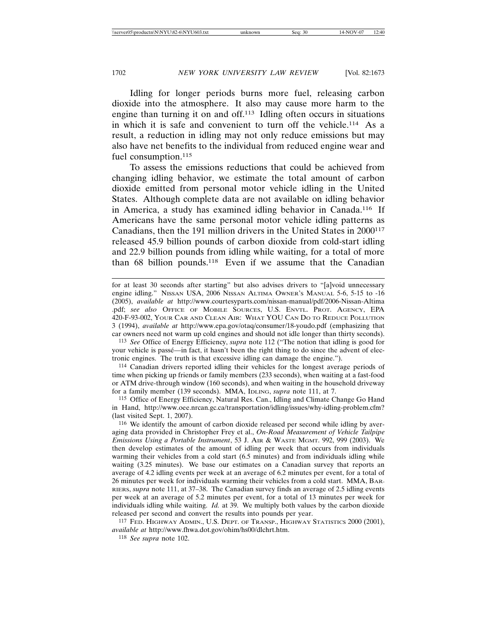Idling for longer periods burns more fuel, releasing carbon dioxide into the atmosphere. It also may cause more harm to the engine than turning it on and off.113 Idling often occurs in situations in which it is safe and convenient to turn off the vehicle.114 As a result, a reduction in idling may not only reduce emissions but may also have net benefits to the individual from reduced engine wear and fuel consumption.<sup>115</sup>

To assess the emissions reductions that could be achieved from changing idling behavior, we estimate the total amount of carbon dioxide emitted from personal motor vehicle idling in the United States. Although complete data are not available on idling behavior in America, a study has examined idling behavior in Canada.116 If Americans have the same personal motor vehicle idling patterns as Canadians, then the 191 million drivers in the United States in 2000<sup>117</sup> released 45.9 billion pounds of carbon dioxide from cold-start idling and 22.9 billion pounds from idling while waiting, for a total of more than 68 billion pounds.118 Even if we assume that the Canadian

113 *See* Office of Energy Efficiency, *supra* note 112 ("The notion that idling is good for your vehicle is passé—in fact, it hasn't been the right thing to do since the advent of electronic engines. The truth is that excessive idling can damage the engine.").

114 Canadian drivers reported idling their vehicles for the longest average periods of time when picking up friends or family members (233 seconds), when waiting at a fast-food or ATM drive-through window (160 seconds), and when waiting in the household driveway for a family member (139 seconds). MMA, IDLING, *supra* note 111, at 7.

115 Office of Energy Efficiency, Natural Res. Can., Idling and Climate Change Go Hand in Hand, http://www.oee.nrcan.gc.ca/transportation/idling/issues/why-idling-problem.cfm? (last visited Sept. 1, 2007).

116 We identify the amount of carbon dioxide released per second while idling by averaging data provided in Christopher Frey et al., *On-Road Measurement of Vehicle Tailpipe Emissions Using a Portable Instrument*, 53 J. AIR & WASTE MGMT. 992, 999 (2003). We then develop estimates of the amount of idling per week that occurs from individuals warming their vehicles from a cold start (6.5 minutes) and from individuals idling while waiting (3.25 minutes). We base our estimates on a Canadian survey that reports an average of 4.2 idling events per week at an average of 6.2 minutes per event, for a total of 26 minutes per week for individuals warming their vehicles from a cold start. MMA, BAR-RIERS, *supra* note 111, at 37–38. The Canadian survey finds an average of 2.5 idling events per week at an average of 5.2 minutes per event, for a total of 13 minutes per week for individuals idling while waiting. *Id.* at 39. We multiply both values by the carbon dioxide released per second and convert the results into pounds per year.

117 FED. HIGHWAY ADMIN., U.S. DEPT. OF TRANSP., HIGHWAY STATISTICS 2000 (2001), *available at* http://www.fhwa.dot.gov/ohim/hs00/dlchrt.htm.

118 *See supra* note 102.

for at least 30 seconds after starting" but also advises drivers to "[a]void unnecessary engine idling." NISSAN USA, 2006 NISSAN ALTIMA OWNER'S MANUAL 5-6, 5-15 to -16 (2005), *available at* http://www.courtesyparts.com/nissan-manual/pdf/2006-Nissan-Altima .pdf; *see also* OFFICE OF MOBILE SOURCES, U.S. ENVTL. PROT. AGENCY, EPA 420-F-93-002, YOUR CAR AND CLEAN AIR: WHAT YOU CAN DO TO REDUCE POLLUTION 3 (1994), *available at* http://www.epa.gov/otaq/consumer/18-youdo.pdf (emphasizing that car owners need not warm up cold engines and should not idle longer than thirty seconds).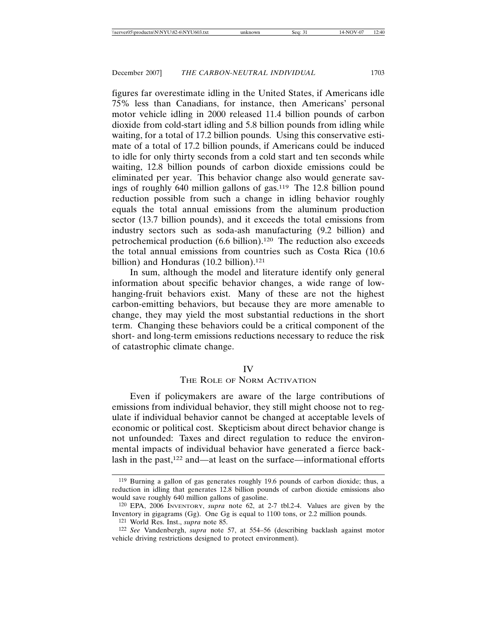figures far overestimate idling in the United States, if Americans idle 75% less than Canadians, for instance, then Americans' personal motor vehicle idling in 2000 released 11.4 billion pounds of carbon dioxide from cold-start idling and 5.8 billion pounds from idling while waiting, for a total of 17.2 billion pounds. Using this conservative estimate of a total of 17.2 billion pounds, if Americans could be induced to idle for only thirty seconds from a cold start and ten seconds while waiting, 12.8 billion pounds of carbon dioxide emissions could be eliminated per year. This behavior change also would generate savings of roughly 640 million gallons of gas.119 The 12.8 billion pound reduction possible from such a change in idling behavior roughly equals the total annual emissions from the aluminum production sector (13.7 billion pounds), and it exceeds the total emissions from industry sectors such as soda-ash manufacturing (9.2 billion) and petrochemical production (6.6 billion).120 The reduction also exceeds the total annual emissions from countries such as Costa Rica (10.6 billion) and Honduras  $(10.2 \text{ billion})$ .<sup>121</sup>

In sum, although the model and literature identify only general information about specific behavior changes, a wide range of lowhanging-fruit behaviors exist. Many of these are not the highest carbon-emitting behaviors, but because they are more amenable to change, they may yield the most substantial reductions in the short term. Changing these behaviors could be a critical component of the short- and long-term emissions reductions necessary to reduce the risk of catastrophic climate change.

#### IV

## THE ROLE OF NORM ACTIVATION

Even if policymakers are aware of the large contributions of emissions from individual behavior, they still might choose not to regulate if individual behavior cannot be changed at acceptable levels of economic or political cost. Skepticism about direct behavior change is not unfounded: Taxes and direct regulation to reduce the environmental impacts of individual behavior have generated a fierce backlash in the past,122 and—at least on the surface—informational efforts

<sup>119</sup> Burning a gallon of gas generates roughly 19.6 pounds of carbon dioxide; thus, a reduction in idling that generates 12.8 billion pounds of carbon dioxide emissions also would save roughly 640 million gallons of gasoline.

<sup>120</sup> EPA, 2006 INVENTORY, *supra* note 62, at 2-7 tbl.2-4. Values are given by the Inventory in gigagrams (Gg). One Gg is equal to 1100 tons, or 2.2 million pounds.

<sup>121</sup> World Res. Inst., *supra* note 85.

<sup>122</sup> *See* Vandenbergh, *supra* note 57, at 554–56 (describing backlash against motor vehicle driving restrictions designed to protect environment).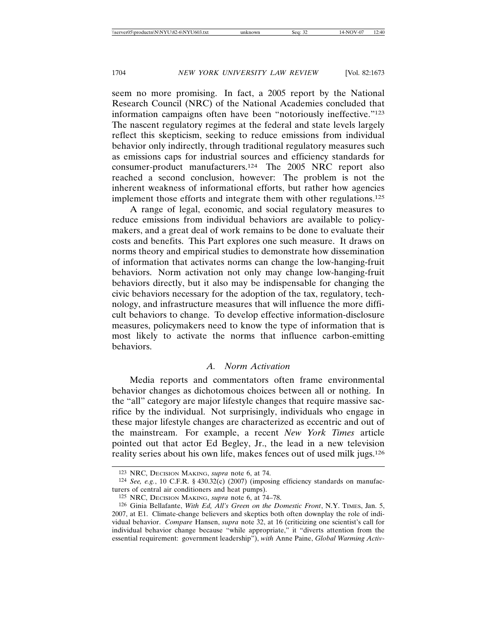seem no more promising. In fact, a 2005 report by the National Research Council (NRC) of the National Academies concluded that information campaigns often have been "notoriously ineffective."123 The nascent regulatory regimes at the federal and state levels largely reflect this skepticism, seeking to reduce emissions from individual behavior only indirectly, through traditional regulatory measures such as emissions caps for industrial sources and efficiency standards for consumer-product manufacturers.124 The 2005 NRC report also reached a second conclusion, however: The problem is not the inherent weakness of informational efforts, but rather how agencies implement those efforts and integrate them with other regulations.125

A range of legal, economic, and social regulatory measures to reduce emissions from individual behaviors are available to policymakers, and a great deal of work remains to be done to evaluate their costs and benefits. This Part explores one such measure. It draws on norms theory and empirical studies to demonstrate how dissemination of information that activates norms can change the low-hanging-fruit behaviors. Norm activation not only may change low-hanging-fruit behaviors directly, but it also may be indispensable for changing the civic behaviors necessary for the adoption of the tax, regulatory, technology, and infrastructure measures that will influence the more difficult behaviors to change. To develop effective information-disclosure measures, policymakers need to know the type of information that is most likely to activate the norms that influence carbon-emitting behaviors.

## *A. Norm Activation*

Media reports and commentators often frame environmental behavior changes as dichotomous choices between all or nothing. In the "all" category are major lifestyle changes that require massive sacrifice by the individual. Not surprisingly, individuals who engage in these major lifestyle changes are characterized as eccentric and out of the mainstream. For example, a recent *New York Times* article pointed out that actor Ed Begley, Jr., the lead in a new television reality series about his own life, makes fences out of used milk jugs.126

<sup>123</sup> NRC, DECISION MAKING, *supra* note 6, at 74.

<sup>124</sup> *See, e.g.*, 10 C.F.R. § 430.32(c) (2007) (imposing efficiency standards on manufacturers of central air conditioners and heat pumps).

<sup>125</sup> NRC, DECISION MAKING, *supra* note 6, at 74–78.

<sup>126</sup> Ginia Bellafante, *With Ed, All's Green on the Domestic Front*, N.Y. TIMES, Jan. 5, 2007, at E1. Climate-change believers and skeptics both often downplay the role of individual behavior. *Compare* Hansen, *supra* note 32, at 16 (criticizing one scientist's call for individual behavior change because "while appropriate," it "diverts attention from the essential requirement: government leadership"), *with* Anne Paine, *Global Warming Activ-*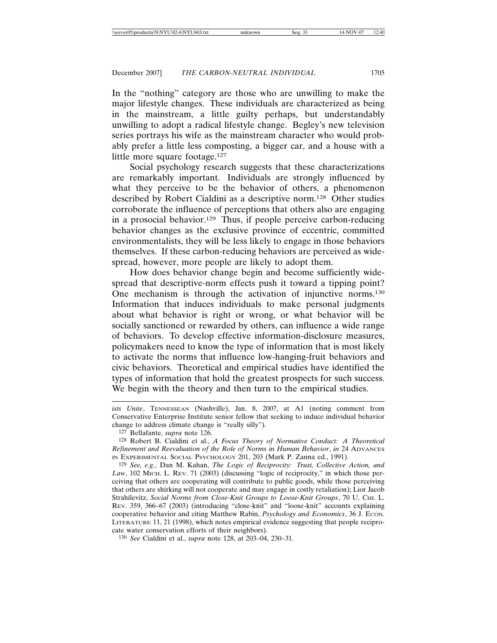In the "nothing" category are those who are unwilling to make the major lifestyle changes. These individuals are characterized as being in the mainstream, a little guilty perhaps, but understandably unwilling to adopt a radical lifestyle change. Begley's new television series portrays his wife as the mainstream character who would probably prefer a little less composting, a bigger car, and a house with a little more square footage.127

Social psychology research suggests that these characterizations are remarkably important. Individuals are strongly influenced by what they perceive to be the behavior of others, a phenomenon described by Robert Cialdini as a descriptive norm.128 Other studies corroborate the influence of perceptions that others also are engaging in a prosocial behavior.129 Thus, if people perceive carbon-reducing behavior changes as the exclusive province of eccentric, committed environmentalists, they will be less likely to engage in those behaviors themselves. If these carbon-reducing behaviors are perceived as widespread, however, more people are likely to adopt them.

How does behavior change begin and become sufficiently widespread that descriptive-norm effects push it toward a tipping point? One mechanism is through the activation of injunctive norms.130 Information that induces individuals to make personal judgments about what behavior is right or wrong, or what behavior will be socially sanctioned or rewarded by others, can influence a wide range of behaviors. To develop effective information-disclosure measures, policymakers need to know the type of information that is most likely to activate the norms that influence low-hanging-fruit behaviors and civic behaviors. Theoretical and empirical studies have identified the types of information that hold the greatest prospects for such success. We begin with the theory and then turn to the empirical studies.

130 *See* Cialdini et al., *supra* note 128, at 203–04, 230–31.

*ists Unite*, TENNESSEAN (Nashville), Jan. 8, 2007, at A1 (noting comment from Conservative Enterprise Institute senior fellow that seeking to induce individual behavior change to address climate change is "really silly").

<sup>127</sup> Bellafante, *supra* note 126.

<sup>128</sup> Robert B. Cialdini et al., *A Focus Theory of Normative Conduct: A Theoretical Refinement and Reevaluation of the Role of Norms in Human Behavior*, *in* 24 ADVANCES IN EXPERIMENTAL SOCIAL PSYCHOLOGY 201, 203 (Mark P. Zanna ed., 1991).

<sup>129</sup> *See, e.g.*, Dan M. Kahan, *The Logic of Reciprocity: Trust, Collective Action, and* Law, 102 MICH. L. REV. 71 (2003) (discussing "logic of reciprocity," in which those perceiving that others are cooperating will contribute to public goods, while those perceiving that others are shirking will not cooperate and may engage in costly retaliation); Lior Jacob Strahilevitz, *Social Norms from Close-Knit Groups to Loose-Knit Groups*, 70 U. CHI. L. REV. 359, 366–67 (2003) (introducing "close-knit" and "loose-knit" accounts explaining cooperative behavior and citing Matthew Rabin, *Psychology and Economics*, 36 J. Econ. LITERATURE 11, 21 (1998), which notes empirical evidence suggesting that people reciprocate water conservation efforts of their neighbors).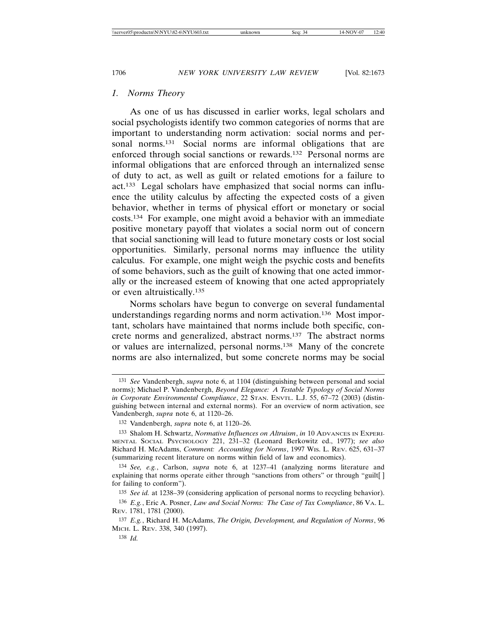### *1. Norms Theory*

As one of us has discussed in earlier works, legal scholars and social psychologists identify two common categories of norms that are important to understanding norm activation: social norms and personal norms.<sup>131</sup> Social norms are informal obligations that are enforced through social sanctions or rewards.132 Personal norms are informal obligations that are enforced through an internalized sense of duty to act, as well as guilt or related emotions for a failure to act.133 Legal scholars have emphasized that social norms can influence the utility calculus by affecting the expected costs of a given behavior, whether in terms of physical effort or monetary or social costs.134 For example, one might avoid a behavior with an immediate positive monetary payoff that violates a social norm out of concern that social sanctioning will lead to future monetary costs or lost social opportunities. Similarly, personal norms may influence the utility calculus. For example, one might weigh the psychic costs and benefits of some behaviors, such as the guilt of knowing that one acted immorally or the increased esteem of knowing that one acted appropriately or even altruistically.135

Norms scholars have begun to converge on several fundamental understandings regarding norms and norm activation.136 Most important, scholars have maintained that norms include both specific, concrete norms and generalized, abstract norms.137 The abstract norms or values are internalized, personal norms.138 Many of the concrete norms are also internalized, but some concrete norms may be social

135 *See id.* at 1238–39 (considering application of personal norms to recycling behavior).

136 *E.g.*, Eric A. Posner, *Law and Social Norms: The Case of Tax Compliance*, 86 VA. L. REV. 1781, 1781 (2000).

137 *E.g.*, Richard H. McAdams, *The Origin, Development, and Regulation of Norms*, 96 MICH. L. REV. 338, 340 (1997).

138 *Id.*

<sup>131</sup> *See* Vandenbergh, *supra* note 6, at 1104 (distinguishing between personal and social norms); Michael P. Vandenbergh, *Beyond Elegance: A Testable Typology of Social Norms in Corporate Environmental Compliance*, 22 STAN. ENVTL. L.J. 55, 67–72 (2003) (distinguishing between internal and external norms). For an overview of norm activation, see Vandenbergh, *supra* note 6, at 1120–26.

<sup>132</sup> Vandenbergh, *supra* note 6, at 1120–26.

<sup>133</sup> Shalom H. Schwartz, *Normative Influences on Altruism*, *in* 10 ADVANCES IN EXPERI-MENTAL SOCIAL PSYCHOLOGY 221, 231–32 (Leonard Berkowitz ed., 1977); *see also* Richard H. McAdams, *Comment: Accounting for Norms*, 1997 WIS. L. REV. 625, 631–37 (summarizing recent literature on norms within field of law and economics).

<sup>134</sup> *See, e.g.*, Carlson, *supra* note 6, at 1237–41 (analyzing norms literature and explaining that norms operate either through "sanctions from others" or through "guilt[ ] for failing to conform").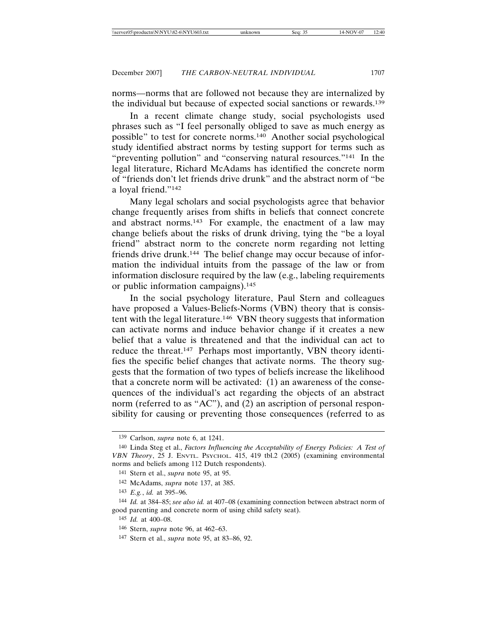norms—norms that are followed not because they are internalized by the individual but because of expected social sanctions or rewards.139

In a recent climate change study, social psychologists used phrases such as "I feel personally obliged to save as much energy as possible" to test for concrete norms.140 Another social psychological study identified abstract norms by testing support for terms such as "preventing pollution" and "conserving natural resources."141 In the legal literature, Richard McAdams has identified the concrete norm of "friends don't let friends drive drunk" and the abstract norm of "be a loyal friend."142

Many legal scholars and social psychologists agree that behavior change frequently arises from shifts in beliefs that connect concrete and abstract norms.<sup>143</sup> For example, the enactment of a law may change beliefs about the risks of drunk driving, tying the "be a loyal friend" abstract norm to the concrete norm regarding not letting friends drive drunk.144 The belief change may occur because of information the individual intuits from the passage of the law or from information disclosure required by the law (e.g., labeling requirements or public information campaigns).145

In the social psychology literature, Paul Stern and colleagues have proposed a Values-Beliefs-Norms (VBN) theory that is consistent with the legal literature.146 VBN theory suggests that information can activate norms and induce behavior change if it creates a new belief that a value is threatened and that the individual can act to reduce the threat.147 Perhaps most importantly, VBN theory identifies the specific belief changes that activate norms. The theory suggests that the formation of two types of beliefs increase the likelihood that a concrete norm will be activated: (1) an awareness of the consequences of the individual's act regarding the objects of an abstract norm (referred to as "AC"), and (2) an ascription of personal responsibility for causing or preventing those consequences (referred to as

<sup>139</sup> Carlson, *supra* note 6, at 1241.

<sup>140</sup> Linda Steg et al., *Factors Influencing the Acceptability of Energy Policies: A Test of VBN Theory*, 25 J. ENVTL. PSYCHOL. 415, 419 tbl.2 (2005) (examining environmental norms and beliefs among 112 Dutch respondents).

<sup>141</sup> Stern et al., *supra* note 95, at 95.

<sup>142</sup> McAdams, *supra* note 137, at 385.

<sup>143</sup> *E.g.*, *id.* at 395–96.

<sup>144</sup> *Id.* at 384–85; *see also id.* at 407–08 (examining connection between abstract norm of good parenting and concrete norm of using child safety seat).

<sup>145</sup> *Id.* at 400–08.

<sup>146</sup> Stern, *supra* note 96, at 462–63.

<sup>147</sup> Stern et al., *supra* note 95, at 83–86, 92.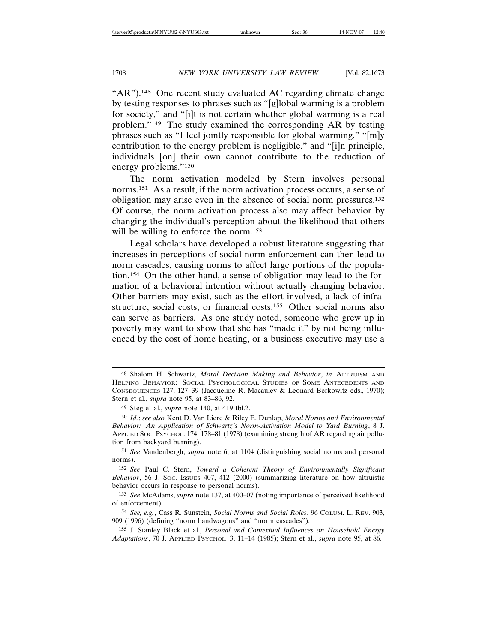"AR").<sup>148</sup> One recent study evaluated AC regarding climate change by testing responses to phrases such as "[g]lobal warming is a problem for society," and "[i]t is not certain whether global warming is a real problem."149 The study examined the corresponding AR by testing phrases such as "I feel jointly responsible for global warming," "[m]y contribution to the energy problem is negligible," and "[i]n principle, individuals [on] their own cannot contribute to the reduction of energy problems."150

The norm activation modeled by Stern involves personal norms.151 As a result, if the norm activation process occurs, a sense of obligation may arise even in the absence of social norm pressures.152 Of course, the norm activation process also may affect behavior by changing the individual's perception about the likelihood that others will be willing to enforce the norm.<sup>153</sup>

Legal scholars have developed a robust literature suggesting that increases in perceptions of social-norm enforcement can then lead to norm cascades, causing norms to affect large portions of the population.154 On the other hand, a sense of obligation may lead to the formation of a behavioral intention without actually changing behavior. Other barriers may exist, such as the effort involved, a lack of infrastructure, social costs, or financial costs.155 Other social norms also can serve as barriers. As one study noted, someone who grew up in poverty may want to show that she has "made it" by not being influenced by the cost of home heating, or a business executive may use a

151 *See* Vandenbergh, *supra* note 6, at 1104 (distinguishing social norms and personal norms).

152 *See* Paul C. Stern, *Toward a Coherent Theory of Environmentally Significant Behavior*, 56 J. SOC. ISSUES 407, 412 (2000) (summarizing literature on how altruistic behavior occurs in response to personal norms).

153 *See* McAdams, *supra* note 137, at 400–07 (noting importance of perceived likelihood of enforcement).

154 *See, e.g.*, Cass R. Sunstein, *Social Norms and Social Roles*, 96 COLUM. L. REV. 903, 909 (1996) (defining "norm bandwagons" and "norm cascades").

155 J. Stanley Black et al., *Personal and Contextual Influences on Household Energy Adaptations*, 70 J. APPLIED PSYCHOL*.* 3, 11–14 (1985); Stern et al*.*, *supra* note 95, at 86.

<sup>148</sup> Shalom H. Schwartz, *Moral Decision Making and Behavior*, *in* ALTRUISM AND HELPING BEHAVIOR: SOCIAL PSYCHOLOGICAL STUDIES OF SOME ANTECEDENTS AND CONSEQUENCES 127, 127–39 (Jacqueline R. Macauley & Leonard Berkowitz eds., 1970); Stern et al., *supra* note 95, at 83–86, 92.

<sup>149</sup> Steg et al., *supra* note 140, at 419 tbl.2.

<sup>150</sup> *Id.*; *see also* Kent D. Van Liere & Riley E. Dunlap, *Moral Norms and Environmental Behavior: An Application of Schwartz's Norm-Activation Model to Yard Burning*, 8 J. APPLIED SOC. PSYCHOL. 174, 178–81 (1978) (examining strength of AR regarding air pollution from backyard burning).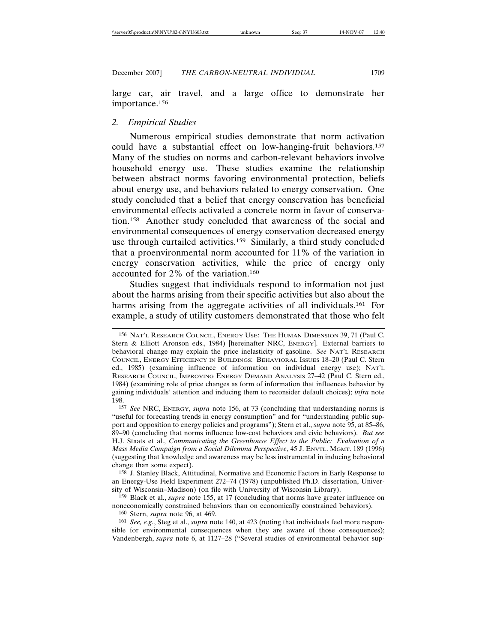large car, air travel, and a large office to demonstrate her importance.156

## *2. Empirical Studies*

Numerous empirical studies demonstrate that norm activation could have a substantial effect on low-hanging-fruit behaviors.157 Many of the studies on norms and carbon-relevant behaviors involve household energy use. These studies examine the relationship between abstract norms favoring environmental protection, beliefs about energy use, and behaviors related to energy conservation. One study concluded that a belief that energy conservation has beneficial environmental effects activated a concrete norm in favor of conservation.158 Another study concluded that awareness of the social and environmental consequences of energy conservation decreased energy use through curtailed activities.159 Similarly, a third study concluded that a proenvironmental norm accounted for 11% of the variation in energy conservation activities, while the price of energy only accounted for 2% of the variation.160

Studies suggest that individuals respond to information not just about the harms arising from their specific activities but also about the harms arising from the aggregate activities of all individuals.<sup>161</sup> For example, a study of utility customers demonstrated that those who felt

160 Stern, *supra* note 96, at 469.

<sup>156</sup> NAT'L RESEARCH COUNCIL, ENERGY USE: THE HUMAN DIMENSION 39, 71 (Paul C. Stern & Elliott Aronson eds., 1984) [hereinafter NRC, ENERGY]. External barriers to behavioral change may explain the price inelasticity of gasoline. *See* NAT'L RESEARCH COUNCIL, ENERGY EFFICIENCY IN BUILDINGS: BEHAVIORAL ISSUES 18–20 (Paul C. Stern ed., 1985) (examining influence of information on individual energy use); NAT'L RESEARCH COUNCIL, IMPROVING ENERGY DEMAND ANALYSIS 27–42 (Paul C. Stern ed., 1984) (examining role of price changes as form of information that influences behavior by gaining individuals' attention and inducing them to reconsider default choices); *infra* note 198.

<sup>157</sup> *See* NRC, ENERGY, *supra* note 156, at 73 (concluding that understanding norms is "useful for forecasting trends in energy consumption" and for "understanding public support and opposition to energy policies and programs"); Stern et al., *supra* note 95, at 85–86, 89–90 (concluding that norms influence low-cost behaviors and civic behaviors). *But see* H.J. Staats et al., *Communicating the Greenhouse Effect to the Public: Evaluation of a Mass Media Campaign from a Social Dilemma Perspective*, 45 J. ENVTL. MGMT. 189 (1996) (suggesting that knowledge and awareness may be less instrumental in inducing behavioral change than some expect).

<sup>158</sup> J. Stanley Black, Attitudinal, Normative and Economic Factors in Early Response to an Energy-Use Field Experiment 272–74 (1978) (unpublished Ph.D. dissertation, University of Wisconsin–Madison) (on file with University of Wisconsin Library).

<sup>159</sup> Black et al., *supra* note 155, at 17 (concluding that norms have greater influence on noneconomically constrained behaviors than on economically constrained behaviors).

<sup>161</sup> *See, e.g.*, Steg et al., *supra* note 140, at 423 (noting that individuals feel more responsible for environmental consequences when they are aware of those consequences); Vandenbergh, *supra* note 6, at 1127–28 ("Several studies of environmental behavior sup-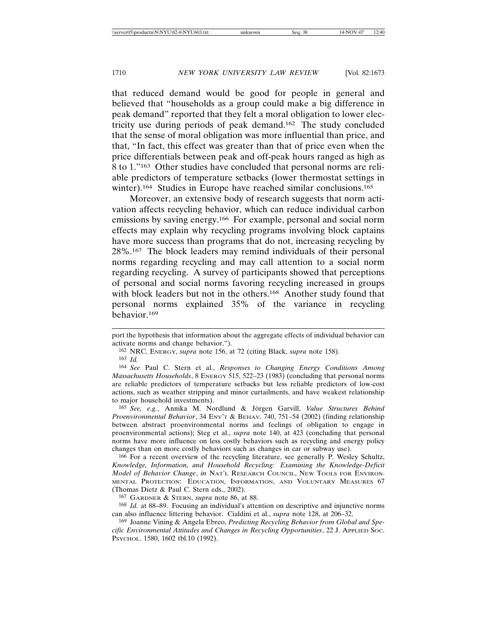that reduced demand would be good for people in general and believed that "households as a group could make a big difference in peak demand" reported that they felt a moral obligation to lower electricity use during periods of peak demand.162 The study concluded that the sense of moral obligation was more influential than price, and that, "In fact, this effect was greater than that of price even when the price differentials between peak and off-peak hours ranged as high as 8 to 1."163 Other studies have concluded that personal norms are reliable predictors of temperature setbacks (lower thermostat settings in winter).<sup>164</sup> Studies in Europe have reached similar conclusions.<sup>165</sup>

Moreover, an extensive body of research suggests that norm activation affects recycling behavior, which can reduce individual carbon emissions by saving energy.166 For example, personal and social norm effects may explain why recycling programs involving block captains have more success than programs that do not, increasing recycling by 28%.167 The block leaders may remind individuals of their personal norms regarding recycling and may call attention to a social norm regarding recycling. A survey of participants showed that perceptions of personal and social norms favoring recycling increased in groups with block leaders but not in the others.<sup>168</sup> Another study found that personal norms explained 35% of the variance in recycling behavior.169

165 See, e.g., Annika M. Nordlund & Jörgen Garvill, Value Structures Behind *Proenvironmental Behavior*, 34 ENV'T & BEHAV. 740, 751–54 (2002) (finding relationship between abstract proenvironmental norms and feelings of obligation to engage in proenvironmental actions); Steg et al., *supra* note 140, at 423 (concluding that personal norms have more influence on less costly behaviors such as recycling and energy policy changes than on more costly behaviors such as changes in car or subway use).

166 For a recent overview of the recycling literature, see generally P. Wesley Schultz, *Knowledge, Information, and Household Recycling: Examining the Knowledge-Deficit Model of Behavior Change*, *in* NAT'L RESEARCH COUNCIL, NEW TOOLS FOR ENVIRON-MENTAL PROTECTION: EDUCATION, INFORMATION, AND VOLUNTARY MEASURES 67 (Thomas Dietz & Paul C. Stern eds., 2002).

167 GARDNER & STERN, *supra* note 86, at 88.

168 *Id.* at 88–89. Focusing an individual's attention on descriptive and injunctive norms can also influence littering behavior. Cialdini et al., *supra* note 128, at 206–32.

169 Joanne Vining & Angela Ebreo, *Predicting Recycling Behavior from Global and Specific Environmental Attitudes and Changes in Recycling Opportunities*, 22 J. APPLIED SOC. PSYCHOL. 1580, 1602 tbl.10 (1992).

port the hypothesis that information about the aggregate effects of individual behavior can activate norms and change behavior.").

<sup>162</sup> NRC, ENERGY, *supra* note 156, at 72 (citing Black, *supra* note 158).

<sup>163</sup> *Id.*

<sup>164</sup> *See* Paul C. Stern et al., *Responses to Changing Energy Conditions Among Massachusetts Households*, 8 ENERGY 515, 522-23 (1983) (concluding that personal norms are reliable predictors of temperature setbacks but less reliable predictors of low-cost actions, such as weather stripping and minor curtailments, and have weakest relationship to major household investments).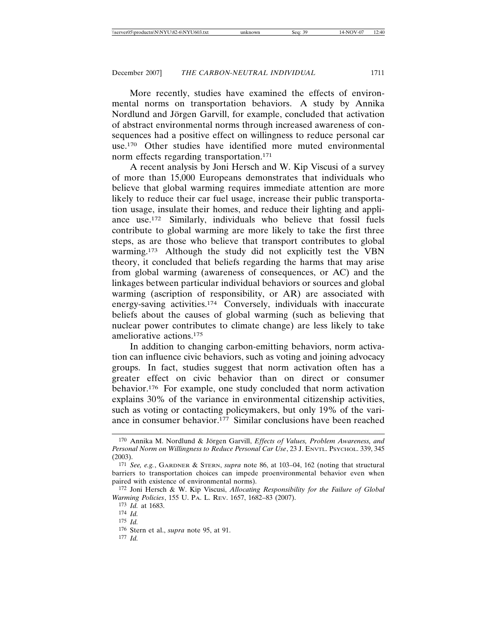More recently, studies have examined the effects of environmental norms on transportation behaviors. A study by Annika Nordlund and Jörgen Garvill, for example, concluded that activation of abstract environmental norms through increased awareness of consequences had a positive effect on willingness to reduce personal car use.170 Other studies have identified more muted environmental norm effects regarding transportation.<sup>171</sup>

A recent analysis by Joni Hersch and W. Kip Viscusi of a survey of more than 15,000 Europeans demonstrates that individuals who believe that global warming requires immediate attention are more likely to reduce their car fuel usage, increase their public transportation usage, insulate their homes, and reduce their lighting and appliance use.172 Similarly, individuals who believe that fossil fuels contribute to global warming are more likely to take the first three steps, as are those who believe that transport contributes to global warming.173 Although the study did not explicitly test the VBN theory, it concluded that beliefs regarding the harms that may arise from global warming (awareness of consequences, or AC) and the linkages between particular individual behaviors or sources and global warming (ascription of responsibility, or AR) are associated with energy-saving activities.174 Conversely, individuals with inaccurate beliefs about the causes of global warming (such as believing that nuclear power contributes to climate change) are less likely to take ameliorative actions.175

In addition to changing carbon-emitting behaviors, norm activation can influence civic behaviors, such as voting and joining advocacy groups. In fact, studies suggest that norm activation often has a greater effect on civic behavior than on direct or consumer behavior.176 For example, one study concluded that norm activation explains 30% of the variance in environmental citizenship activities, such as voting or contacting policymakers, but only 19% of the variance in consumer behavior.177 Similar conclusions have been reached

<sup>&</sup>lt;sup>170</sup> Annika M. Nordlund & Jörgen Garvill, *Effects of Values, Problem Awareness, and Personal Norm on Willingness to Reduce Personal Car Use*, 23 J. ENVTL. PSYCHOL. 339, 345 (2003).

<sup>171</sup> *See, e.g.*, GARDNER & STERN, *supra* note 86, at 103–04, 162 (noting that structural barriers to transportation choices can impede proenvironmental behavior even when paired with existence of environmental norms).

<sup>172</sup> Joni Hersch & W. Kip Viscusi, *Allocating Responsibility for the Failure of Global Warming Policies*, 155 U. PA. L. REV. 1657, 1682–83 (2007).

<sup>173</sup> *Id.* at 1683.

<sup>174</sup> *Id.*

<sup>175</sup> *Id.*

<sup>176</sup> Stern et al., *supra* note 95, at 91.

<sup>177</sup> *Id.*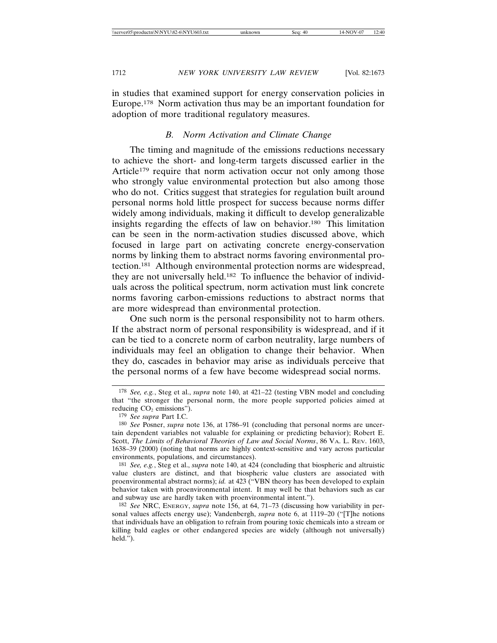in studies that examined support for energy conservation policies in Europe.178 Norm activation thus may be an important foundation for adoption of more traditional regulatory measures.

# *B. Norm Activation and Climate Change*

The timing and magnitude of the emissions reductions necessary to achieve the short- and long-term targets discussed earlier in the Article<sup>179</sup> require that norm activation occur not only among those who strongly value environmental protection but also among those who do not. Critics suggest that strategies for regulation built around personal norms hold little prospect for success because norms differ widely among individuals, making it difficult to develop generalizable insights regarding the effects of law on behavior.180 This limitation can be seen in the norm-activation studies discussed above, which focused in large part on activating concrete energy-conservation norms by linking them to abstract norms favoring environmental protection.181 Although environmental protection norms are widespread, they are not universally held.182 To influence the behavior of individuals across the political spectrum, norm activation must link concrete norms favoring carbon-emissions reductions to abstract norms that are more widespread than environmental protection.

One such norm is the personal responsibility not to harm others. If the abstract norm of personal responsibility is widespread, and if it can be tied to a concrete norm of carbon neutrality, large numbers of individuals may feel an obligation to change their behavior. When they do, cascades in behavior may arise as individuals perceive that the personal norms of a few have become widespread social norms.

<sup>178</sup> *See, e.g.*, Steg et al., *supra* note 140, at 421–22 (testing VBN model and concluding that "the stronger the personal norm, the more people supported policies aimed at reducing  $CO<sub>2</sub>$  emissions").

<sup>179</sup> *See supra* Part I.C.

<sup>180</sup> *See* Posner, *supra* note 136, at 1786–91 (concluding that personal norms are uncertain dependent variables not valuable for explaining or predicting behavior); Robert E. Scott, *The Limits of Behavioral Theories of Law and Social Norms*, 86 VA. L. REV. 1603, 1638–39 (2000) (noting that norms are highly context-sensitive and vary across particular environments, populations, and circumstances).

<sup>181</sup> *See, e.g.*, Steg et al., *supra* note 140, at 424 (concluding that biospheric and altruistic value clusters are distinct, and that biospheric value clusters are associated with proenvironmental abstract norms); *id.* at 423 ("VBN theory has been developed to explain behavior taken with proenvironmental intent. It may well be that behaviors such as car and subway use are hardly taken with proenvironmental intent.").

<sup>182</sup> *See* NRC, ENERGY, *supra* note 156, at 64, 71–73 (discussing how variability in personal values affects energy use); Vandenbergh, *supra* note 6, at 1119–20 ("[T]he notions that individuals have an obligation to refrain from pouring toxic chemicals into a stream or killing bald eagles or other endangered species are widely (although not universally) held.").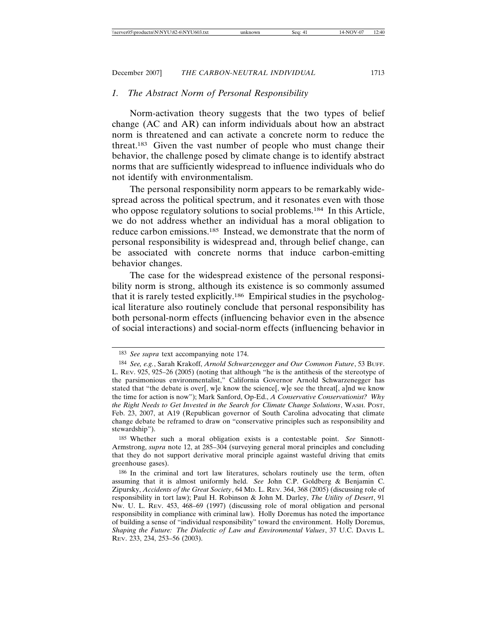# *1. The Abstract Norm of Personal Responsibility*

Norm-activation theory suggests that the two types of belief change (AC and AR) can inform individuals about how an abstract norm is threatened and can activate a concrete norm to reduce the threat.183 Given the vast number of people who must change their behavior, the challenge posed by climate change is to identify abstract norms that are sufficiently widespread to influence individuals who do not identify with environmentalism.

The personal responsibility norm appears to be remarkably widespread across the political spectrum, and it resonates even with those who oppose regulatory solutions to social problems.<sup>184</sup> In this Article, we do not address whether an individual has a moral obligation to reduce carbon emissions.185 Instead, we demonstrate that the norm of personal responsibility is widespread and, through belief change, can be associated with concrete norms that induce carbon-emitting behavior changes.

The case for the widespread existence of the personal responsibility norm is strong, although its existence is so commonly assumed that it is rarely tested explicitly.186 Empirical studies in the psychological literature also routinely conclude that personal responsibility has both personal-norm effects (influencing behavior even in the absence of social interactions) and social-norm effects (influencing behavior in

<sup>183</sup> *See supra* text accompanying note 174.

<sup>184</sup> *See, e.g.*, Sarah Krakoff, *Arnold Schwarzenegger and Our Common Future*, 53 BUFF. L. REV. 925, 925–26 (2005) (noting that although "he is the antithesis of the stereotype of the parsimonious environmentalist," California Governor Arnold Schwarzenegger has stated that "the debate is over[, w]e know the science[, w]e see the threat[, a]nd we know the time for action is now"); Mark Sanford, Op-Ed., *A Conservative Conservationist? Why the Right Needs to Get Invested in the Search for Climate Change Solutions*, WASH. POST, Feb. 23, 2007, at A19 (Republican governor of South Carolina advocating that climate change debate be reframed to draw on "conservative principles such as responsibility and stewardship").

<sup>185</sup> Whether such a moral obligation exists is a contestable point. *See* Sinnott-Armstrong, *supra* note 12, at 285–304 (surveying general moral principles and concluding that they do not support derivative moral principle against wasteful driving that emits greenhouse gases).

<sup>186</sup> In the criminal and tort law literatures, scholars routinely use the term, often assuming that it is almost uniformly held. *See* John C.P. Goldberg & Benjamin C. Zipursky, *Accidents of the Great Society*, 64 MD. L. REV. 364, 368 (2005) (discussing role of responsibility in tort law); Paul H. Robinson & John M. Darley, *The Utility of Desert*, 91 NW. U. L. REV. 453, 468–69 (1997) (discussing role of moral obligation and personal responsibility in compliance with criminal law). Holly Doremus has noted the importance of building a sense of "individual responsibility" toward the environment. Holly Doremus, *Shaping the Future: The Dialectic of Law and Environmental Values*, 37 U.C. DAVIS L. REV. 233, 234, 253–56 (2003).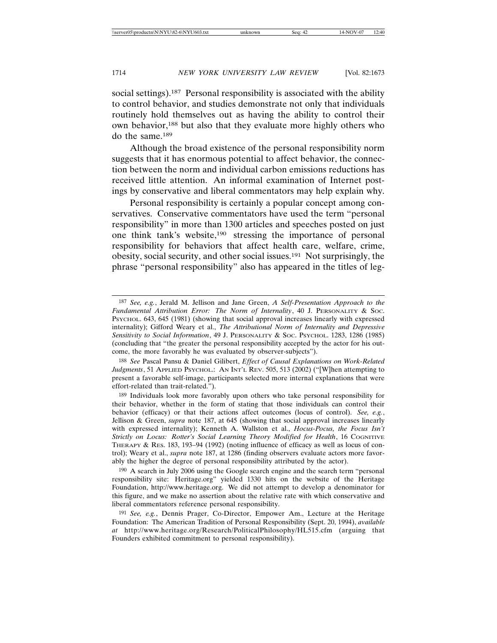social settings).<sup>187</sup> Personal responsibility is associated with the ability to control behavior, and studies demonstrate not only that individuals routinely hold themselves out as having the ability to control their own behavior,188 but also that they evaluate more highly others who do the same.189

Although the broad existence of the personal responsibility norm suggests that it has enormous potential to affect behavior, the connection between the norm and individual carbon emissions reductions has received little attention. An informal examination of Internet postings by conservative and liberal commentators may help explain why.

Personal responsibility is certainly a popular concept among conservatives. Conservative commentators have used the term "personal responsibility" in more than 1300 articles and speeches posted on just one think tank's website,190 stressing the importance of personal responsibility for behaviors that affect health care, welfare, crime, obesity, social security, and other social issues.191 Not surprisingly, the phrase "personal responsibility" also has appeared in the titles of leg-

<sup>187</sup> *See, e.g.*, Jerald M. Jellison and Jane Green, *A Self-Presentation Approach to the Fundamental Attribution Error: The Norm of Internality*, 40 J. PERSONALITY & SOC. PSYCHOL. 643, 645 (1981) (showing that social approval increases linearly with expressed internality); Gifford Weary et al., *The Attributional Norm of Internality and Depressive Sensitivity to Social Information*, 49 J. PERSONALITY & SOC. PSYCHOL. 1283, 1286 (1985) (concluding that "the greater the personal responsibility accepted by the actor for his outcome, the more favorably he was evaluated by observer-subjects").

<sup>188</sup> *See* Pascal Pansu & Daniel Gilibert, *Effect of Causal Explanations on Work-Related Judgments*, 51 APPLIED PSYCHOL.: AN INT'L REV. 505, 513 (2002) ("[W]hen attempting to present a favorable self-image, participants selected more internal explanations that were effort-related than trait-related.").

<sup>189</sup> Individuals look more favorably upon others who take personal responsibility for their behavior, whether in the form of stating that those individuals can control their behavior (efficacy) or that their actions affect outcomes (locus of control). *See, e.g.*, Jellison & Green, *supra* note 187, at 645 (showing that social approval increases linearly with expressed internality); Kenneth A. Wallston et al., *Hocus-Pocus, the Focus Isn't* **Strictly on Locus: Rotter's Social Learning Theory Modified for Health, 16 COGNITIVE** THERAPY & RES. 183, 193–94 (1992) (noting influence of efficacy as well as locus of control); Weary et al., *supra* note 187, at 1286 (finding observers evaluate actors more favorably the higher the degree of personal responsibility attributed by the actor).

<sup>190</sup> A search in July 2006 using the Google search engine and the search term "personal responsibility site: Heritage.org" yielded 1330 hits on the website of the Heritage Foundation, http://www.heritage.org. We did not attempt to develop a denominator for this figure, and we make no assertion about the relative rate with which conservative and liberal commentators reference personal responsibility.

<sup>191</sup> *See, e.g.*, Dennis Prager, Co-Director, Empower Am., Lecture at the Heritage Foundation: The American Tradition of Personal Responsibility (Sept. 20, 1994), *available at* http://www.heritage.org/Research/PoliticalPhilosophy/HL515.cfm (arguing that Founders exhibited commitment to personal responsibility).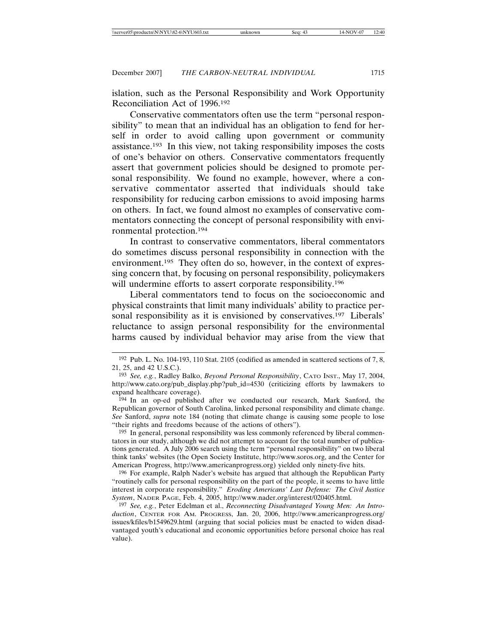islation, such as the Personal Responsibility and Work Opportunity Reconciliation Act of 1996.192

Conservative commentators often use the term "personal responsibility" to mean that an individual has an obligation to fend for herself in order to avoid calling upon government or community assistance.193 In this view, not taking responsibility imposes the costs of one's behavior on others. Conservative commentators frequently assert that government policies should be designed to promote personal responsibility. We found no example, however, where a conservative commentator asserted that individuals should take responsibility for reducing carbon emissions to avoid imposing harms on others. In fact, we found almost no examples of conservative commentators connecting the concept of personal responsibility with environmental protection.194

In contrast to conservative commentators, liberal commentators do sometimes discuss personal responsibility in connection with the environment.<sup>195</sup> They often do so, however, in the context of expressing concern that, by focusing on personal responsibility, policymakers will undermine efforts to assert corporate responsibility.<sup>196</sup>

Liberal commentators tend to focus on the socioeconomic and physical constraints that limit many individuals' ability to practice personal responsibility as it is envisioned by conservatives.<sup>197</sup> Liberals' reluctance to assign personal responsibility for the environmental harms caused by individual behavior may arise from the view that

195 In general, personal responsibility was less commonly referenced by liberal commentators in our study, although we did not attempt to account for the total number of publications generated. A July 2006 search using the term "personal responsibility" on two liberal think tanks' websites (the Open Society Institute, http://www.soros.org, and the Center for American Progress, http://www.americanprogress.org) yielded only ninety-five hits.

196 For example, Ralph Nader's website has argued that although the Republican Party "routinely calls for personal responsibility on the part of the people, it seems to have little interest in corporate responsibility." *Eroding Americans' Last Defense: The Civil Justice System*, NADER PAGE, Feb. 4, 2005, http://www.nader.org/interest/020405.html.

197 *See, e.g.*, Peter Edelman et al., *Reconnecting Disadvantaged Young Men: An Introduction*, CENTER FOR AM. PROGRESS, Jan. 20, 2006, http://www.americanprogress.org/ issues/kfiles/b1549629.html (arguing that social policies must be enacted to widen disadvantaged youth's educational and economic opportunities before personal choice has real value).

<sup>192</sup> Pub. L. No. 104-193, 110 Stat. 2105 (codified as amended in scattered sections of 7, 8, 21, 25, and 42 U.S.C.).

<sup>193</sup> *See, e.g.*, Radley Balko, *Beyond Personal Responsibility*, CATO INST., May 17, 2004, http://www.cato.org/pub\_display.php?pub\_id=4530 (criticizing efforts by lawmakers to expand healthcare coverage).

<sup>194</sup> In an op-ed published after we conducted our research, Mark Sanford, the Republican governor of South Carolina, linked personal responsibility and climate change. *See* Sanford, *supra* note 184 (noting that climate change is causing some people to lose "their rights and freedoms because of the actions of others").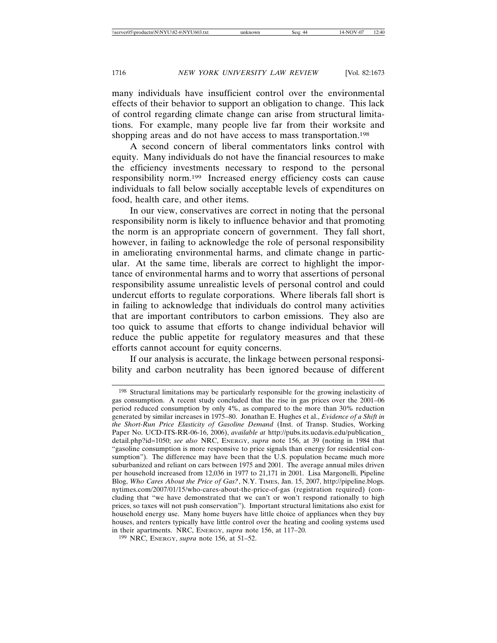many individuals have insufficient control over the environmental effects of their behavior to support an obligation to change. This lack of control regarding climate change can arise from structural limitations. For example, many people live far from their worksite and shopping areas and do not have access to mass transportation.<sup>198</sup>

A second concern of liberal commentators links control with equity. Many individuals do not have the financial resources to make the efficiency investments necessary to respond to the personal responsibility norm.199 Increased energy efficiency costs can cause individuals to fall below socially acceptable levels of expenditures on food, health care, and other items.

In our view, conservatives are correct in noting that the personal responsibility norm is likely to influence behavior and that promoting the norm is an appropriate concern of government. They fall short, however, in failing to acknowledge the role of personal responsibility in ameliorating environmental harms, and climate change in particular. At the same time, liberals are correct to highlight the importance of environmental harms and to worry that assertions of personal responsibility assume unrealistic levels of personal control and could undercut efforts to regulate corporations. Where liberals fall short is in failing to acknowledge that individuals do control many activities that are important contributors to carbon emissions. They also are too quick to assume that efforts to change individual behavior will reduce the public appetite for regulatory measures and that these efforts cannot account for equity concerns.

If our analysis is accurate, the linkage between personal responsibility and carbon neutrality has been ignored because of different

<sup>198</sup> Structural limitations may be particularly responsible for the growing inelasticity of gas consumption. A recent study concluded that the rise in gas prices over the 2001–06 period reduced consumption by only 4%, as compared to the more than 30% reduction generated by similar increases in 1975–80. Jonathan E. Hughes et al., *Evidence of a Shift in the Short-Run Price Elasticity of Gasoline Demand* (Inst. of Transp. Studies, Working Paper No. UCD-ITS-RR-06-16, 2006), *available at* http://pubs.its.ucdavis.edu/publication\_ detail.php?id=1050; *see also* NRC, ENERGY, *supra* note 156, at 39 (noting in 1984 that "gasoline consumption is more responsive to price signals than energy for residential consumption"). The difference may have been that the U.S. population became much more suburbanized and reliant on cars between 1975 and 2001. The average annual miles driven per household increased from 12,036 in 1977 to 21,171 in 2001. Lisa Margonelli, Pipeline Blog, *Who Cares About the Price of Gas?*, N.Y. TIMES, Jan. 15, 2007, http://pipeline.blogs. nytimes.com/2007/01/15/who-cares-about-the-price-of-gas (registration required) (concluding that "we have demonstrated that we can't or won't respond rationally to high prices, so taxes will not push conservation"). Important structural limitations also exist for household energy use. Many home buyers have little choice of appliances when they buy houses, and renters typically have little control over the heating and cooling systems used in their apartments. NRC, ENERGY, *supra* note 156, at 117–20.

<sup>199</sup> NRC, ENERGY, *supra* note 156, at 51–52.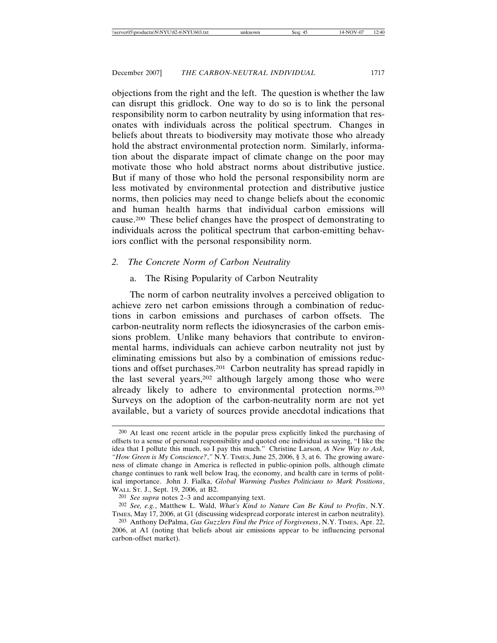objections from the right and the left. The question is whether the law can disrupt this gridlock. One way to do so is to link the personal responsibility norm to carbon neutrality by using information that resonates with individuals across the political spectrum. Changes in beliefs about threats to biodiversity may motivate those who already hold the abstract environmental protection norm. Similarly, information about the disparate impact of climate change on the poor may motivate those who hold abstract norms about distributive justice. But if many of those who hold the personal responsibility norm are less motivated by environmental protection and distributive justice norms, then policies may need to change beliefs about the economic and human health harms that individual carbon emissions will cause.200 These belief changes have the prospect of demonstrating to individuals across the political spectrum that carbon-emitting behaviors conflict with the personal responsibility norm.

#### *2. The Concrete Norm of Carbon Neutrality*

#### a. The Rising Popularity of Carbon Neutrality

The norm of carbon neutrality involves a perceived obligation to achieve zero net carbon emissions through a combination of reductions in carbon emissions and purchases of carbon offsets. The carbon-neutrality norm reflects the idiosyncrasies of the carbon emissions problem. Unlike many behaviors that contribute to environmental harms, individuals can achieve carbon neutrality not just by eliminating emissions but also by a combination of emissions reductions and offset purchases.201 Carbon neutrality has spread rapidly in the last several years,202 although largely among those who were already likely to adhere to environmental protection norms.203 Surveys on the adoption of the carbon-neutrality norm are not yet available, but a variety of sources provide anecdotal indications that

<sup>200</sup> At least one recent article in the popular press explicitly linked the purchasing of offsets to a sense of personal responsibility and quoted one individual as saying, "I like the idea that I pollute this much, so I pay this much." Christine Larson, *A New Way to Ask, "How Green is My Conscience?*,*"* N.Y. TIMES, June 25, 2006, § 3, at 6. The growing awareness of climate change in America is reflected in public-opinion polls, although climate change continues to rank well below Iraq, the economy, and health care in terms of political importance. John J. Fialka, *Global Warming Pushes Politicians to Mark Positions*, WALL ST. J., Sept. 19, 2006, at B2.

<sup>201</sup> *See supra* notes 2–3 and accompanying text.

<sup>202</sup> *See, e.g.*, Matthew L. Wald, *What's Kind to Nature Can Be Kind to Profits*, N.Y. TIMES, May 17, 2006, at G1 (discussing widespread corporate interest in carbon neutrality).

<sup>203</sup> Anthony DePalma, *Gas Guzzlers Find the Price of Forgiveness*, N.Y. TIMES, Apr. 22, 2006, at A1 (noting that beliefs about air emissions appear to be influencing personal carbon-offset market).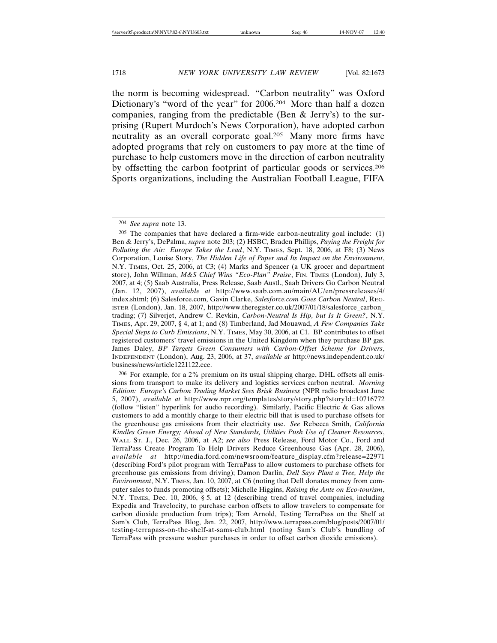the norm is becoming widespread. "Carbon neutrality" was Oxford Dictionary's "word of the year" for 2006.204 More than half a dozen companies, ranging from the predictable (Ben & Jerry's) to the surprising (Rupert Murdoch's News Corporation), have adopted carbon neutrality as an overall corporate goal.205 Many more firms have adopted programs that rely on customers to pay more at the time of purchase to help customers move in the direction of carbon neutrality by offsetting the carbon footprint of particular goods or services.206 Sports organizations, including the Australian Football League, FIFA

<sup>204</sup> *See supra* note 13.

<sup>205</sup> The companies that have declared a firm-wide carbon-neutrality goal include: (1) Ben & Jerry's, DePalma, *supra* note 203; (2) HSBC, Braden Phillips, *Paying the Freight for Polluting the Air: Europe Takes the Lead*, N.Y. TIMES, Sept. 18, 2006, at F8; (3) News Corporation, Louise Story, *The Hidden Life of Paper and Its Impact on the Environment*, N.Y. TIMES, Oct. 25, 2006, at C3; (4) Marks and Spencer (a UK grocer and department store), John Willman, *M&S Chief Wins "Eco-Plan" Praise*, FIN. TIMES (London), July 3, 2007, at 4; (5) Saab Australia, Press Release, Saab Austl., Saab Drivers Go Carbon Neutral (Jan. 12, 2007), *available at* http://www.saab.com.au/main/AU/en/pressreleases/4/ index.shtml; (6) Salesforce.com, Gavin Clarke, *Salesforce.com Goes Carbon Neutral*, REG-ISTER (London), Jan. 18, 2007, http://www.theregister.co.uk/2007/01/18/salesforce\_carbon\_ trading; (7) Silverjet, Andrew C. Revkin, *Carbon-Neutral Is Hip, but Is It Green?*, N.Y. TIMES, Apr. 29, 2007, § 4, at 1; and (8) Timberland, Jad Mouawad, *A Few Companies Take Special Steps to Curb Emissions*, N.Y. TIMES, May 30, 2006, at C1. BP contributes to offset registered customers' travel emissions in the United Kingdom when they purchase BP gas. James Daley, *BP Targets Green Consumers with Carbon-Offset Scheme for Drivers*, INDEPENDENT (London), Aug. 23, 2006, at 37, *available at* http://news.independent.co.uk/ business/news/article1221122.ece.

<sup>206</sup> For example, for a 2% premium on its usual shipping charge, DHL offsets all emissions from transport to make its delivery and logistics services carbon neutral. *Morning Edition: Europe's Carbon Trading Market Sees Brisk Business* (NPR radio broadcast June 5, 2007), *available at* http://www.npr.org/templates/story/story.php?storyId=10716772 (follow "listen" hyperlink for audio recording). Similarly, Pacific Electric & Gas allows customers to add a monthly charge to their electric bill that is used to purchase offsets for the greenhouse gas emissions from their electricity use. *See* Rebecca Smith, *California Kindles Green Energy; Ahead of New Standards, Utilities Push Use of Cleaner Resources*, WALL ST. J., Dec. 26, 2006, at A2; *see also* Press Release, Ford Motor Co., Ford and TerraPass Create Program To Help Drivers Reduce Greenhouse Gas (Apr. 28, 2006), *available at* http://media.ford.com/newsroom/feature\_display.cfm?release=22971 (describing Ford's pilot program with TerraPass to allow customers to purchase offsets for greenhouse gas emissions from driving); Damon Darlin, *Dell Says Plant a Tree, Help the Environment*, N.Y. TIMES, Jan. 10, 2007, at C6 (noting that Dell donates money from computer sales to funds promoting offsets); Michelle Higgins, *Raising the Ante on Eco-tourism*, N.Y. TIMES, Dec. 10, 2006, § 5, at 12 (describing trend of travel companies, including Expedia and Travelocity, to purchase carbon offsets to allow travelers to compensate for carbon dioxide production from trips); Tom Arnold, Testing TerraPass on the Shelf at Sam's Club, TerraPass Blog, Jan. 22, 2007, http://www.terrapass.com/blog/posts/2007/01/ testing-terrapass-on-the-shelf-at-sams-club.html (noting Sam's Club's bundling of TerraPass with pressure washer purchases in order to offset carbon dioxide emissions).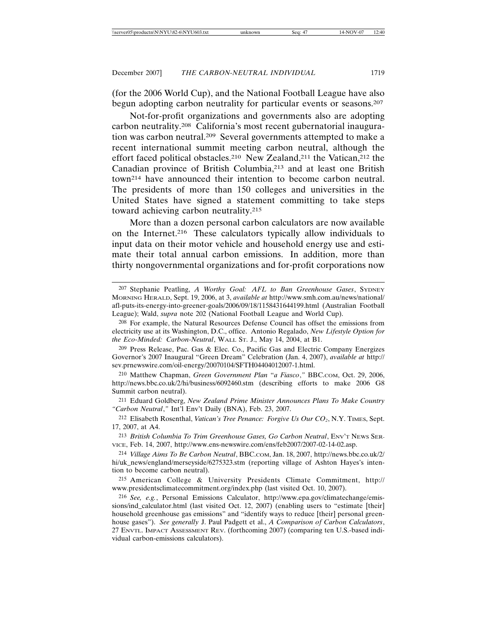(for the 2006 World Cup), and the National Football League have also begun adopting carbon neutrality for particular events or seasons.207

Not-for-profit organizations and governments also are adopting carbon neutrality.208 California's most recent gubernatorial inauguration was carbon neutral.209 Several governments attempted to make a recent international summit meeting carbon neutral, although the effort faced political obstacles.<sup>210</sup> New Zealand,<sup>211</sup> the Vatican,<sup>212</sup> the Canadian province of British Columbia,213 and at least one British town214 have announced their intention to become carbon neutral. The presidents of more than 150 colleges and universities in the United States have signed a statement committing to take steps toward achieving carbon neutrality.215

More than a dozen personal carbon calculators are now available on the Internet.216 These calculators typically allow individuals to input data on their motor vehicle and household energy use and estimate their total annual carbon emissions. In addition, more than thirty nongovernmental organizations and for-profit corporations now

210 Matthew Chapman, *Green Government Plan* "*a Fiasco*,*"* BBC.COM, Oct. 29, 2006, http://news.bbc.co.uk/2/hi/business/6092460.stm (describing efforts to make 2006 G8 Summit carbon neutral).

211 Eduard Goldberg, *New Zealand Prime Minister Announces Plans To Make Country "Carbon Neutral*,*"* Int'l Env't Daily (BNA), Feb. 23, 2007.

<sup>212</sup> Elisabeth Rosenthal, *Vatican's Tree Penance: Forgive Us Our CO2*, N.Y. TIMES, Sept. 17, 2007, at A4.

213 *British Columbia To Trim Greenhouse Gases, Go Carbon Neutral*, ENV'T NEWS SER-VICE, Feb. 14, 2007, http://www.ens-newswire.com/ens/feb2007/2007-02-14-02.asp.

215 American College & University Presidents Climate Commitment, http:// www.presidentsclimatecommitment.org/index.php (last visited Oct. 10, 2007).

<sup>207</sup> Stephanie Peatling, *A Worthy Goal: AFL to Ban Greenhouse Gases*, SYDNEY MORNING HERALD, Sept. 19, 2006, at 3, *available at* http://www.smh.com.au/news/national/ afl-puts-its-energy-into-greener-goals/2006/09/18/1158431644199.html (Australian Football League); Wald, *supra* note 202 (National Football League and World Cup).

<sup>208</sup> For example, the Natural Resources Defense Council has offset the emissions from electricity use at its Washington, D.C., office. Antonio Regalado, *New Lifestyle Option for the Eco-Minded: Carbon-Neutral*, WALL ST. J., May 14, 2004, at B1.

<sup>209</sup> Press Release, Pac. Gas & Elec. Co., Pacific Gas and Electric Company Energizes Governor's 2007 Inaugural "Green Dream" Celebration (Jan. 4, 2007), *available at* http:// sev.prnewswire.com/oil-energy/20070104/SFTH04404012007-1.html.

<sup>214</sup> *Village Aims To Be Carbon Neutral*, BBC.COM, Jan. 18, 2007, http://news.bbc.co.uk/2/ hi/uk\_news/england/merseyside/6275323.stm (reporting village of Ashton Hayes's intention to become carbon neutral).

<sup>216</sup> *See, e.g.*, Personal Emissions Calculator, http://www.epa.gov/climatechange/emissions/ind\_calculator.html (last visited Oct. 12, 2007) (enabling users to "estimate [their] household greenhouse gas emissions" and "identify ways to reduce [their] personal greenhouse gases"). *See generally* J. Paul Padgett et al., *A Comparison of Carbon Calculators*, 27 ENVTL. IMPACT ASSESSMENT REV. (forthcoming 2007) (comparing ten U.S.-based individual carbon-emissions calculators).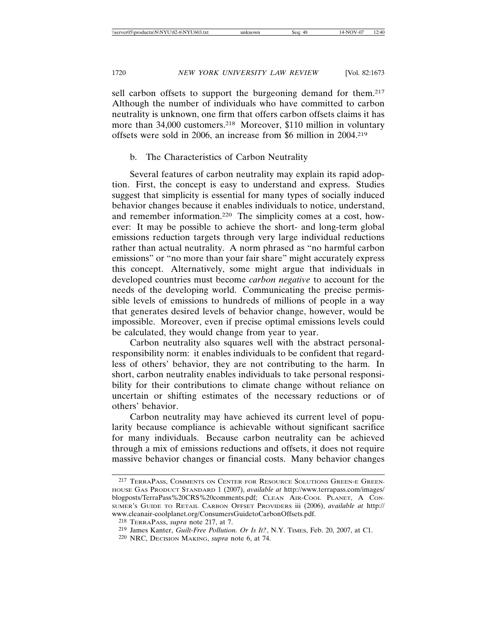sell carbon offsets to support the burgeoning demand for them.<sup>217</sup> Although the number of individuals who have committed to carbon neutrality is unknown, one firm that offers carbon offsets claims it has more than 34,000 customers.<sup>218</sup> Moreover, \$110 million in voluntary offsets were sold in 2006, an increase from \$6 million in 2004.219

## b. The Characteristics of Carbon Neutrality

Several features of carbon neutrality may explain its rapid adoption. First, the concept is easy to understand and express. Studies suggest that simplicity is essential for many types of socially induced behavior changes because it enables individuals to notice, understand, and remember information.220 The simplicity comes at a cost, however: It may be possible to achieve the short- and long-term global emissions reduction targets through very large individual reductions rather than actual neutrality. A norm phrased as "no harmful carbon emissions" or "no more than your fair share" might accurately express this concept. Alternatively, some might argue that individuals in developed countries must become *carbon negative* to account for the needs of the developing world. Communicating the precise permissible levels of emissions to hundreds of millions of people in a way that generates desired levels of behavior change, however, would be impossible. Moreover, even if precise optimal emissions levels could be calculated, they would change from year to year.

Carbon neutrality also squares well with the abstract personalresponsibility norm: it enables individuals to be confident that regardless of others' behavior, they are not contributing to the harm. In short, carbon neutrality enables individuals to take personal responsibility for their contributions to climate change without reliance on uncertain or shifting estimates of the necessary reductions or of others' behavior.

Carbon neutrality may have achieved its current level of popularity because compliance is achievable without significant sacrifice for many individuals. Because carbon neutrality can be achieved through a mix of emissions reductions and offsets, it does not require massive behavior changes or financial costs. Many behavior changes

<sup>217</sup> TERRAPASS, COMMENTS ON CENTER FOR RESOURCE SOLUTIONS GREEN-E GREEN-HOUSE GAS PRODUCT STANDARD 1 (2007), *available at* http://www.terrapass.com/images/ blogposts/TerraPass%20CRS%20comments.pdf; CLEAN AIR-COOL PLANET, A CON-SUMER'S GUIDE TO RETAIL CARBON OFFSET PROVIDERS iii (2006), *available at* http:// www.cleanair-coolplanet.org/ConsumersGuidetoCarbonOffsets.pdf.

<sup>218</sup> TERRAPASS, *supra* note 217, at 7.

<sup>219</sup> James Kanter, *Guilt-Free Pollution. Or Is It?*, N.Y. TIMES, Feb. 20, 2007, at C1.

<sup>220</sup> NRC, DECISION MAKING, *supra* note 6, at 74.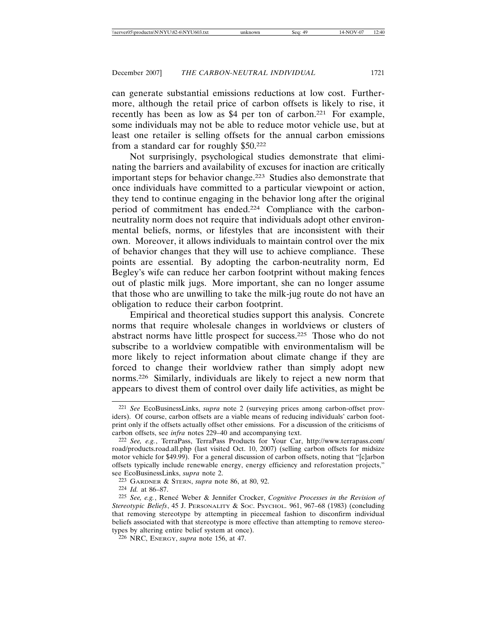can generate substantial emissions reductions at low cost. Furthermore, although the retail price of carbon offsets is likely to rise, it recently has been as low as \$4 per ton of carbon.221 For example, some individuals may not be able to reduce motor vehicle use, but at least one retailer is selling offsets for the annual carbon emissions from a standard car for roughly \$50.222

Not surprisingly, psychological studies demonstrate that eliminating the barriers and availability of excuses for inaction are critically important steps for behavior change.223 Studies also demonstrate that once individuals have committed to a particular viewpoint or action, they tend to continue engaging in the behavior long after the original period of commitment has ended.224 Compliance with the carbonneutrality norm does not require that individuals adopt other environmental beliefs, norms, or lifestyles that are inconsistent with their own. Moreover, it allows individuals to maintain control over the mix of behavior changes that they will use to achieve compliance. These points are essential. By adopting the carbon-neutrality norm, Ed Begley's wife can reduce her carbon footprint without making fences out of plastic milk jugs. More important, she can no longer assume that those who are unwilling to take the milk-jug route do not have an obligation to reduce their carbon footprint.

Empirical and theoretical studies support this analysis. Concrete norms that require wholesale changes in worldviews or clusters of abstract norms have little prospect for success.225 Those who do not subscribe to a worldview compatible with environmentalism will be more likely to reject information about climate change if they are forced to change their worldview rather than simply adopt new norms.226 Similarly, individuals are likely to reject a new norm that appears to divest them of control over daily life activities, as might be

<sup>221</sup> *See* EcoBusinessLinks, *supra* note 2 (surveying prices among carbon-offset providers). Of course, carbon offsets are a viable means of reducing individuals' carbon footprint only if the offsets actually offset other emissions. For a discussion of the criticisms of carbon offsets, see *infra* notes 229–40 and accompanying text.

<sup>222</sup> *See, e.g.*, TerraPass, TerraPass Products for Your Car, http://www.terrapass.com/ road/products.road.all.php (last visited Oct. 10, 2007) (selling carbon offsets for midsize motor vehicle for \$49.99). For a general discussion of carbon offsets, noting that "[c]arbon offsets typically include renewable energy, energy efficiency and reforestation projects," see EcoBusinessLinks, *supra* note 2.

<sup>223</sup> GARDNER & STERN, *supra* note 86, at 80, 92.

<sup>224</sup> *Id.* at 86–87.

<sup>&</sup>lt;sup>225</sup> See, e.g., Renee Weber & Jennifer Crocker, *Cognitive Processes in the Revision of Stereotypic Beliefs*, 45 J. PERSONALITY & SOC. PSYCHOL. 961, 967–68 (1983) (concluding that removing stereotype by attempting in piecemeal fashion to disconfirm individual beliefs associated with that stereotype is more effective than attempting to remove stereotypes by altering entire belief system at once).

<sup>226</sup> NRC, ENERGY, *supra* note 156, at 47.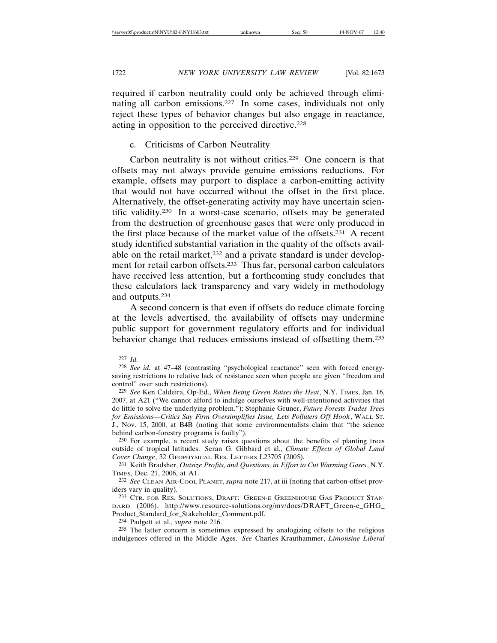required if carbon neutrality could only be achieved through eliminating all carbon emissions.227 In some cases, individuals not only reject these types of behavior changes but also engage in reactance, acting in opposition to the perceived directive.228

c. Criticisms of Carbon Neutrality

Carbon neutrality is not without critics.229 One concern is that offsets may not always provide genuine emissions reductions. For example, offsets may purport to displace a carbon-emitting activity that would not have occurred without the offset in the first place. Alternatively, the offset-generating activity may have uncertain scientific validity.230 In a worst-case scenario, offsets may be generated from the destruction of greenhouse gases that were only produced in the first place because of the market value of the offsets.231 A recent study identified substantial variation in the quality of the offsets available on the retail market,<sup>232</sup> and a private standard is under development for retail carbon offsets.233 Thus far, personal carbon calculators have received less attention, but a forthcoming study concludes that these calculators lack transparency and vary widely in methodology and outputs.234

A second concern is that even if offsets do reduce climate forcing at the levels advertised, the availability of offsets may undermine public support for government regulatory efforts and for individual behavior change that reduces emissions instead of offsetting them.235

<sup>227</sup> *Id.*

<sup>228</sup> *See id.* at 47–48 (contrasting "psychological reactance" seen with forced energysaving restrictions to relative lack of resistance seen when people are given "freedom and control" over such restrictions).

<sup>229</sup> *See* Ken Caldeira, Op-Ed., *When Being Green Raises the Heat*, N.Y. TIMES, Jan. 16, 2007, at A21 ("We cannot afford to indulge ourselves with well-intentioned activities that do little to solve the underlying problem."); Stephanie Gruner, *Future Forests Trades Trees for Emissions—Critics Say Firm Oversimplifies Issue, Lets Polluters Off Hook*, WALL ST. J., Nov. 15, 2000, at B4B (noting that some environmentalists claim that "the science behind carbon-forestry programs is faulty").

<sup>230</sup> For example, a recent study raises questions about the benefits of planting trees outside of tropical latitudes. Seran G. Gibbard et al., *Climate Effects of Global Land Cover Change*, 32 GEOPHYSICAL RES. LETTERS L23705 (2005).

<sup>231</sup> Keith Bradsher, *Outsize Profits, and Questions, in Effort to Cut Warming Gases*, N.Y. TIMES, Dec. 21, 2006, at A1.

<sup>232</sup> *See* CLEAN AIR-COOL PLANET, *supra* note 217, at iii (noting that carbon-offset providers vary in quality).

<sup>233</sup> CTR. FOR RES. SOLUTIONS, DRAFT: GREEN-E GREENHOUSE GAS PRODUCT STAN-DARD (2006), http://www.resource-solutions.org/mv/docs/DRAFT\_Green-e\_GHG\_ Product\_Standard\_for\_Stakeholder\_Comment.pdf.

<sup>234</sup> Padgett et al., *supra* note 216.

<sup>235</sup> The latter concern is sometimes expressed by analogizing offsets to the religious indulgences offered in the Middle Ages. *See* Charles Krauthammer, *Limousine Liberal*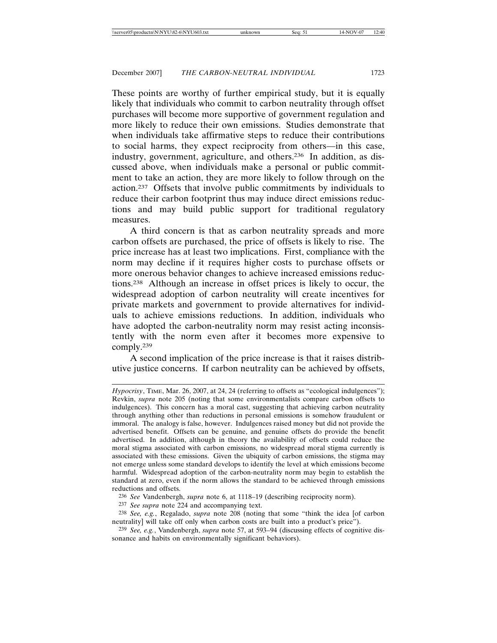These points are worthy of further empirical study, but it is equally likely that individuals who commit to carbon neutrality through offset purchases will become more supportive of government regulation and more likely to reduce their own emissions. Studies demonstrate that when individuals take affirmative steps to reduce their contributions to social harms, they expect reciprocity from others—in this case, industry, government, agriculture, and others.236 In addition, as discussed above, when individuals make a personal or public commitment to take an action, they are more likely to follow through on the action.237 Offsets that involve public commitments by individuals to reduce their carbon footprint thus may induce direct emissions reductions and may build public support for traditional regulatory measures.

A third concern is that as carbon neutrality spreads and more carbon offsets are purchased, the price of offsets is likely to rise. The price increase has at least two implications. First, compliance with the norm may decline if it requires higher costs to purchase offsets or more onerous behavior changes to achieve increased emissions reductions.238 Although an increase in offset prices is likely to occur, the widespread adoption of carbon neutrality will create incentives for private markets and government to provide alternatives for individuals to achieve emissions reductions. In addition, individuals who have adopted the carbon-neutrality norm may resist acting inconsistently with the norm even after it becomes more expensive to comply.239

A second implication of the price increase is that it raises distributive justice concerns. If carbon neutrality can be achieved by offsets,

*Hypocrisy*, TIME, Mar. 26, 2007, at 24, 24 (referring to offsets as "ecological indulgences"); Revkin, *supra* note 205 (noting that some environmentalists compare carbon offsets to indulgences). This concern has a moral cast, suggesting that achieving carbon neutrality through anything other than reductions in personal emissions is somehow fraudulent or immoral. The analogy is false, however. Indulgences raised money but did not provide the advertised benefit. Offsets can be genuine, and genuine offsets do provide the benefit advertised. In addition, although in theory the availability of offsets could reduce the moral stigma associated with carbon emissions, no widespread moral stigma currently is associated with these emissions. Given the ubiquity of carbon emissions, the stigma may not emerge unless some standard develops to identify the level at which emissions become harmful. Widespread adoption of the carbon-neutrality norm may begin to establish the standard at zero, even if the norm allows the standard to be achieved through emissions reductions and offsets.

<sup>236</sup> *See* Vandenbergh, *supra* note 6, at 1118–19 (describing reciprocity norm).

<sup>237</sup> *See supra* note 224 and accompanying text.

<sup>238</sup> *See, e.g.*, Regalado, *supra* note 208 (noting that some "think the idea [of carbon neutrality] will take off only when carbon costs are built into a product's price").

<sup>239</sup> *See, e.g.*, Vandenbergh, *supra* note 57, at 593–94 (discussing effects of cognitive dissonance and habits on environmentally significant behaviors).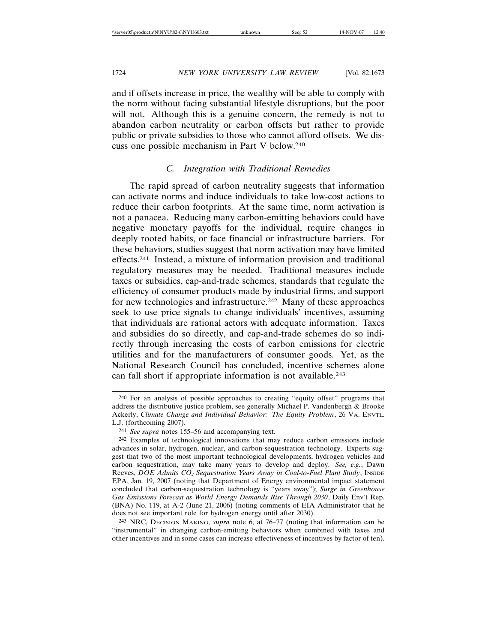and if offsets increase in price, the wealthy will be able to comply with the norm without facing substantial lifestyle disruptions, but the poor will not. Although this is a genuine concern, the remedy is not to abandon carbon neutrality or carbon offsets but rather to provide public or private subsidies to those who cannot afford offsets. We discuss one possible mechanism in Part V below.240

# *C. Integration with Traditional Remedies*

The rapid spread of carbon neutrality suggests that information can activate norms and induce individuals to take low-cost actions to reduce their carbon footprints. At the same time, norm activation is not a panacea. Reducing many carbon-emitting behaviors could have negative monetary payoffs for the individual, require changes in deeply rooted habits, or face financial or infrastructure barriers. For these behaviors, studies suggest that norm activation may have limited effects.241 Instead, a mixture of information provision and traditional regulatory measures may be needed. Traditional measures include taxes or subsidies, cap-and-trade schemes, standards that regulate the efficiency of consumer products made by industrial firms, and support for new technologies and infrastructure.242 Many of these approaches seek to use price signals to change individuals' incentives, assuming that individuals are rational actors with adequate information. Taxes and subsidies do so directly, and cap-and-trade schemes do so indirectly through increasing the costs of carbon emissions for electric utilities and for the manufacturers of consumer goods. Yet, as the National Research Council has concluded, incentive schemes alone can fall short if appropriate information is not available.243

243 NRC, DECISION MAKING, *supra* note 6, at 76–77 (noting that information can be "instrumental" in changing carbon-emitting behaviors when combined with taxes and other incentives and in some cases can increase effectiveness of incentives by factor of ten).

<sup>240</sup> For an analysis of possible approaches to creating "equity offset" programs that address the distributive justice problem, see generally Michael P. Vandenbergh & Brooke Ackerly, *Climate Change and Individual Behavior: The Equity Problem*, 26 VA. ENVTL. L.J. (forthcoming 2007).

<sup>241</sup> *See supra* notes 155–56 and accompanying text.

<sup>242</sup> Examples of technological innovations that may reduce carbon emissions include advances in solar, hydrogen, nuclear, and carbon-sequestration technology. Experts suggest that two of the most important technological developments, hydrogen vehicles and carbon sequestration, may take many years to develop and deploy. *See, e.g.*, Dawn Reeves, *DOE Admits CO2 Sequestration Years Away in Coal-to-Fuel Plant Study*, INSIDE EPA, Jan. 19, 2007 (noting that Department of Energy environmental impact statement concluded that carbon-sequestration technology is "years away"); *Surge in Greenhouse Gas Emissions Forecast as World Energy Demands Rise Through 2030*, Daily Env't Rep. (BNA) No. 119, at A-2 (June 21, 2006) (noting comments of EIA Administrator that he does not see important role for hydrogen energy until after 2030).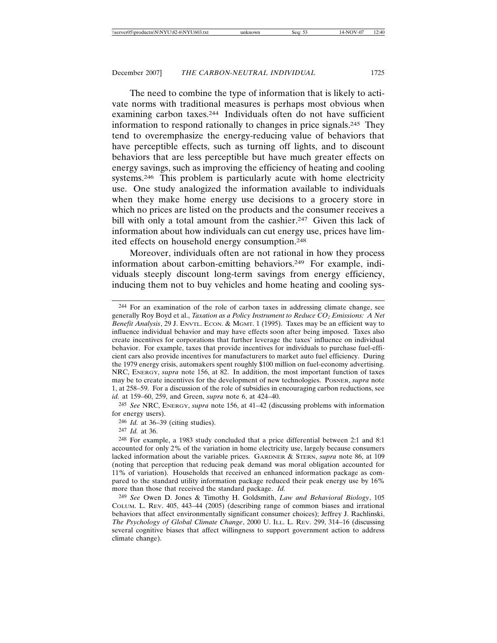The need to combine the type of information that is likely to activate norms with traditional measures is perhaps most obvious when examining carbon taxes.244 Individuals often do not have sufficient information to respond rationally to changes in price signals.245 They tend to overemphasize the energy-reducing value of behaviors that have perceptible effects, such as turning off lights, and to discount behaviors that are less perceptible but have much greater effects on energy savings, such as improving the efficiency of heating and cooling systems.246 This problem is particularly acute with home electricity use. One study analogized the information available to individuals when they make home energy use decisions to a grocery store in which no prices are listed on the products and the consumer receives a bill with only a total amount from the cashier.<sup>247</sup> Given this lack of information about how individuals can cut energy use, prices have limited effects on household energy consumption.248

Moreover, individuals often are not rational in how they process information about carbon-emitting behaviors.249 For example, individuals steeply discount long-term savings from energy efficiency, inducing them not to buy vehicles and home heating and cooling sys-

245 *See* NRC, ENERGY, *supra* note 156, at 41–42 (discussing problems with information for energy users).

246 *Id.* at 36–39 (citing studies).

247 *Id.* at 36.

<sup>244</sup> For an examination of the role of carbon taxes in addressing climate change, see generally Roy Boyd et al., *Taxation as a Policy Instrument to Reduce CO2 Emissions: A Net Benefit Analysis*, 29 J. ENVTL. ECON. & MGMT. 1 (1995). Taxes may be an efficient way to influence individual behavior and may have effects soon after being imposed. Taxes also create incentives for corporations that further leverage the taxes' influence on individual behavior. For example, taxes that provide incentives for individuals to purchase fuel-efficient cars also provide incentives for manufacturers to market auto fuel efficiency. During the 1979 energy crisis, automakers spent roughly \$100 million on fuel-economy advertising. NRC, ENERGY, *supra* note 156, at 82. In addition, the most important function of taxes may be to create incentives for the development of new technologies. POSNER, *supra* note 1, at 258–59. For a discussion of the role of subsidies in encouraging carbon reductions, see *id.* at 159–60, 259, and Green, *supra* note 6, at 424–40.

<sup>248</sup> For example, a 1983 study concluded that a price differential between 2:1 and 8:1 accounted for only 2% of the variation in home electricity use, largely because consumers lacked information about the variable prices. GARDNER & STERN, *supra* note 86, at 109 (noting that perception that reducing peak demand was moral obligation accounted for 11% of variation). Households that received an enhanced information package as compared to the standard utility information package reduced their peak energy use by 16% more than those that received the standard package. *Id.*

<sup>249</sup> *See* Owen D. Jones & Timothy H. Goldsmith, *Law and Behavioral Biology*, 105 COLUM. L. REV. 405, 443–44 (2005) (describing range of common biases and irrational behaviors that affect environmentally significant consumer choices); Jeffrey J. Rachlinski, *The Psychology of Global Climate Change*, 2000 U. ILL. L. REV. 299, 314–16 (discussing several cognitive biases that affect willingness to support government action to address climate change).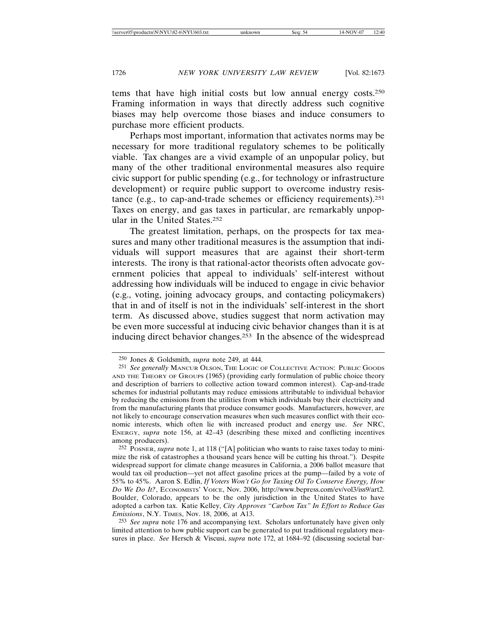tems that have high initial costs but low annual energy costs.250 Framing information in ways that directly address such cognitive biases may help overcome those biases and induce consumers to purchase more efficient products.

Perhaps most important, information that activates norms may be necessary for more traditional regulatory schemes to be politically viable. Tax changes are a vivid example of an unpopular policy, but many of the other traditional environmental measures also require civic support for public spending (e.g., for technology or infrastructure development) or require public support to overcome industry resistance (e.g., to cap-and-trade schemes or efficiency requirements).251 Taxes on energy, and gas taxes in particular, are remarkably unpopular in the United States.252

The greatest limitation, perhaps, on the prospects for tax measures and many other traditional measures is the assumption that individuals will support measures that are against their short-term interests. The irony is that rational-actor theorists often advocate government policies that appeal to individuals' self-interest without addressing how individuals will be induced to engage in civic behavior (e.g., voting, joining advocacy groups, and contacting policymakers) that in and of itself is not in the individuals' self-interest in the short term. As discussed above, studies suggest that norm activation may be even more successful at inducing civic behavior changes than it is at inducing direct behavior changes.253 In the absence of the widespread

253 *See supra* note 176 and accompanying text. Scholars unfortunately have given only limited attention to how public support can be generated to put traditional regulatory measures in place. *See* Hersch & Viscusi, *supra* note 172, at 1684–92 (discussing societal bar-

<sup>250</sup> Jones & Goldsmith, *supra* note 249, at 444.

<sup>251</sup> *See generally* MANCUR OLSON, THE LOGIC OF COLLECTIVE ACTION: PUBLIC GOODS AND THE THEORY OF GROUPS (1965) (providing early formulation of public choice theory and description of barriers to collective action toward common interest). Cap-and-trade schemes for industrial pollutants may reduce emissions attributable to individual behavior by reducing the emissions from the utilities from which individuals buy their electricity and from the manufacturing plants that produce consumer goods. Manufacturers, however, are not likely to encourage conservation measures when such measures conflict with their economic interests, which often lie with increased product and energy use. *See* NRC, ENERGY, *supra* note 156, at 42–43 (describing these mixed and conflicting incentives among producers).

<sup>252</sup> POSNER, *supra* note 1, at 118 ("[A] politician who wants to raise taxes today to minimize the risk of catastrophes a thousand years hence will be cutting his throat."). Despite widespread support for climate change measures in California, a 2006 ballot measure that would tax oil production—yet not affect gasoline prices at the pump—failed by a vote of 55% to 45%. Aaron S. Edlin, *If Voters Won't Go for Taxing Oil To Conserve Energy, How Do We Do It?*, ECONOMISTS' VOICE, Nov. 2006, http://www.bepress.com/ev/vol3/iss9/art2. Boulder, Colorado, appears to be the only jurisdiction in the United States to have adopted a carbon tax. Katie Kelley, *City Approves "Carbon Tax" In Effort to Reduce Gas Emissions*, N.Y. TIMES, Nov. 18, 2006, at A13.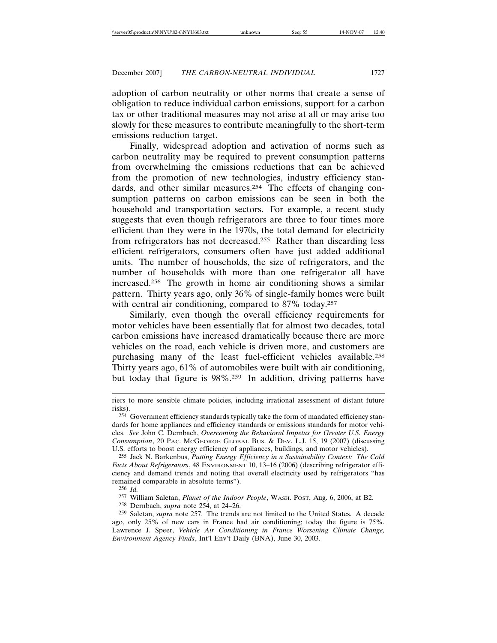adoption of carbon neutrality or other norms that create a sense of obligation to reduce individual carbon emissions, support for a carbon tax or other traditional measures may not arise at all or may arise too slowly for these measures to contribute meaningfully to the short-term emissions reduction target.

Finally, widespread adoption and activation of norms such as carbon neutrality may be required to prevent consumption patterns from overwhelming the emissions reductions that can be achieved from the promotion of new technologies, industry efficiency standards, and other similar measures.<sup>254</sup> The effects of changing consumption patterns on carbon emissions can be seen in both the household and transportation sectors. For example, a recent study suggests that even though refrigerators are three to four times more efficient than they were in the 1970s, the total demand for electricity from refrigerators has not decreased.255 Rather than discarding less efficient refrigerators, consumers often have just added additional units. The number of households, the size of refrigerators, and the number of households with more than one refrigerator all have increased.256 The growth in home air conditioning shows a similar pattern. Thirty years ago, only 36% of single-family homes were built with central air conditioning, compared to 87% today.<sup>257</sup>

Similarly, even though the overall efficiency requirements for motor vehicles have been essentially flat for almost two decades, total carbon emissions have increased dramatically because there are more vehicles on the road, each vehicle is driven more, and customers are purchasing many of the least fuel-efficient vehicles available.258 Thirty years ago, 61% of automobiles were built with air conditioning, but today that figure is 98%.259 In addition, driving patterns have

- 256 *Id.*
- 257 William Saletan, *Planet of the Indoor People*, WASH. POST, Aug. 6, 2006, at B2.

riers to more sensible climate policies, including irrational assessment of distant future risks).

<sup>254</sup> Government efficiency standards typically take the form of mandated efficiency standards for home appliances and efficiency standards or emissions standards for motor vehicles. *See* John C. Dernbach, *Overcoming the Behavioral Impetus for Greater U.S. Energy Consumption*, 20 PAC. MCGEORGE GLOBAL BUS. & DEV. L.J. 15, 19 (2007) (discussing U.S. efforts to boost energy efficiency of appliances, buildings, and motor vehicles).

<sup>255</sup> Jack N. Barkenbus, *Putting Energy Efficiency in a Sustainability Context: The Cold Facts About Refrigerators*, 48 ENVIRONMENT 10, 13–16 (2006) (describing refrigerator efficiency and demand trends and noting that overall electricity used by refrigerators "has remained comparable in absolute terms").

<sup>258</sup> Dernbach, *supra* note 254, at 24–26.

<sup>259</sup> Saletan, *supra* note 257. The trends are not limited to the United States. A decade ago, only 25% of new cars in France had air conditioning; today the figure is 75%. Lawrence J. Speer, *Vehicle Air Conditioning in France Worsening Climate Change, Environment Agency Finds*, Int'l Env't Daily (BNA), June 30, 2003.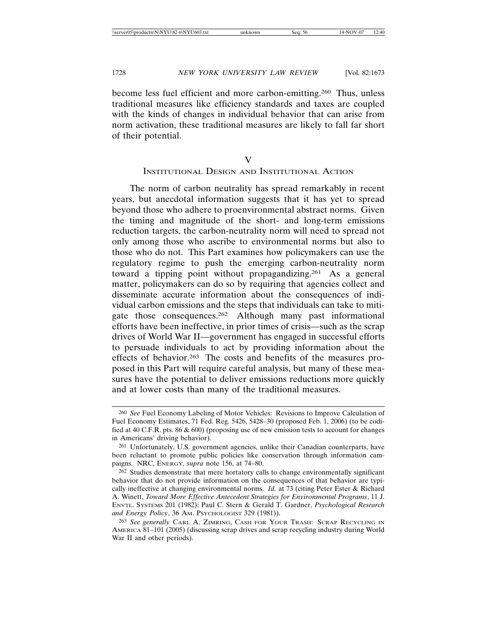become less fuel efficient and more carbon-emitting.260 Thus, unless traditional measures like efficiency standards and taxes are coupled with the kinds of changes in individual behavior that can arise from norm activation, these traditional measures are likely to fall far short of their potential.

V

## INSTITUTIONAL DESIGN AND INSTITUTIONAL ACTION

The norm of carbon neutrality has spread remarkably in recent years, but anecdotal information suggests that it has yet to spread beyond those who adhere to proenvironmental abstract norms. Given the timing and magnitude of the short- and long-term emissions reduction targets, the carbon-neutrality norm will need to spread not only among those who ascribe to environmental norms but also to those who do not. This Part examines how policymakers can use the regulatory regime to push the emerging carbon-neutrality norm toward a tipping point without propagandizing.261 As a general matter, policymakers can do so by requiring that agencies collect and disseminate accurate information about the consequences of individual carbon emissions and the steps that individuals can take to mitigate those consequences.262 Although many past informational efforts have been ineffective, in prior times of crisis—such as the scrap drives of World War II—government has engaged in successful efforts to persuade individuals to act by providing information about the effects of behavior.263 The costs and benefits of the measures proposed in this Part will require careful analysis, but many of these measures have the potential to deliver emissions reductions more quickly and at lower costs than many of the traditional measures.

<sup>260</sup> *See* Fuel Economy Labeling of Motor Vehicles: Revisions to Improve Calculation of Fuel Economy Estimates, 71 Fed. Reg. 5426, 5428–30 (proposed Feb. 1, 2006) (to be codified at 40 C.F.R. pts. 86 & 600) (proposing use of new emission tests to account for changes in Americans' driving behavior).

<sup>261</sup> Unfortunately, U.S. government agencies, unlike their Canadian counterparts, have been reluctant to promote public policies like conservation through information campaigns. NRC, ENERGY, *supra* note 156, at 74–80.

<sup>262</sup> Studies demonstrate that mere hortatory calls to change environmentally significant behavior that do not provide information on the consequences of that behavior are typically ineffective at changing environmental norms. *Id.* at 73 (citing Peter Ester & Richard A. Winett, *Toward More Effective Antecedent Strategies for Environmental Programs*, 11 J. ENVTL. SYSTEMS 201 (1982); Paul C. Stern & Gerald T. Gardner, *Psychological Research and Energy Policy*, 36 AM. PSYCHOLOGIST 329 (1981)).

<sup>263</sup> *See generally* CARL A. ZIMRING, CASH FOR YOUR TRASH: SCRAP RECYCLING IN AMERICA 81–101 (2005) (discussing scrap drives and scrap recycling industry during World War II and other periods).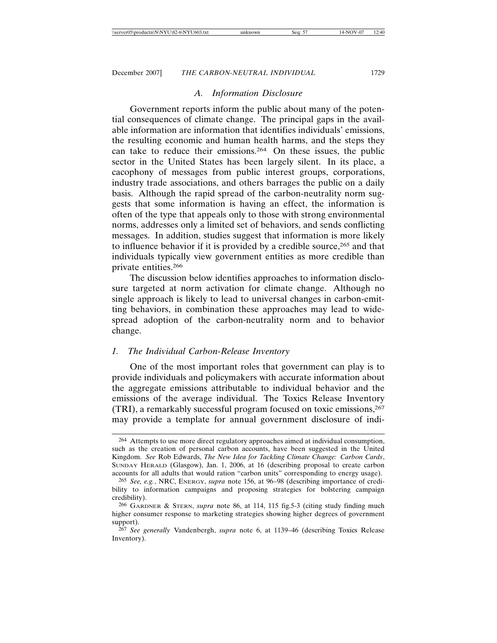# *A. Information Disclosure*

Government reports inform the public about many of the potential consequences of climate change. The principal gaps in the available information are information that identifies individuals' emissions, the resulting economic and human health harms, and the steps they can take to reduce their emissions.264 On these issues, the public sector in the United States has been largely silent. In its place, a cacophony of messages from public interest groups, corporations, industry trade associations, and others barrages the public on a daily basis. Although the rapid spread of the carbon-neutrality norm suggests that some information is having an effect, the information is often of the type that appeals only to those with strong environmental norms, addresses only a limited set of behaviors, and sends conflicting messages. In addition, studies suggest that information is more likely to influence behavior if it is provided by a credible source,265 and that individuals typically view government entities as more credible than private entities.266

The discussion below identifies approaches to information disclosure targeted at norm activation for climate change. Although no single approach is likely to lead to universal changes in carbon-emitting behaviors, in combination these approaches may lead to widespread adoption of the carbon-neutrality norm and to behavior change.

## *1. The Individual Carbon-Release Inventory*

One of the most important roles that government can play is to provide individuals and policymakers with accurate information about the aggregate emissions attributable to individual behavior and the emissions of the average individual. The Toxics Release Inventory (TRI), a remarkably successful program focused on toxic emissions,267 may provide a template for annual government disclosure of indi-

<sup>264</sup> Attempts to use more direct regulatory approaches aimed at individual consumption, such as the creation of personal carbon accounts, have been suggested in the United Kingdom. *See* Rob Edwards, *The New Idea for Tackling Climate Change: Carbon Cards*, SUNDAY HERALD (Glasgow), Jan. 1, 2006, at 16 (describing proposal to create carbon accounts for all adults that would ration "carbon units" corresponding to energy usage).

<sup>265</sup> *See, e.g.*, NRC, ENERGY, *supra* note 156, at 96–98 (describing importance of credibility to information campaigns and proposing strategies for bolstering campaign credibility).

<sup>266</sup> GARDNER & STERN, *supra* note 86, at 114, 115 fig.5-3 (citing study finding much higher consumer response to marketing strategies showing higher degrees of government support).

<sup>267</sup> *See generally* Vandenbergh, *supra* note 6, at 1139–46 (describing Toxics Release Inventory).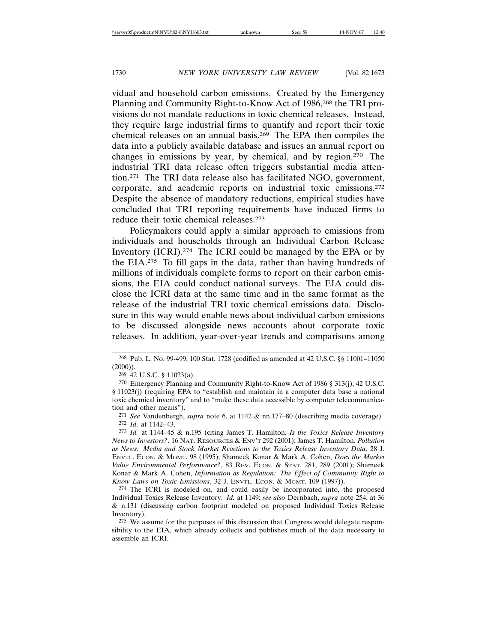vidual and household carbon emissions. Created by the Emergency Planning and Community Right-to-Know Act of 1986,268 the TRI provisions do not mandate reductions in toxic chemical releases. Instead, they require large industrial firms to quantify and report their toxic chemical releases on an annual basis.269 The EPA then compiles the data into a publicly available database and issues an annual report on changes in emissions by year, by chemical, and by region.270 The industrial TRI data release often triggers substantial media attention.271 The TRI data release also has facilitated NGO, government, corporate, and academic reports on industrial toxic emissions.272 Despite the absence of mandatory reductions, empirical studies have concluded that TRI reporting requirements have induced firms to reduce their toxic chemical releases.273

Policymakers could apply a similar approach to emissions from individuals and households through an Individual Carbon Release Inventory (ICRI).274 The ICRI could be managed by the EPA or by the EIA.275 To fill gaps in the data, rather than having hundreds of millions of individuals complete forms to report on their carbon emissions, the EIA could conduct national surveys. The EIA could disclose the ICRI data at the same time and in the same format as the release of the industrial TRI toxic chemical emissions data. Disclosure in this way would enable news about individual carbon emissions to be discussed alongside news accounts about corporate toxic releases. In addition, year-over-year trends and comparisons among

<sup>268</sup> Pub. L. No. 99-499, 100 Stat. 1728 (codified as amended at 42 U.S.C. §§ 11001–11050  $(2000)$ ).

<sup>269</sup> 42 U.S.C. § 11023(a).

<sup>270</sup> Emergency Planning and Community Right-to-Know Act of 1986 § 313(j), 42 U.S.C. § 11023(j) (requiring EPA to "establish and maintain in a computer data base a national toxic chemical inventory" and to "make these data accessible by computer telecommunication and other means").

<sup>271</sup> *See* Vandenbergh, *supra* note 6, at 1142 & nn.177–80 (describing media coverage). 272 *Id.* at 1142–43.

<sup>273</sup> *Id.* at 1144–45 & n.195 (citing James T. Hamilton, *Is the Toxics Release Inventory News to Investors?*, 16 NAT. RESOURCES & ENV'T 292 (2001); James T. Hamilton, *Pollution as News: Media and Stock Market Reactions to the Toxics Release Inventory Data*, 28 J. ENVTL. ECON. & MGMT. 98 (1995); Shameek Konar & Mark A. Cohen, *Does the Market Value Environmental Performance?*, 83 REV. ECON. & STAT. 281, 289 (2001); Shameek Konar & Mark A. Cohen, *Information as Regulation: The Effect of Community Right to Know Laws on Toxic Emissions*, 32 J. ENVTL. ECON. & MGMT. 109 (1997)).

<sup>274</sup> The ICRI is modeled on, and could easily be incorporated into, the proposed Individual Toxics Release Inventory. *Id.* at 1149; *see also* Dernbach, *supra* note 254, at 36 & n.131 (discussing carbon footprint modeled on proposed Individual Toxics Release Inventory).

<sup>275</sup> We assume for the purposes of this discussion that Congress would delegate responsibility to the EIA, which already collects and publishes much of the data necessary to assemble an ICRI.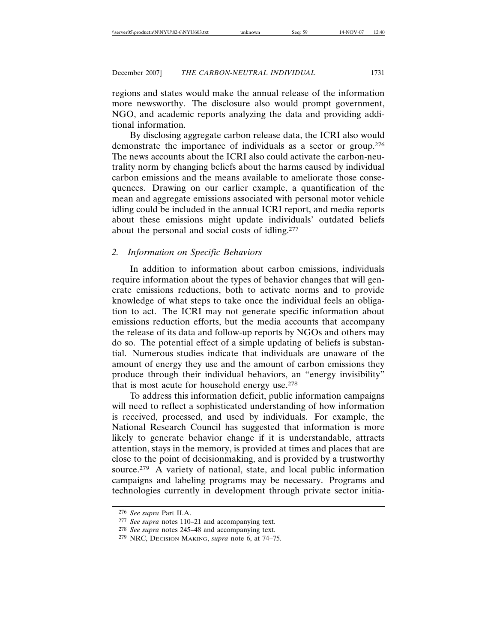regions and states would make the annual release of the information more newsworthy. The disclosure also would prompt government, NGO, and academic reports analyzing the data and providing additional information.

By disclosing aggregate carbon release data, the ICRI also would demonstrate the importance of individuals as a sector or group.276 The news accounts about the ICRI also could activate the carbon-neutrality norm by changing beliefs about the harms caused by individual carbon emissions and the means available to ameliorate those consequences. Drawing on our earlier example, a quantification of the mean and aggregate emissions associated with personal motor vehicle idling could be included in the annual ICRI report, and media reports about these emissions might update individuals' outdated beliefs about the personal and social costs of idling.277

## *2. Information on Specific Behaviors*

In addition to information about carbon emissions, individuals require information about the types of behavior changes that will generate emissions reductions, both to activate norms and to provide knowledge of what steps to take once the individual feels an obligation to act. The ICRI may not generate specific information about emissions reduction efforts, but the media accounts that accompany the release of its data and follow-up reports by NGOs and others may do so. The potential effect of a simple updating of beliefs is substantial. Numerous studies indicate that individuals are unaware of the amount of energy they use and the amount of carbon emissions they produce through their individual behaviors, an "energy invisibility" that is most acute for household energy use.278

To address this information deficit, public information campaigns will need to reflect a sophisticated understanding of how information is received, processed, and used by individuals. For example, the National Research Council has suggested that information is more likely to generate behavior change if it is understandable, attracts attention, stays in the memory, is provided at times and places that are close to the point of decisionmaking, and is provided by a trustworthy source.<sup>279</sup> A variety of national, state, and local public information campaigns and labeling programs may be necessary. Programs and technologies currently in development through private sector initia-

<sup>276</sup> *See supra* Part II.A.

<sup>277</sup> *See supra* notes 110–21 and accompanying text.

<sup>278</sup> *See supra* notes 245–48 and accompanying text.

<sup>279</sup> NRC, DECISION MAKING, *supra* note 6, at 74–75.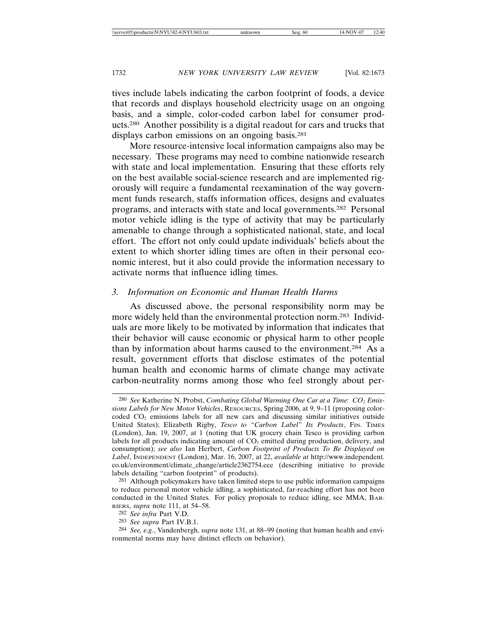tives include labels indicating the carbon footprint of foods, a device that records and displays household electricity usage on an ongoing basis, and a simple, color-coded carbon label for consumer products.280 Another possibility is a digital readout for cars and trucks that displays carbon emissions on an ongoing basis.<sup>281</sup>

More resource-intensive local information campaigns also may be necessary. These programs may need to combine nationwide research with state and local implementation. Ensuring that these efforts rely on the best available social-science research and are implemented rigorously will require a fundamental reexamination of the way government funds research, staffs information offices, designs and evaluates programs, and interacts with state and local governments.282 Personal motor vehicle idling is the type of activity that may be particularly amenable to change through a sophisticated national, state, and local effort. The effort not only could update individuals' beliefs about the extent to which shorter idling times are often in their personal economic interest, but it also could provide the information necessary to activate norms that influence idling times.

# *3. Information on Economic and Human Health Harms*

As discussed above, the personal responsibility norm may be more widely held than the environmental protection norm.283 Individuals are more likely to be motivated by information that indicates that their behavior will cause economic or physical harm to other people than by information about harms caused to the environment.284 As a result, government efforts that disclose estimates of the potential human health and economic harms of climate change may activate carbon-neutrality norms among those who feel strongly about per-

<sup>280</sup> *See* Katherine N. Probst, *Combating Global Warming One Car at a Time: CO2 Emissions Labels for New Motor Vehicles*, RESOURCES, Spring 2006, at 9, 9–11 (proposing colorcoded  $CO<sub>2</sub>$  emissions labels for all new cars and discussing similar initiatives outside United States); Elizabeth Rigby, *Tesco to "Carbon Label" Its Products*, FIN. TIMES (London), Jan. 19, 2007, at 1 (noting that UK grocery chain Tesco is providing carbon labels for all products indicating amount of  $CO<sub>2</sub>$  emitted during production, delivery, and consumption); *see also* Ian Herbert, *Carbon Footprint of Products To Be Displayed on Label*, INDEPENDENT (London), Mar. 16, 2007, at 22, *available at* http://www.independent. co.uk/environment/climate\_change/article2362754.ece (describing initiative to provide labels detailing "carbon footprint" of products).

<sup>281</sup> Although policymakers have taken limited steps to use public information campaigns to reduce personal motor vehicle idling, a sophisticated, far-reaching effort has not been conducted in the United States. For policy proposals to reduce idling, see MMA, BAR-RIERS, *supra* note 111, at 54–58.

<sup>282</sup> *See infra* Part V.D.

<sup>283</sup> *See supra* Part IV.B.1.

<sup>284</sup> *See, e.g.*, Vandenbergh, *supra* note 131, at 88–99 (noting that human health and environmental norms may have distinct effects on behavior).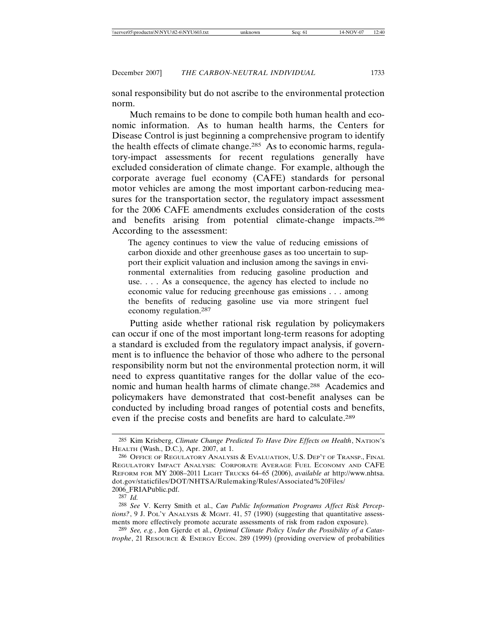sonal responsibility but do not ascribe to the environmental protection norm.

Much remains to be done to compile both human health and economic information. As to human health harms, the Centers for Disease Control is just beginning a comprehensive program to identify the health effects of climate change.285 As to economic harms, regulatory-impact assessments for recent regulations generally have excluded consideration of climate change. For example, although the corporate average fuel economy (CAFE) standards for personal motor vehicles are among the most important carbon-reducing measures for the transportation sector, the regulatory impact assessment for the 2006 CAFE amendments excludes consideration of the costs and benefits arising from potential climate-change impacts.286 According to the assessment:

The agency continues to view the value of reducing emissions of carbon dioxide and other greenhouse gases as too uncertain to support their explicit valuation and inclusion among the savings in environmental externalities from reducing gasoline production and use. . . . As a consequence, the agency has elected to include no economic value for reducing greenhouse gas emissions . . . among the benefits of reducing gasoline use via more stringent fuel economy regulation.287

Putting aside whether rational risk regulation by policymakers can occur if one of the most important long-term reasons for adopting a standard is excluded from the regulatory impact analysis, if government is to influence the behavior of those who adhere to the personal responsibility norm but not the environmental protection norm, it will need to express quantitative ranges for the dollar value of the economic and human health harms of climate change.288 Academics and policymakers have demonstrated that cost-benefit analyses can be conducted by including broad ranges of potential costs and benefits, even if the precise costs and benefits are hard to calculate.289

<sup>285</sup> Kim Krisberg, *Climate Change Predicted To Have Dire Effects on Health*, NATION'S HEALTH (Wash., D.C.), Apr. 2007, at 1.

<sup>286</sup> OFFICE OF REGULATORY ANALYSIS & EVALUATION, U.S. DEP'T OF TRANSP., FINAL REGULATORY IMPACT ANALYSIS: CORPORATE AVERAGE FUEL ECONOMY AND CAFE REFORM FOR MY 2008–2011 LIGHT TRUCKS 64–65 (2006), *available at* http://www.nhtsa. dot.gov/staticfiles/DOT/NHTSA/Rulemaking/Rules/Associated%20Files/ 2006\_FRIAPublic.pdf.

<sup>287</sup> *Id.*

<sup>288</sup> *See* V. Kerry Smith et al., *Can Public Information Programs Affect Risk Perceptions*?, 9 J. POL'Y ANALYSIS & MGMT. 41, 57 (1990) (suggesting that quantitative assessments more effectively promote accurate assessments of risk from radon exposure).

<sup>289</sup> *See, e.g.*, Jon Gjerde et al., *Optimal Climate Policy Under the Possibility of a Catastrophe*, 21 RESOURCE & ENERGY ECON. 289 (1999) (providing overview of probabilities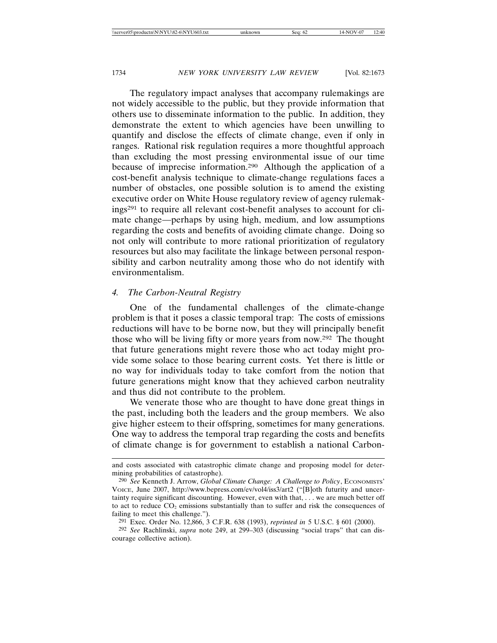The regulatory impact analyses that accompany rulemakings are not widely accessible to the public, but they provide information that others use to disseminate information to the public. In addition, they demonstrate the extent to which agencies have been unwilling to quantify and disclose the effects of climate change, even if only in ranges. Rational risk regulation requires a more thoughtful approach than excluding the most pressing environmental issue of our time because of imprecise information.290 Although the application of a cost-benefit analysis technique to climate-change regulations faces a number of obstacles, one possible solution is to amend the existing executive order on White House regulatory review of agency rulemakings291 to require all relevant cost-benefit analyses to account for climate change—perhaps by using high, medium, and low assumptions regarding the costs and benefits of avoiding climate change. Doing so not only will contribute to more rational prioritization of regulatory resources but also may facilitate the linkage between personal responsibility and carbon neutrality among those who do not identify with environmentalism.

### *4. The Carbon-Neutral Registry*

One of the fundamental challenges of the climate-change problem is that it poses a classic temporal trap: The costs of emissions reductions will have to be borne now, but they will principally benefit those who will be living fifty or more years from now.292 The thought that future generations might revere those who act today might provide some solace to those bearing current costs. Yet there is little or no way for individuals today to take comfort from the notion that future generations might know that they achieved carbon neutrality and thus did not contribute to the problem.

We venerate those who are thought to have done great things in the past, including both the leaders and the group members. We also give higher esteem to their offspring, sometimes for many generations. One way to address the temporal trap regarding the costs and benefits of climate change is for government to establish a national Carbon-

and costs associated with catastrophic climate change and proposing model for determining probabilities of catastrophe).

<sup>290</sup> *See* Kenneth J. Arrow, *Global Climate Change: A Challenge to Policy*, ECONOMISTS' VOICE, June 2007, http://www.bepress.com/ev/vol4/iss3/art2 ("[B]oth futurity and uncertainty require significant discounting. However, even with that, . . . we are much better off to act to reduce  $CO<sub>2</sub>$  emissions substantially than to suffer and risk the consequences of failing to meet this challenge.").

<sup>291</sup> Exec. Order No. 12,866, 3 C.F.R. 638 (1993), *reprinted in* 5 U.S.C. § 601 (2000).

<sup>292</sup> *See* Rachlinski, *supra* note 249, at 299–303 (discussing "social traps" that can discourage collective action).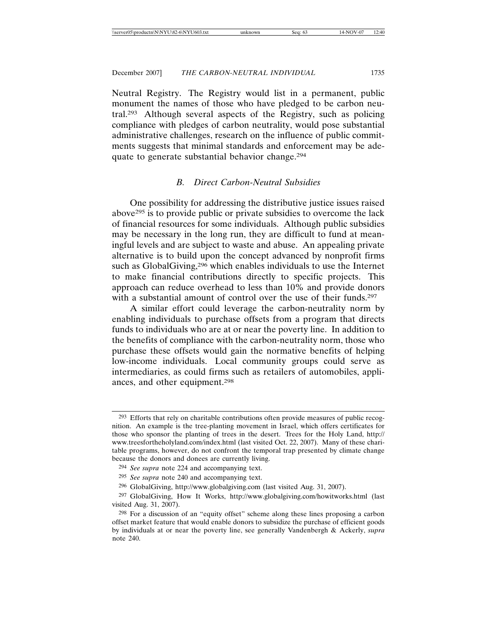Neutral Registry. The Registry would list in a permanent, public monument the names of those who have pledged to be carbon neutral.293 Although several aspects of the Registry, such as policing compliance with pledges of carbon neutrality, would pose substantial administrative challenges, research on the influence of public commitments suggests that minimal standards and enforcement may be adequate to generate substantial behavior change.294

# *B. Direct Carbon-Neutral Subsidies*

One possibility for addressing the distributive justice issues raised above295 is to provide public or private subsidies to overcome the lack of financial resources for some individuals. Although public subsidies may be necessary in the long run, they are difficult to fund at meaningful levels and are subject to waste and abuse. An appealing private alternative is to build upon the concept advanced by nonprofit firms such as GlobalGiving,<sup>296</sup> which enables individuals to use the Internet to make financial contributions directly to specific projects. This approach can reduce overhead to less than 10% and provide donors with a substantial amount of control over the use of their funds.<sup>297</sup>

A similar effort could leverage the carbon-neutrality norm by enabling individuals to purchase offsets from a program that directs funds to individuals who are at or near the poverty line. In addition to the benefits of compliance with the carbon-neutrality norm, those who purchase these offsets would gain the normative benefits of helping low-income individuals. Local community groups could serve as intermediaries, as could firms such as retailers of automobiles, appliances, and other equipment.298

<sup>293</sup> Efforts that rely on charitable contributions often provide measures of public recognition. An example is the tree-planting movement in Israel, which offers certificates for those who sponsor the planting of trees in the desert. Trees for the Holy Land, http:// www.treesfortheholyland.com/index.html (last visited Oct. 22, 2007). Many of these charitable programs, however, do not confront the temporal trap presented by climate change because the donors and donees are currently living.

<sup>294</sup> *See supra* note 224 and accompanying text.

<sup>295</sup> *See supra* note 240 and accompanying text.

<sup>296</sup> GlobalGiving, http://www.globalgiving.com (last visited Aug. 31, 2007).

<sup>297</sup> GlobalGiving, How It Works, http://www.globalgiving.com/howitworks.html (last visited Aug. 31, 2007).

<sup>298</sup> For a discussion of an "equity offset" scheme along these lines proposing a carbon offset market feature that would enable donors to subsidize the purchase of efficient goods by individuals at or near the poverty line, see generally Vandenbergh & Ackerly, *supra* note 240.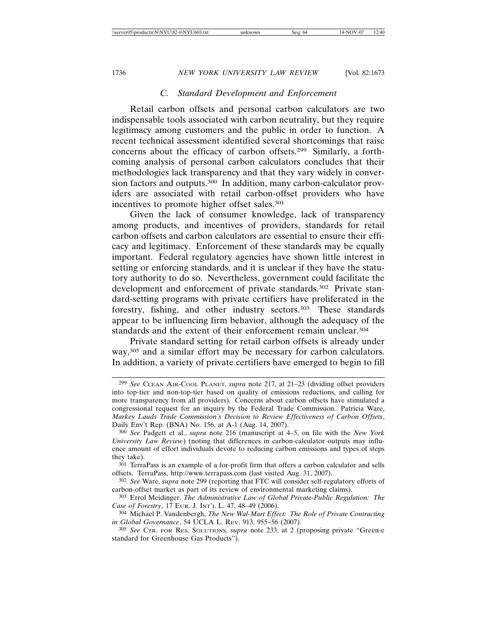# *C. Standard Development and Enforcement*

Retail carbon offsets and personal carbon calculators are two indispensable tools associated with carbon neutrality, but they require legitimacy among customers and the public in order to function. A recent technical assessment identified several shortcomings that raise concerns about the efficacy of carbon offsets.299 Similarly, a forthcoming analysis of personal carbon calculators concludes that their methodologies lack transparency and that they vary widely in conversion factors and outputs.300 In addition, many carbon-calculator providers are associated with retail carbon-offset providers who have incentives to promote higher offset sales.301

Given the lack of consumer knowledge, lack of transparency among products, and incentives of providers, standards for retail carbon offsets and carbon calculators are essential to ensure their efficacy and legitimacy. Enforcement of these standards may be equally important. Federal regulatory agencies have shown little interest in setting or enforcing standards, and it is unclear if they have the statutory authority to do so. Nevertheless, government could facilitate the development and enforcement of private standards.<sup>302</sup> Private standard-setting programs with private certifiers have proliferated in the forestry, fishing, and other industry sectors.303 These standards appear to be influencing firm behavior, although the adequacy of the standards and the extent of their enforcement remain unclear.304

Private standard setting for retail carbon offsets is already under way,<sup>305</sup> and a similar effort may be necessary for carbon calculators. In addition, a variety of private certifiers have emerged to begin to fill

<sup>299</sup> *See* CLEAN AIR-COOL PLANET, *supra* note 217, at 21–23 (dividing offset providers into top-tier and non-top-tier based on quality of emissions reductions, and calling for more transparency from all providers). Concerns about carbon offsets have stimulated a congressional request for an inquiry by the Federal Trade Commission. Patricia Ware, *Markey Lauds Trade Commission's Decision to Review Effectiveness of Carbon Offsets*, Daily Env't Rep. (BNA) No. 156, at A-1 (Aug. 14, 2007).

<sup>300</sup> *See* Padgett et al., *supra* note 216 (manuscript at 4–5, on file with the *New York University Law Review*) (noting that differences in carbon-calculator outputs may influence amount of effort individuals devote to reducing carbon emissions and types of steps they take).

<sup>301</sup> TerraPass is an example of a for-profit firm that offers a carbon calculator and sells offsets. TerraPass, http://www.terrapass.com (last visited Aug. 31, 2007).

<sup>302</sup> *See* Ware, *supra* note 299 (reporting that FTC will consider self-regulatory efforts of carbon-offset market as part of its review of environmental marketing claims).

<sup>303</sup> Errol Meidinger, *The Administrative Law of Global Private-Public Regulation: The Case of Forestry*, 17 EUR. J. INT'L L. 47, 48–49 (2006).

<sup>304</sup> Michael P. Vandenbergh, *The New Wal-Mart Effect: The Role of Private Contracting in Global Governance*, 54 UCLA L. REV. 913, 955–56 (2007).

<sup>305</sup> *See* CTR. FOR RES. SOLUTIONS, *supra* note 233, at 2 (proposing private "Green-e standard for Greenhouse Gas Products").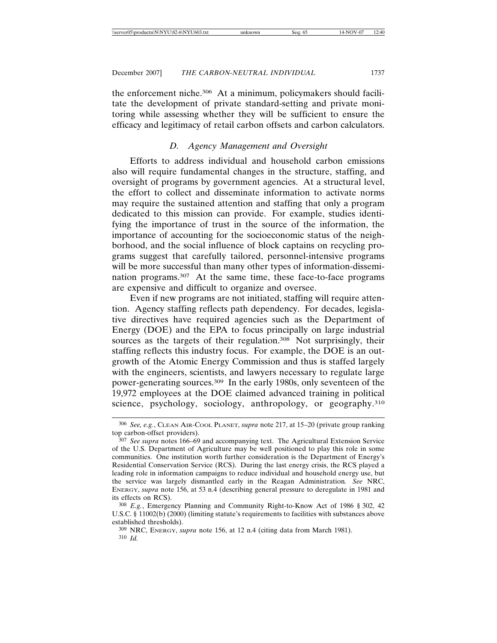the enforcement niche.306 At a minimum, policymakers should facilitate the development of private standard-setting and private monitoring while assessing whether they will be sufficient to ensure the efficacy and legitimacy of retail carbon offsets and carbon calculators.

# *D. Agency Management and Oversight*

Efforts to address individual and household carbon emissions also will require fundamental changes in the structure, staffing, and oversight of programs by government agencies. At a structural level, the effort to collect and disseminate information to activate norms may require the sustained attention and staffing that only a program dedicated to this mission can provide. For example, studies identifying the importance of trust in the source of the information, the importance of accounting for the socioeconomic status of the neighborhood, and the social influence of block captains on recycling programs suggest that carefully tailored, personnel-intensive programs will be more successful than many other types of information-dissemination programs.307 At the same time, these face-to-face programs are expensive and difficult to organize and oversee.

Even if new programs are not initiated, staffing will require attention. Agency staffing reflects path dependency. For decades, legislative directives have required agencies such as the Department of Energy (DOE) and the EPA to focus principally on large industrial sources as the targets of their regulation.<sup>308</sup> Not surprisingly, their staffing reflects this industry focus. For example, the DOE is an outgrowth of the Atomic Energy Commission and thus is staffed largely with the engineers, scientists, and lawyers necessary to regulate large power-generating sources.309 In the early 1980s, only seventeen of the 19,972 employees at the DOE claimed advanced training in political science, psychology, sociology, anthropology, or geography.<sup>310</sup>

<sup>306</sup> *See, e.g.*, CLEAN AIR-COOL PLANET, *supra* note 217, at 15–20 (private group ranking top carbon-offset providers).

<sup>307</sup> *See supra* notes 166–69 and accompanying text. The Agricultural Extension Service of the U.S. Department of Agriculture may be well positioned to play this role in some communities. One institution worth further consideration is the Department of Energy's Residential Conservation Service (RCS). During the last energy crisis, the RCS played a leading role in information campaigns to reduce individual and household energy use, but the service was largely dismantled early in the Reagan Administration*. See* NRC, ENERGY, *supra* note 156, at 53 n.4 (describing general pressure to deregulate in 1981 and its effects on RCS).

<sup>308</sup> *E.g.*, Emergency Planning and Community Right-to-Know Act of 1986 § 302, 42 U.S.C. § 11002(b) (2000) (limiting statute's requirements to facilities with substances above established thresholds).

<sup>309</sup> NRC, ENERGY, *supra* note 156, at 12 n.4 (citing data from March 1981). 310 *Id.*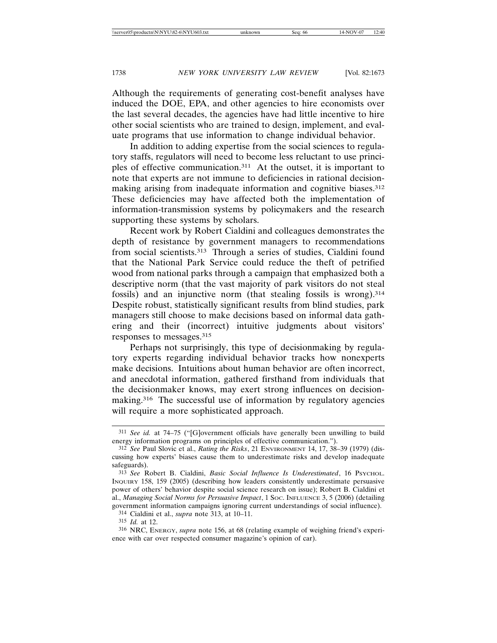Although the requirements of generating cost-benefit analyses have induced the DOE, EPA, and other agencies to hire economists over the last several decades, the agencies have had little incentive to hire other social scientists who are trained to design, implement, and evaluate programs that use information to change individual behavior.

In addition to adding expertise from the social sciences to regulatory staffs, regulators will need to become less reluctant to use principles of effective communication.311 At the outset, it is important to note that experts are not immune to deficiencies in rational decisionmaking arising from inadequate information and cognitive biases.312 These deficiencies may have affected both the implementation of information-transmission systems by policymakers and the research supporting these systems by scholars.

Recent work by Robert Cialdini and colleagues demonstrates the depth of resistance by government managers to recommendations from social scientists.313 Through a series of studies, Cialdini found that the National Park Service could reduce the theft of petrified wood from national parks through a campaign that emphasized both a descriptive norm (that the vast majority of park visitors do not steal fossils) and an injunctive norm (that stealing fossils is wrong).314 Despite robust, statistically significant results from blind studies, park managers still choose to make decisions based on informal data gathering and their (incorrect) intuitive judgments about visitors' responses to messages.315

Perhaps not surprisingly, this type of decisionmaking by regulatory experts regarding individual behavior tracks how nonexperts make decisions. Intuitions about human behavior are often incorrect, and anecdotal information, gathered firsthand from individuals that the decisionmaker knows, may exert strong influences on decisionmaking.316 The successful use of information by regulatory agencies will require a more sophisticated approach.

314 Cialdini et al., *supra* note 313, at 10–11.

<sup>311</sup> *See id.* at 74–75 ("[G]overnment officials have generally been unwilling to build energy information programs on principles of effective communication.").

<sup>312</sup> *See* Paul Slovic et al., *Rating the Risks*, 21 ENVIRONMENT 14, 17, 38–39 (1979) (discussing how experts' biases cause them to underestimate risks and develop inadequate safeguards).

<sup>313</sup> *See* Robert B. Cialdini, *Basic Social Influence Is Underestimated*, 16 PSYCHOL. INQUIRY 158, 159 (2005) (describing how leaders consistently underestimate persuasive power of others' behavior despite social science research on issue); Robert B. Cialdini et al., *Managing Social Norms for Persuasive Impact*, 1 SOC. INFLUENCE 3, 5 (2006) (detailing government information campaigns ignoring current understandings of social influence).

<sup>315</sup> *Id.* at 12.

<sup>316</sup> NRC, ENERGY, *supra* note 156, at 68 (relating example of weighing friend's experience with car over respected consumer magazine's opinion of car).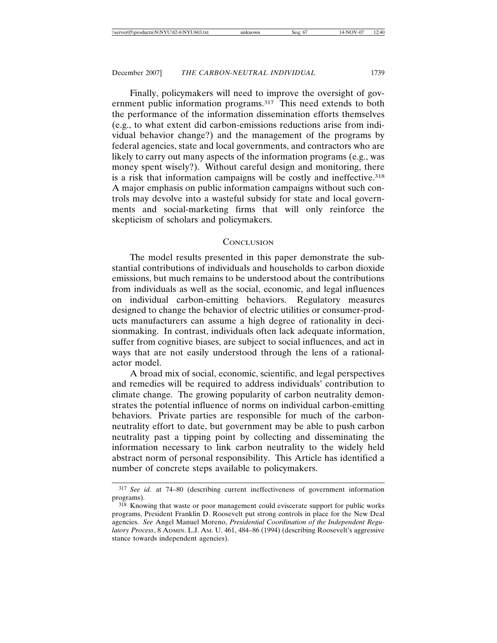Finally, policymakers will need to improve the oversight of government public information programs.317 This need extends to both the performance of the information dissemination efforts themselves (e.g., to what extent did carbon-emissions reductions arise from individual behavior change?) and the management of the programs by federal agencies, state and local governments, and contractors who are likely to carry out many aspects of the information programs (e.g., was money spent wisely?). Without careful design and monitoring, there is a risk that information campaigns will be costly and ineffective.<sup>318</sup> A major emphasis on public information campaigns without such controls may devolve into a wasteful subsidy for state and local governments and social-marketing firms that will only reinforce the skepticism of scholars and policymakers.

#### **CONCLUSION**

The model results presented in this paper demonstrate the substantial contributions of individuals and households to carbon dioxide emissions, but much remains to be understood about the contributions from individuals as well as the social, economic, and legal influences on individual carbon-emitting behaviors. Regulatory measures designed to change the behavior of electric utilities or consumer-products manufacturers can assume a high degree of rationality in decisionmaking. In contrast, individuals often lack adequate information, suffer from cognitive biases, are subject to social influences, and act in ways that are not easily understood through the lens of a rationalactor model.

A broad mix of social, economic, scientific, and legal perspectives and remedies will be required to address individuals' contribution to climate change. The growing popularity of carbon neutrality demonstrates the potential influence of norms on individual carbon-emitting behaviors. Private parties are responsible for much of the carbonneutrality effort to date, but government may be able to push carbon neutrality past a tipping point by collecting and disseminating the information necessary to link carbon neutrality to the widely held abstract norm of personal responsibility. This Article has identified a number of concrete steps available to policymakers.

<sup>317</sup> *See id.* at 74–80 (describing current ineffectiveness of government information programs).

<sup>318</sup> Knowing that waste or poor management could eviscerate support for public works programs, President Franklin D. Roosevelt put strong controls in place for the New Deal agencies. *See* Angel Manuel Moreno, *Presidential Coordination of the Independent Regulatory Process*, 8 ADMIN. L.J. AM. U. 461, 484–86 (1994) (describing Roosevelt's aggressive stance towards independent agencies).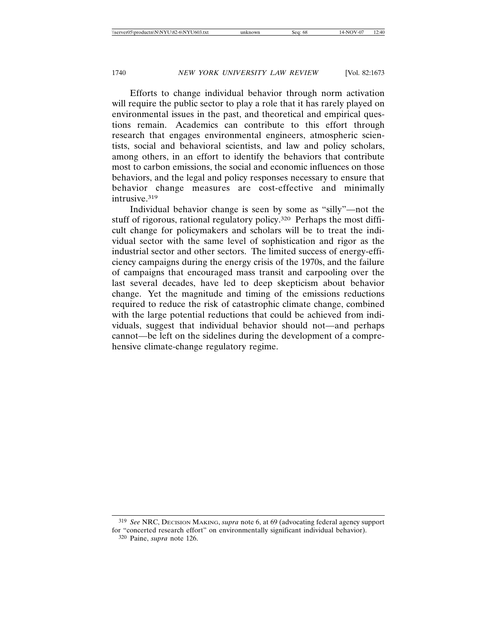Efforts to change individual behavior through norm activation will require the public sector to play a role that it has rarely played on environmental issues in the past, and theoretical and empirical questions remain. Academics can contribute to this effort through research that engages environmental engineers, atmospheric scientists, social and behavioral scientists, and law and policy scholars, among others, in an effort to identify the behaviors that contribute most to carbon emissions, the social and economic influences on those behaviors, and the legal and policy responses necessary to ensure that behavior change measures are cost-effective and minimally intrusive.319

Individual behavior change is seen by some as "silly"—not the stuff of rigorous, rational regulatory policy.<sup>320</sup> Perhaps the most difficult change for policymakers and scholars will be to treat the individual sector with the same level of sophistication and rigor as the industrial sector and other sectors. The limited success of energy-efficiency campaigns during the energy crisis of the 1970s, and the failure of campaigns that encouraged mass transit and carpooling over the last several decades, have led to deep skepticism about behavior change. Yet the magnitude and timing of the emissions reductions required to reduce the risk of catastrophic climate change, combined with the large potential reductions that could be achieved from individuals, suggest that individual behavior should not—and perhaps cannot—be left on the sidelines during the development of a comprehensive climate-change regulatory regime.

<sup>319</sup> *See* NRC, DECISION MAKING, *supra* note 6, at 69 (advocating federal agency support for "concerted research effort" on environmentally significant individual behavior). 320 Paine, *supra* note 126.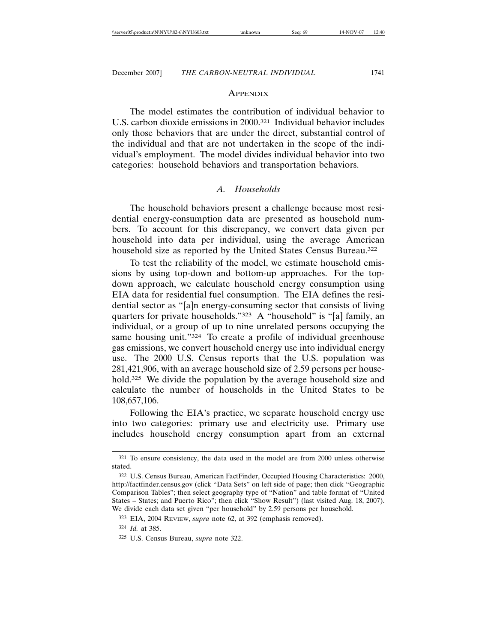#### **APPENDIX**

The model estimates the contribution of individual behavior to U.S. carbon dioxide emissions in 2000.321 Individual behavior includes only those behaviors that are under the direct, substantial control of the individual and that are not undertaken in the scope of the individual's employment. The model divides individual behavior into two categories: household behaviors and transportation behaviors.

# *A. Households*

The household behaviors present a challenge because most residential energy-consumption data are presented as household numbers. To account for this discrepancy, we convert data given per household into data per individual, using the average American household size as reported by the United States Census Bureau.322

To test the reliability of the model, we estimate household emissions by using top-down and bottom-up approaches. For the topdown approach, we calculate household energy consumption using EIA data for residential fuel consumption. The EIA defines the residential sector as "[a]n energy-consuming sector that consists of living quarters for private households."323 A "household" is "[a] family, an individual, or a group of up to nine unrelated persons occupying the same housing unit."<sup>324</sup> To create a profile of individual greenhouse gas emissions, we convert household energy use into individual energy use. The 2000 U.S. Census reports that the U.S. population was 281,421,906, with an average household size of 2.59 persons per household.<sup>325</sup> We divide the population by the average household size and calculate the number of households in the United States to be 108,657,106.

Following the EIA's practice, we separate household energy use into two categories: primary use and electricity use. Primary use includes household energy consumption apart from an external

<sup>321</sup> To ensure consistency, the data used in the model are from 2000 unless otherwise stated.

<sup>322</sup> U.S. Census Bureau, American FactFinder, Occupied Housing Characteristics: 2000, http://factfinder.census.gov (click "Data Sets" on left side of page; then click "Geographic Comparison Tables"; then select geography type of "Nation" and table format of "United States – States; and Puerto Rico"; then click "Show Result") (last visited Aug. 18, 2007). We divide each data set given "per household" by 2.59 persons per household.

<sup>323</sup> EIA, 2004 REVIEW, *supra* note 62, at 392 (emphasis removed).

<sup>324</sup> *Id.* at 385.

<sup>325</sup> U.S. Census Bureau, *supra* note 322.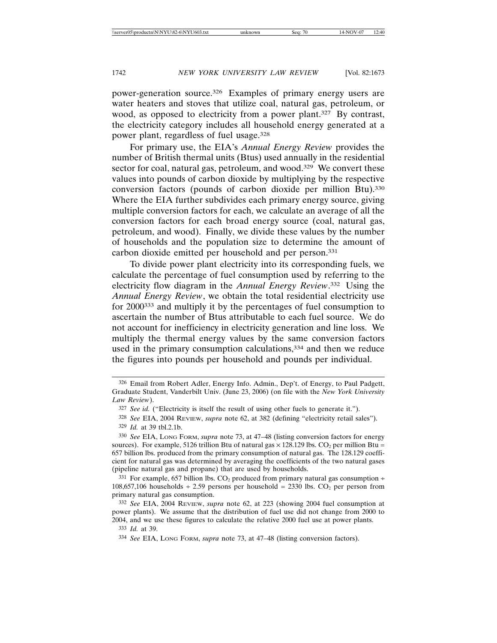power-generation source.326 Examples of primary energy users are water heaters and stoves that utilize coal, natural gas, petroleum, or wood, as opposed to electricity from a power plant.<sup>327</sup> By contrast, the electricity category includes all household energy generated at a power plant, regardless of fuel usage.328

For primary use, the EIA's *Annual Energy Review* provides the number of British thermal units (Btus) used annually in the residential sector for coal, natural gas, petroleum, and wood.<sup>329</sup> We convert these values into pounds of carbon dioxide by multiplying by the respective conversion factors (pounds of carbon dioxide per million Btu).330 Where the EIA further subdivides each primary energy source, giving multiple conversion factors for each, we calculate an average of all the conversion factors for each broad energy source (coal, natural gas, petroleum, and wood). Finally, we divide these values by the number of households and the population size to determine the amount of carbon dioxide emitted per household and per person.331

To divide power plant electricity into its corresponding fuels, we calculate the percentage of fuel consumption used by referring to the electricity flow diagram in the *Annual Energy Review*. 332 Using the *Annual Energy Review*, we obtain the total residential electricity use for 2000333 and multiply it by the percentages of fuel consumption to ascertain the number of Btus attributable to each fuel source. We do not account for inefficiency in electricity generation and line loss. We multiply the thermal energy values by the same conversion factors used in the primary consumption calculations,<sup>334</sup> and then we reduce the figures into pounds per household and pounds per individual.

<sup>326</sup> Email from Robert Adler, Energy Info. Admin., Dep't. of Energy, to Paul Padgett, Graduate Student, Vanderbilt Univ. (June 23, 2006) (on file with the *New York University Law Review*).

<sup>327</sup> *See id.* ("Electricity is itself the result of using other fuels to generate it.").

<sup>328</sup> *See* EIA, 2004 REVIEW, *supra* note 62, at 382 (defining "electricity retail sales"). 329 *Id.* at 39 tbl.2.1b.

<sup>330</sup> *See* EIA, LONG FORM, *supra* note 73, at 47–48 (listing conversion factors for energy sources). For example, 5126 trillion Btu of natural gas  $\times$  128.129 lbs. CO<sub>2</sub> per million Btu = 657 billion lbs. produced from the primary consumption of natural gas. The 128.129 coefficient for natural gas was determined by averaging the coefficients of the two natural gases (pipeline natural gas and propane) that are used by households.

<sup>&</sup>lt;sup>331</sup> For example, 657 billion lbs.  $CO<sub>2</sub>$  produced from primary natural gas consumption ÷ 108,657,106 households  $\div 2.59$  persons per household = 2330 lbs.  $CO<sub>2</sub>$  per person from primary natural gas consumption.

<sup>332</sup> *See* EIA, 2004 REVIEW, *supra* note 62, at 223 (showing 2004 fuel consumption at power plants). We assume that the distribution of fuel use did not change from 2000 to 2004, and we use these figures to calculate the relative 2000 fuel use at power plants.

<sup>333</sup> *Id.* at 39.

<sup>334</sup> *See* EIA, LONG FORM, *supra* note 73, at 47–48 (listing conversion factors).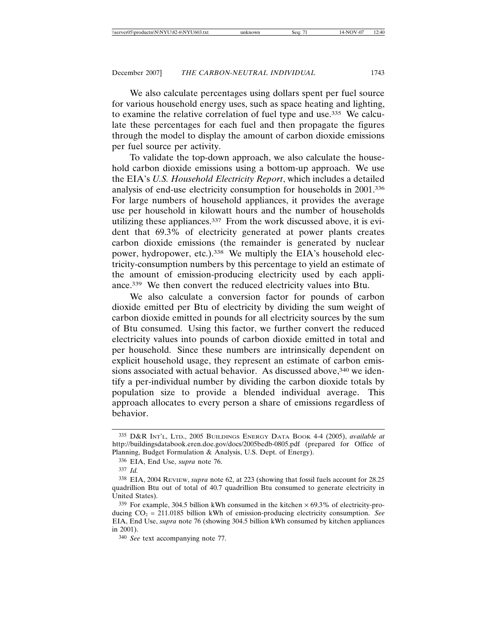We also calculate percentages using dollars spent per fuel source for various household energy uses, such as space heating and lighting, to examine the relative correlation of fuel type and use.335 We calculate these percentages for each fuel and then propagate the figures through the model to display the amount of carbon dioxide emissions per fuel source per activity.

To validate the top-down approach, we also calculate the household carbon dioxide emissions using a bottom-up approach. We use the EIA's *U.S. Household Electricity Report*, which includes a detailed analysis of end-use electricity consumption for households in 2001.336 For large numbers of household appliances, it provides the average use per household in kilowatt hours and the number of households utilizing these appliances.337 From the work discussed above, it is evident that 69.3% of electricity generated at power plants creates carbon dioxide emissions (the remainder is generated by nuclear power, hydropower, etc.).<sup>338</sup> We multiply the EIA's household electricity-consumption numbers by this percentage to yield an estimate of the amount of emission-producing electricity used by each appliance.339 We then convert the reduced electricity values into Btu.

We also calculate a conversion factor for pounds of carbon dioxide emitted per Btu of electricity by dividing the sum weight of carbon dioxide emitted in pounds for all electricity sources by the sum of Btu consumed. Using this factor, we further convert the reduced electricity values into pounds of carbon dioxide emitted in total and per household. Since these numbers are intrinsically dependent on explicit household usage, they represent an estimate of carbon emissions associated with actual behavior. As discussed above,<sup>340</sup> we identify a per-individual number by dividing the carbon dioxide totals by population size to provide a blended individual average. This approach allocates to every person a share of emissions regardless of behavior.

<sup>335</sup> D&R INT'L, LTD., 2005 BUILDINGS ENERGY DATA BOOK 4-4 (2005), *available at* http://buildingsdatabook.eren.doe.gov/docs/2005bedb-0805.pdf (prepared for Office of Planning, Budget Formulation & Analysis, U.S. Dept. of Energy).

<sup>336</sup> EIA, End Use, *supra* note 76.

<sup>337</sup> *Id.*

<sup>338</sup> EIA, 2004 REVIEW, *supra* note 62, at 223 (showing that fossil fuels account for 28.25 quadrillion Btu out of total of 40.7 quadrillion Btu consumed to generate electricity in United States).

 $339$  For example, 304.5 billion kWh consumed in the kitchen  $\times$  69.3% of electricity-producing CO2 = 211.0185 billion kWh of emission-producing electricity consumption. *See* EIA, End Use, *supra* note 76 (showing 304.5 billion kWh consumed by kitchen appliances in 2001).

<sup>340</sup> *See* text accompanying note 77.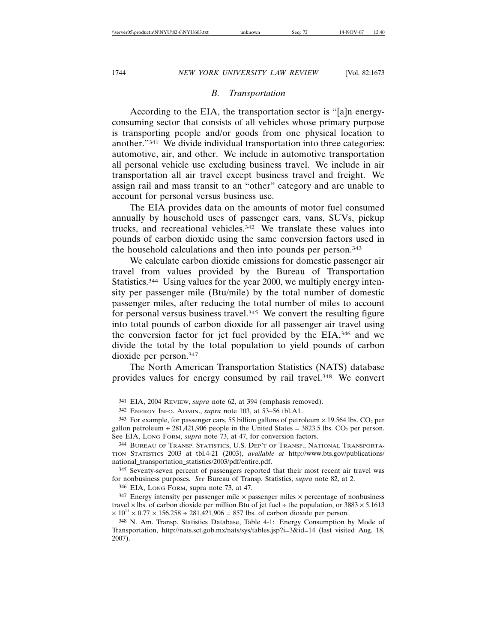## *B. Transportation*

According to the EIA, the transportation sector is "[a]n energyconsuming sector that consists of all vehicles whose primary purpose is transporting people and/or goods from one physical location to another."341 We divide individual transportation into three categories: automotive, air, and other. We include in automotive transportation all personal vehicle use excluding business travel. We include in air transportation all air travel except business travel and freight. We assign rail and mass transit to an "other" category and are unable to account for personal versus business use.

The EIA provides data on the amounts of motor fuel consumed annually by household uses of passenger cars, vans, SUVs, pickup trucks, and recreational vehicles.342 We translate these values into pounds of carbon dioxide using the same conversion factors used in the household calculations and then into pounds per person.343

We calculate carbon dioxide emissions for domestic passenger air travel from values provided by the Bureau of Transportation Statistics.344 Using values for the year 2000, we multiply energy intensity per passenger mile (Btu/mile) by the total number of domestic passenger miles, after reducing the total number of miles to account for personal versus business travel.<sup>345</sup> We convert the resulting figure into total pounds of carbon dioxide for all passenger air travel using the conversion factor for jet fuel provided by the EIA,346 and we divide the total by the total population to yield pounds of carbon dioxide per person.347

The North American Transportation Statistics (NATS) database provides values for energy consumed by rail travel.348 We convert

346 EIA, LONG FORM, supra note 73, at 47.

 $347$  Energy intensity per passenger mile  $\times$  passenger miles  $\times$  percentage of nonbusiness travel  $\times$  lbs. of carbon dioxide per million Btu of jet fuel ÷ the population, or 3883  $\times$  5.1613  $\times 10^{11} \times 0.77 \times 156.258 \div 281,421,906 = 857$  lbs. of carbon dioxide per person.

<sup>341</sup> EIA, 2004 REVIEW, *supra* note 62, at 394 (emphasis removed).

<sup>342</sup> ENERGY INFO. ADMIN., *supra* note 103, at 53–56 tbl.A1.

<sup>&</sup>lt;sup>343</sup> For example, for passenger cars, 55 billion gallons of petroleum  $\times$  19.564 lbs. CO<sub>2</sub> per gallon petroleum  $\div 281,421,906$  people in the United States = 3823.5 lbs. CO<sub>2</sub> per person. See EIA, LONG FORM, *supra* note 73, at 47, for conversion factors.

<sup>344</sup> BUREAU OF TRANSP. STATISTICS, U.S. DEP'T OF TRANSP., NATIONAL TRANSPORTA-TION STATISTICS 2003 at tbl.4-21 (2003), *available at* http://www.bts.gov/publications/ national\_transportation\_statistics/2003/pdf/entire.pdf.

<sup>345</sup> Seventy-seven percent of passengers reported that their most recent air travel was for nonbusiness purposes. *See* Bureau of Transp. Statistics, *supra* note 82, at 2.

<sup>348</sup> N. Am. Transp. Statistics Database, Table 4-1: Energy Consumption by Mode of Transportation, http://nats.sct.gob.mx/nats/sys/tables.jsp?i=3&id=14 (last visited Aug. 18, 2007).